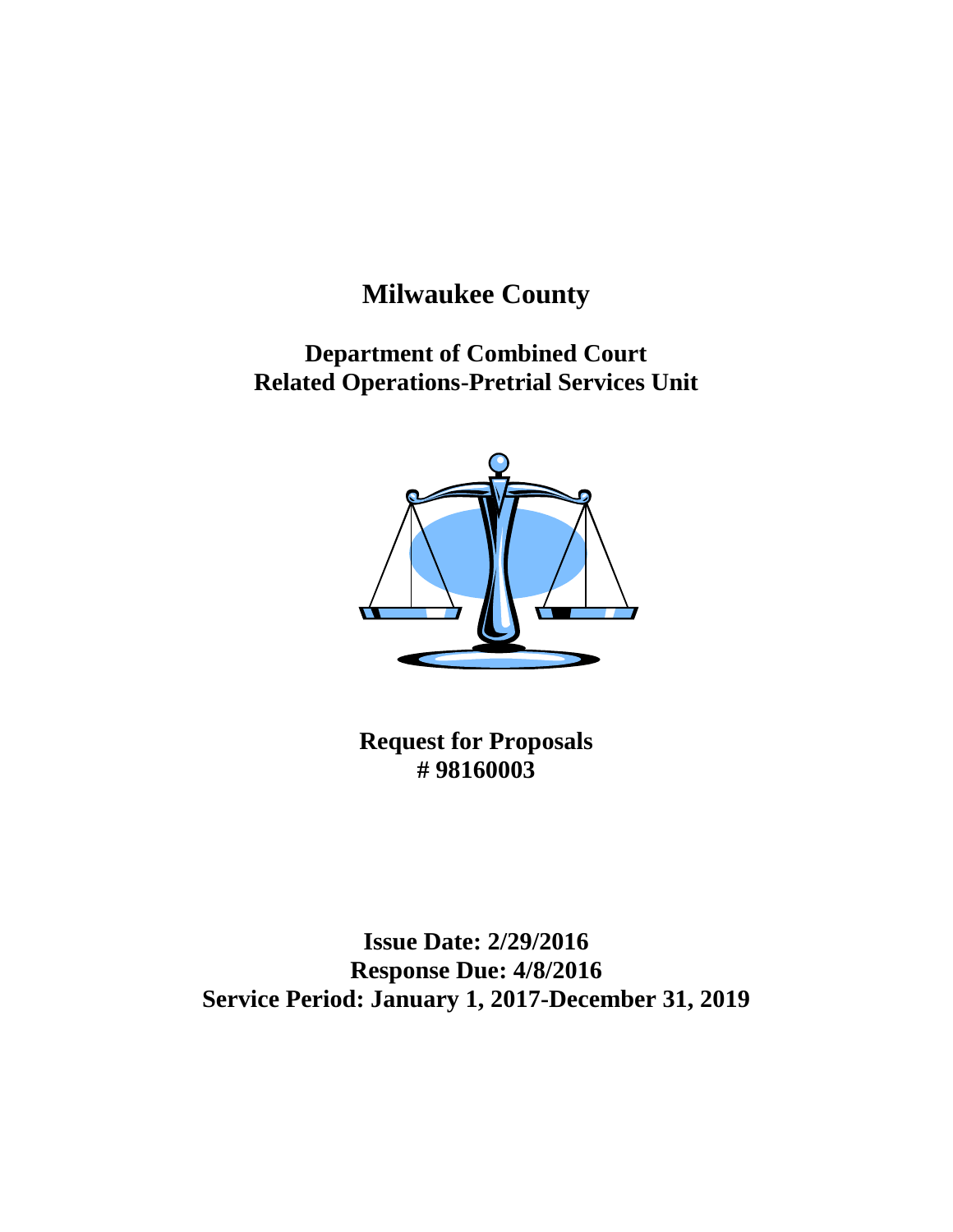# **Milwaukee County**

**Department of Combined Court Related Operations-Pretrial Services Unit**



**Request for Proposals # 98160003**

**Issue Date: 2/29/2016 Response Due: 4/8/2016 Service Period: January 1, 2017-December 31, 2019**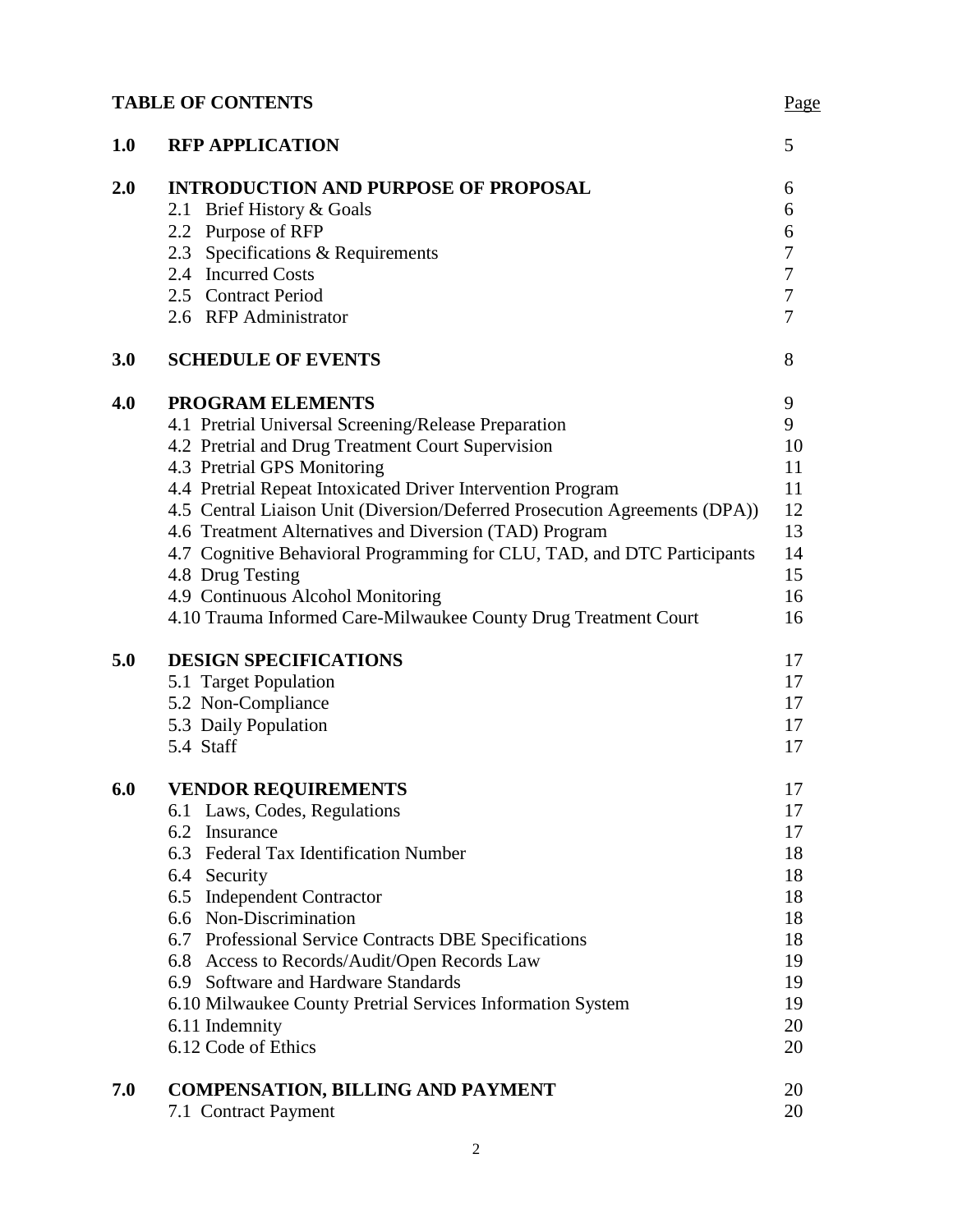# **TABLE OF CONTENTS** Page

| 1.0 | <b>RFP APPLICATION</b>                                                     | 5                |
|-----|----------------------------------------------------------------------------|------------------|
| 2.0 | <b>INTRODUCTION AND PURPOSE OF PROPOSAL</b>                                | 6                |
|     | 2.1 Brief History & Goals                                                  | 6                |
|     | 2.2 Purpose of RFP                                                         | 6                |
|     | 2.3 Specifications & Requirements                                          | $\boldsymbol{7}$ |
|     | 2.4 Incurred Costs                                                         | $\boldsymbol{7}$ |
|     | 2.5 Contract Period                                                        | $\boldsymbol{7}$ |
|     | 2.6 RFP Administrator                                                      | $\overline{7}$   |
| 3.0 | <b>SCHEDULE OF EVENTS</b>                                                  | 8                |
| 4.0 | PROGRAM ELEMENTS                                                           | 9                |
|     | 4.1 Pretrial Universal Screening/Release Preparation                       | 9                |
|     | 4.2 Pretrial and Drug Treatment Court Supervision                          | 10               |
|     | 4.3 Pretrial GPS Monitoring                                                | 11               |
|     | 4.4 Pretrial Repeat Intoxicated Driver Intervention Program                | 11               |
|     | 4.5 Central Liaison Unit (Diversion/Deferred Prosecution Agreements (DPA)) | 12               |
|     | 4.6 Treatment Alternatives and Diversion (TAD) Program                     | 13               |
|     | 4.7 Cognitive Behavioral Programming for CLU, TAD, and DTC Participants    | 14               |
|     | 4.8 Drug Testing                                                           | 15               |
|     | 4.9 Continuous Alcohol Monitoring                                          | 16               |
|     | 4.10 Trauma Informed Care-Milwaukee County Drug Treatment Court            | 16               |
| 5.0 | <b>DESIGN SPECIFICATIONS</b>                                               | 17               |
|     | 5.1 Target Population                                                      | 17               |
|     | 5.2 Non-Compliance                                                         | 17               |
|     | 5.3 Daily Population                                                       | 17               |
|     | 5.4 Staff                                                                  | 17               |
| 6.0 | <b>VENDOR REQUIREMENTS</b>                                                 | 17               |
|     | 6.1 Laws, Codes, Regulations                                               | 17               |
|     | 6.2 Insurance                                                              | 17               |
|     | 6.3 Federal Tax Identification Number                                      | 18               |
|     | 6.4 Security                                                               | 18               |
|     | 6.5 Independent Contractor                                                 | 18               |
|     | 6.6 Non-Discrimination                                                     | 18               |
|     | 6.7 Professional Service Contracts DBE Specifications                      | 18               |
|     | 6.8 Access to Records/Audit/Open Records Law                               | 19               |
|     | 6.9 Software and Hardware Standards                                        | 19               |
|     | 6.10 Milwaukee County Pretrial Services Information System                 | 19               |
|     | 6.11 Indemnity                                                             | 20               |
|     | 6.12 Code of Ethics                                                        | 20               |
| 7.0 | <b>COMPENSATION, BILLING AND PAYMENT</b>                                   | 20               |
|     | 7.1 Contract Payment                                                       | 20               |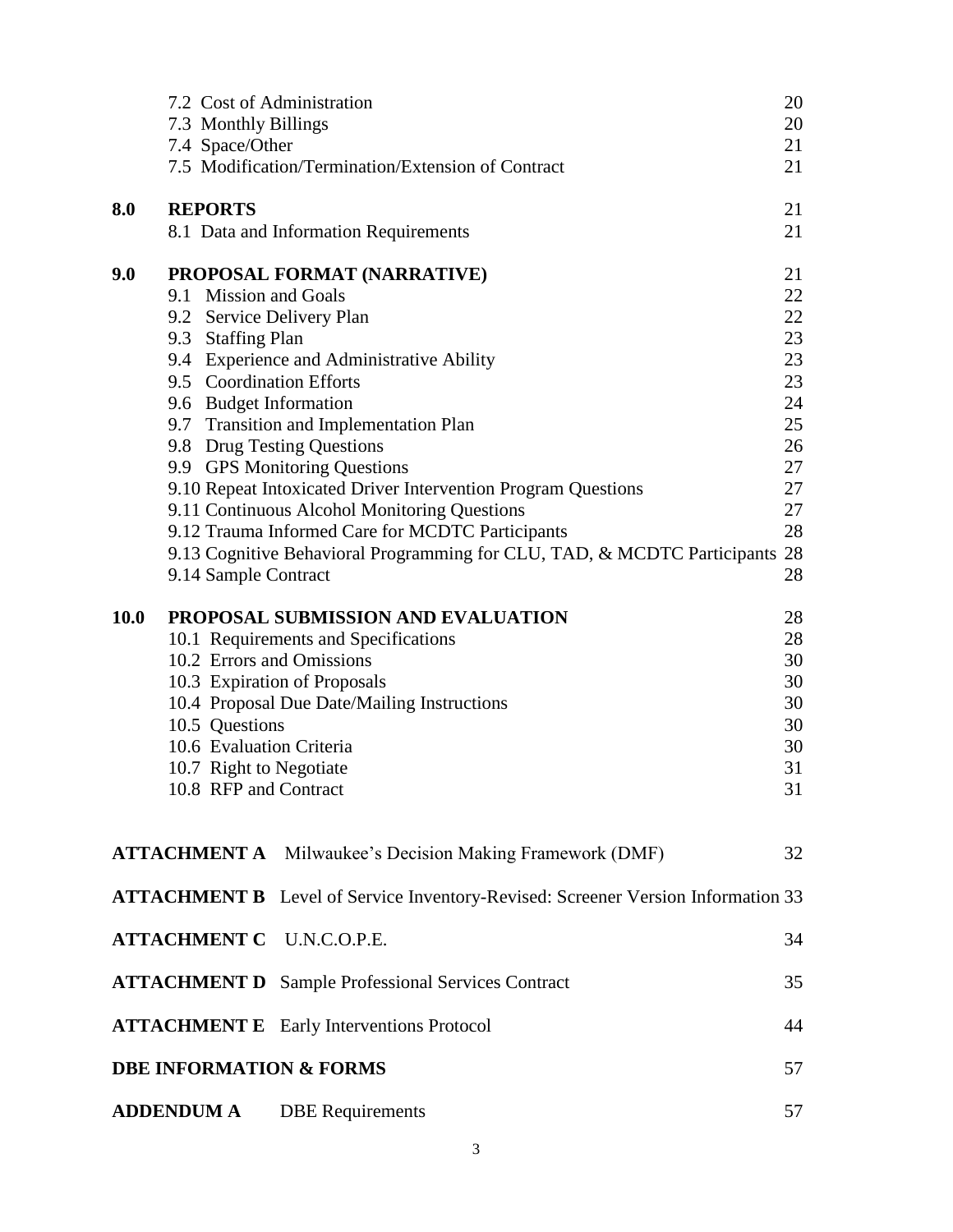|             | 7.2 Cost of Administration |                                                                                         | 20 |
|-------------|----------------------------|-----------------------------------------------------------------------------------------|----|
|             | 7.3 Monthly Billings       |                                                                                         | 20 |
|             | 7.4 Space/Other            |                                                                                         | 21 |
|             |                            | 7.5 Modification/Termination/Extension of Contract                                      | 21 |
| 8.0         | <b>REPORTS</b>             |                                                                                         | 21 |
|             |                            | 8.1 Data and Information Requirements                                                   | 21 |
| 9.0         |                            | PROPOSAL FORMAT (NARRATIVE)                                                             | 21 |
|             | 9.1 Mission and Goals      |                                                                                         | 22 |
|             | 9.2 Service Delivery Plan  |                                                                                         | 22 |
|             | 9.3 Staffing Plan          |                                                                                         | 23 |
|             |                            | 9.4 Experience and Administrative Ability                                               | 23 |
|             | 9.5 Coordination Efforts   |                                                                                         | 23 |
|             | 9.6 Budget Information     |                                                                                         | 24 |
|             |                            | 9.7 Transition and Implementation Plan                                                  | 25 |
|             |                            | 9.8 Drug Testing Questions                                                              | 26 |
|             |                            | 9.9 GPS Monitoring Questions                                                            | 27 |
|             |                            | 9.10 Repeat Intoxicated Driver Intervention Program Questions                           | 27 |
|             |                            | 9.11 Continuous Alcohol Monitoring Questions                                            | 27 |
|             |                            | 9.12 Trauma Informed Care for MCDTC Participants                                        | 28 |
|             |                            | 9.13 Cognitive Behavioral Programming for CLU, TAD, & MCDTC Participants                | 28 |
|             | 9.14 Sample Contract       |                                                                                         | 28 |
| <b>10.0</b> |                            | PROPOSAL SUBMISSION AND EVALUATION                                                      | 28 |
|             |                            | 10.1 Requirements and Specifications                                                    | 28 |
|             | 10.2 Errors and Omissions  |                                                                                         | 30 |
|             |                            | 10.3 Expiration of Proposals                                                            | 30 |
|             |                            | 10.4 Proposal Due Date/Mailing Instructions                                             | 30 |
|             | 10.5 Questions             |                                                                                         | 30 |
|             | 10.6 Evaluation Criteria   |                                                                                         | 30 |
|             | 10.7 Right to Negotiate    |                                                                                         | 31 |
|             | 10.8 RFP and Contract      |                                                                                         | 31 |
|             |                            |                                                                                         |    |
|             |                            | <b>ATTACHMENT A</b> Milwaukee's Decision Making Framework (DMF)                         | 32 |
|             |                            | <b>ATTACHMENT B</b> Level of Service Inventory-Revised: Screener Version Information 33 |    |
|             |                            | <b>ATTACHMENT C U.N.C.O.P.E.</b>                                                        | 34 |
|             |                            | <b>ATTACHMENT D</b> Sample Professional Services Contract                               | 35 |
|             |                            | <b>ATTACHMENT E</b> Early Interventions Protocol                                        | 44 |
|             |                            | <b>DBE INFORMATION &amp; FORMS</b>                                                      | 57 |
|             |                            |                                                                                         |    |
|             | <b>ADDENDUM A</b>          | <b>DBE</b> Requirements                                                                 | 57 |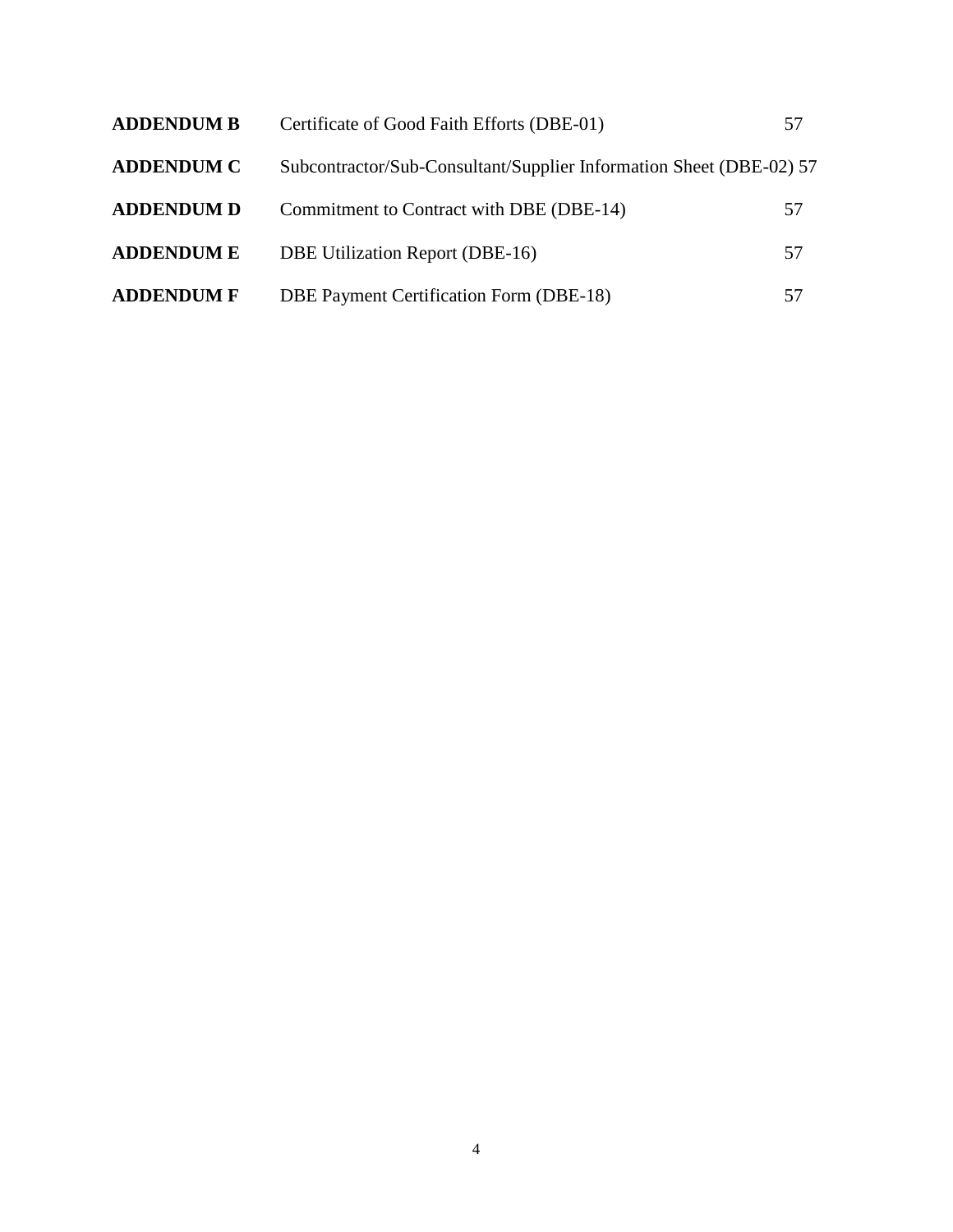| <b>ADDENDUM B</b> | Certificate of Good Faith Efforts (DBE-01)                          | 57 |
|-------------------|---------------------------------------------------------------------|----|
| <b>ADDENDUM C</b> | Subcontractor/Sub-Consultant/Supplier Information Sheet (DBE-02) 57 |    |
| <b>ADDENDUM D</b> | Commitment to Contract with DBE (DBE-14)                            | 57 |
| <b>ADDENDUM E</b> | DBE Utilization Report (DBE-16)                                     | 57 |
| <b>ADDENDUM F</b> | DBE Payment Certification Form (DBE-18)                             | 57 |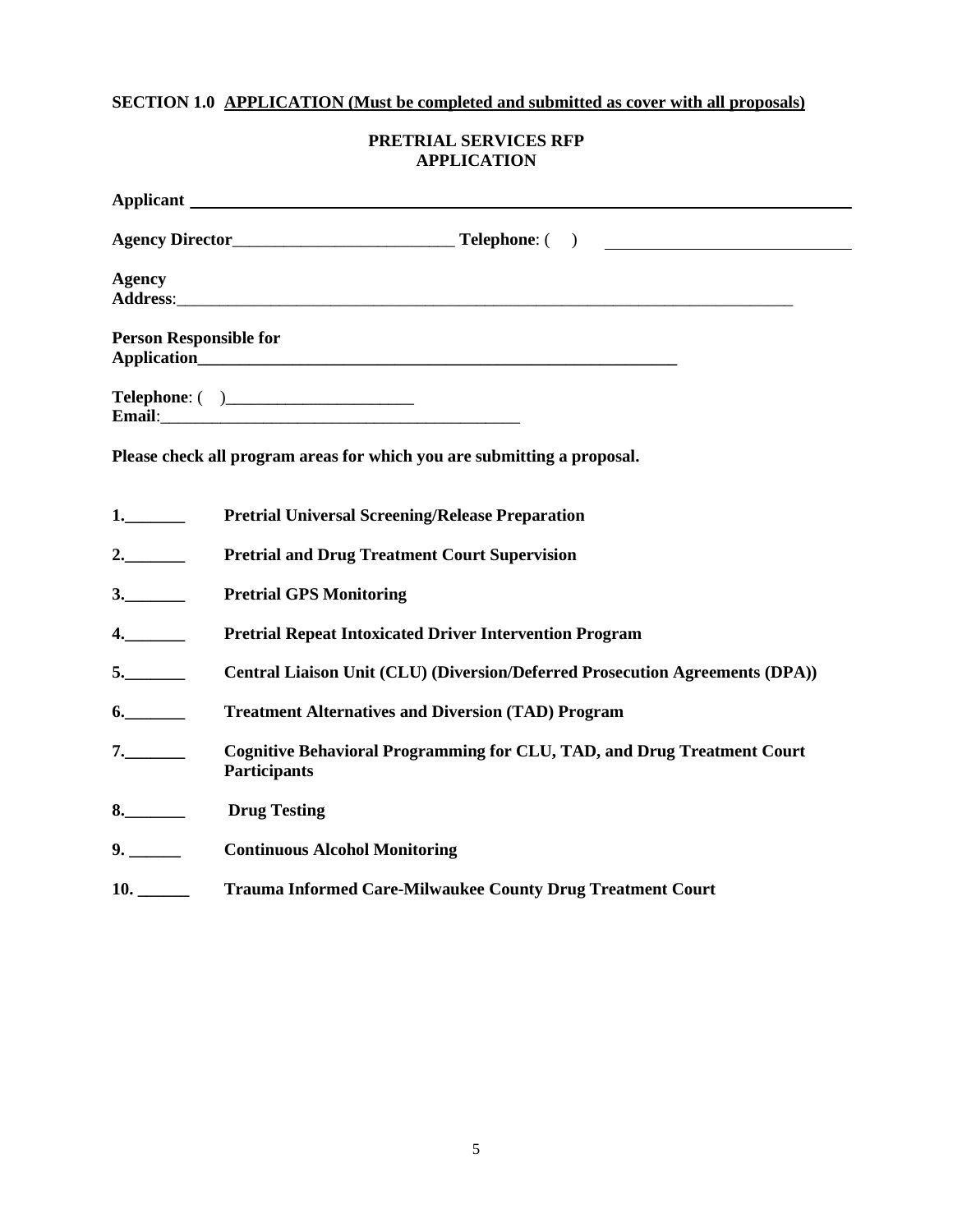# **SECTION 1.0 APPLICATION (Must be completed and submitted as cover with all proposals)**

| <b>PRETRIAL SERVICES RFP</b> |
|------------------------------|
| <b>APPLICATION</b>           |

|                               | Applicant <u>the contract of the contract of the contract of the contract of the contract of the contract of the contract of the contract of the contract of the contract of the contract of the contract of the contract of the</u> |
|-------------------------------|--------------------------------------------------------------------------------------------------------------------------------------------------------------------------------------------------------------------------------------|
|                               |                                                                                                                                                                                                                                      |
| <b>Agency</b>                 | Address: https://www.acceleration.com/contract/second-                                                                                                                                                                               |
| <b>Person Responsible for</b> |                                                                                                                                                                                                                                      |
|                               | <b>Telephone: ( )_________________________</b>                                                                                                                                                                                       |
|                               | Please check all program areas for which you are submitting a proposal.                                                                                                                                                              |
| 1.                            | <b>Pretrial Universal Screening/Release Preparation</b>                                                                                                                                                                              |
| 2.                            | <b>Pretrial and Drug Treatment Court Supervision</b>                                                                                                                                                                                 |
| 3.                            | <b>Pretrial GPS Monitoring</b>                                                                                                                                                                                                       |
| 4.                            | <b>Pretrial Repeat Intoxicated Driver Intervention Program</b>                                                                                                                                                                       |
| 5.                            | Central Liaison Unit (CLU) (Diversion/Deferred Prosecution Agreements (DPA))                                                                                                                                                         |
| 6.                            | <b>Treatment Alternatives and Diversion (TAD) Program</b>                                                                                                                                                                            |
| 7.                            | <b>Cognitive Behavioral Programming for CLU, TAD, and Drug Treatment Court</b><br><b>Participants</b>                                                                                                                                |
| 8.                            | <b>Drug Testing</b>                                                                                                                                                                                                                  |
| 9.                            | <b>Continuous Alcohol Monitoring</b>                                                                                                                                                                                                 |
| 10.                           | <b>Trauma Informed Care-Milwaukee County Drug Treatment Court</b>                                                                                                                                                                    |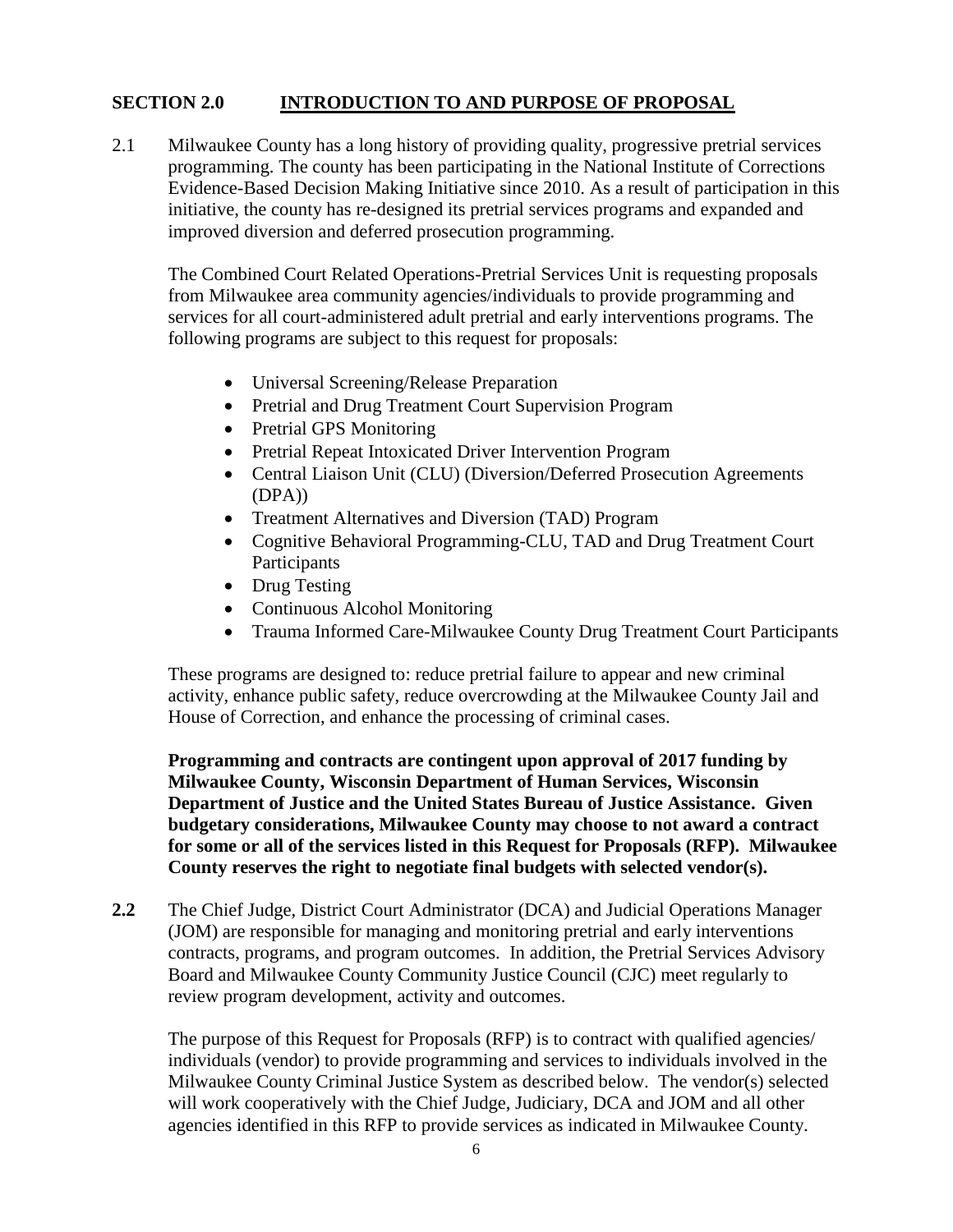# **SECTION 2.0 INTRODUCTION TO AND PURPOSE OF PROPOSAL**

2.1 Milwaukee County has a long history of providing quality, progressive pretrial services programming. The county has been participating in the National Institute of Corrections Evidence-Based Decision Making Initiative since 2010. As a result of participation in this initiative, the county has re-designed its pretrial services programs and expanded and improved diversion and deferred prosecution programming.

The Combined Court Related Operations-Pretrial Services Unit is requesting proposals from Milwaukee area community agencies/individuals to provide programming and services for all court-administered adult pretrial and early interventions programs. The following programs are subject to this request for proposals:

- Universal Screening/Release Preparation
- Pretrial and Drug Treatment Court Supervision Program
- Pretrial GPS Monitoring
- Pretrial Repeat Intoxicated Driver Intervention Program
- Central Liaison Unit (CLU) (Diversion/Deferred Prosecution Agreements (DPA))
- Treatment Alternatives and Diversion (TAD) Program
- Cognitive Behavioral Programming-CLU, TAD and Drug Treatment Court Participants
- Drug Testing
- Continuous Alcohol Monitoring
- Trauma Informed Care-Milwaukee County Drug Treatment Court Participants

These programs are designed to: reduce pretrial failure to appear and new criminal activity, enhance public safety, reduce overcrowding at the Milwaukee County Jail and House of Correction, and enhance the processing of criminal cases.

**Programming and contracts are contingent upon approval of 2017 funding by Milwaukee County, Wisconsin Department of Human Services, Wisconsin Department of Justice and the United States Bureau of Justice Assistance. Given budgetary considerations, Milwaukee County may choose to not award a contract for some or all of the services listed in this Request for Proposals (RFP). Milwaukee County reserves the right to negotiate final budgets with selected vendor(s).**

**2.2** The Chief Judge, District Court Administrator (DCA) and Judicial Operations Manager (JOM) are responsible for managing and monitoring pretrial and early interventions contracts, programs, and program outcomes. In addition, the Pretrial Services Advisory Board and Milwaukee County Community Justice Council (CJC) meet regularly to review program development, activity and outcomes.

The purpose of this Request for Proposals (RFP) is to contract with qualified agencies/ individuals (vendor) to provide programming and services to individuals involved in the Milwaukee County Criminal Justice System as described below. The vendor(s) selected will work cooperatively with the Chief Judge, Judiciary, DCA and JOM and all other agencies identified in this RFP to provide services as indicated in Milwaukee County.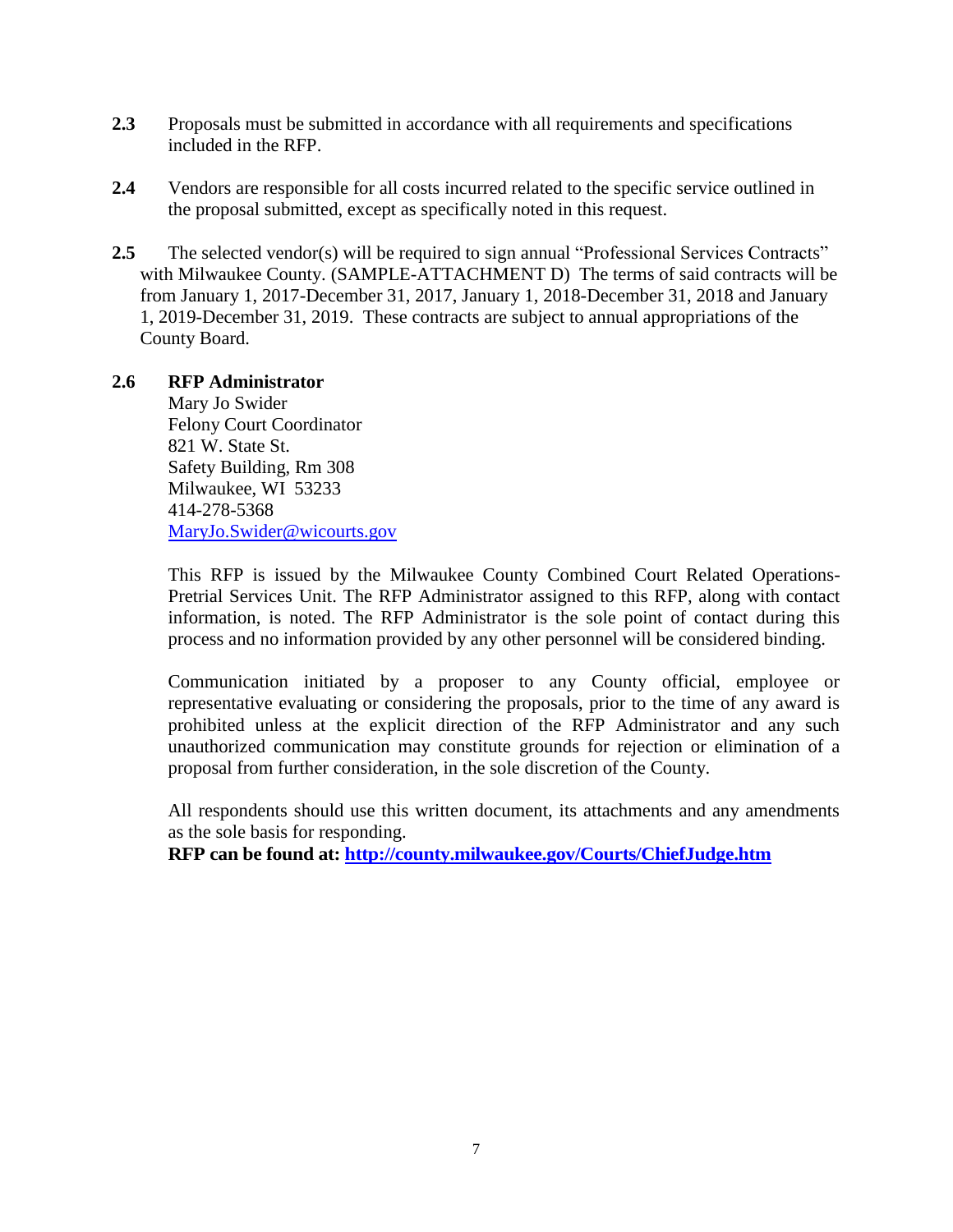- **2.3** Proposals must be submitted in accordance with all requirements and specifications included in the RFP.
- **2.4** Vendors are responsible for all costs incurred related to the specific service outlined in the proposal submitted, except as specifically noted in this request.
- **2.5** The selected vendor(s) will be required to sign annual "Professional Services Contracts" with Milwaukee County. (SAMPLE-ATTACHMENT D) The terms of said contracts will be from January 1, 2017-December 31, 2017, January 1, 2018-December 31, 2018 and January 1, 2019-December 31, 2019. These contracts are subject to annual appropriations of the County Board.

### **2.6 RFP Administrator** Mary Jo Swider

Felony Court Coordinator 821 W. State St. Safety Building, Rm 308 Milwaukee, WI 53233 414-278-5368 [MaryJo.Swider@wicourts.gov](mailto:Holly.Szablewski@wicourts.gov)

This RFP is issued by the Milwaukee County Combined Court Related Operations-Pretrial Services Unit. The RFP Administrator assigned to this RFP, along with contact information, is noted. The RFP Administrator is the sole point of contact during this process and no information provided by any other personnel will be considered binding.

Communication initiated by a proposer to any County official, employee or representative evaluating or considering the proposals, prior to the time of any award is prohibited unless at the explicit direction of the RFP Administrator and any such unauthorized communication may constitute grounds for rejection or elimination of a proposal from further consideration, in the sole discretion of the County.

All respondents should use this written document, its attachments and any amendments as the sole basis for responding.

**RFP can be found at:<http://county.milwaukee.gov/Courts/ChiefJudge.htm>**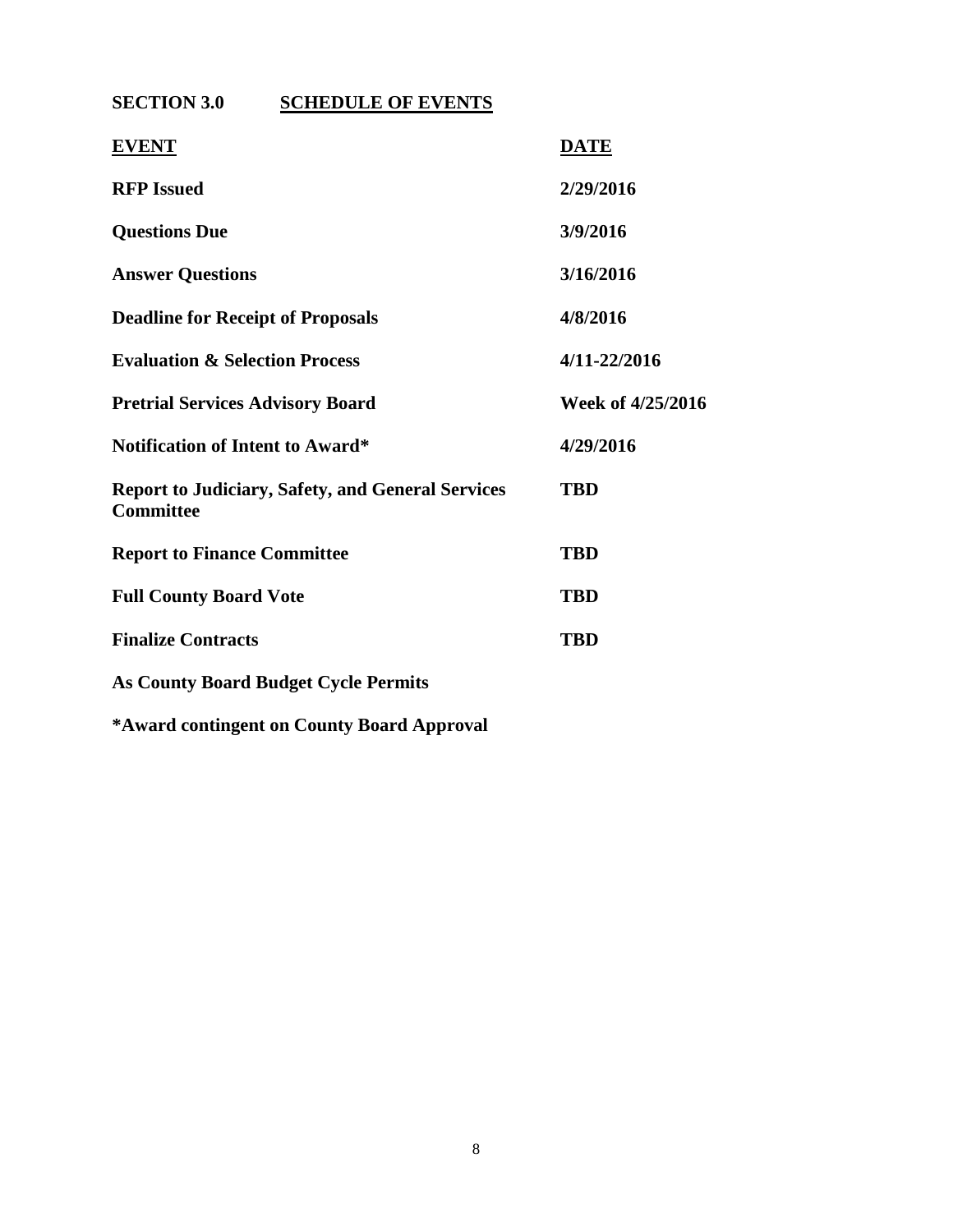**SECTION 3.0 SCHEDULE OF EVENTS**

| <b>EVENT</b>                                                                 | <b>DATE</b>       |
|------------------------------------------------------------------------------|-------------------|
| <b>RFP</b> Issued                                                            | 2/29/2016         |
| <b>Questions Due</b>                                                         | 3/9/2016          |
| <b>Answer Questions</b>                                                      | 3/16/2016         |
| <b>Deadline for Receipt of Proposals</b>                                     | 4/8/2016          |
| <b>Evaluation &amp; Selection Process</b>                                    | 4/11-22/2016      |
| <b>Pretrial Services Advisory Board</b>                                      | Week of 4/25/2016 |
| <b>Notification of Intent to Award*</b>                                      | 4/29/2016         |
| <b>Report to Judiciary, Safety, and General Services</b><br><b>Committee</b> | <b>TBD</b>        |
| <b>Report to Finance Committee</b>                                           | <b>TBD</b>        |
| <b>Full County Board Vote</b>                                                | <b>TBD</b>        |
| <b>Finalize Contracts</b>                                                    | <b>TBD</b>        |
| <b>As County Board Budget Cycle Permits</b>                                  |                   |
|                                                                              |                   |

**\*Award contingent on County Board Approval**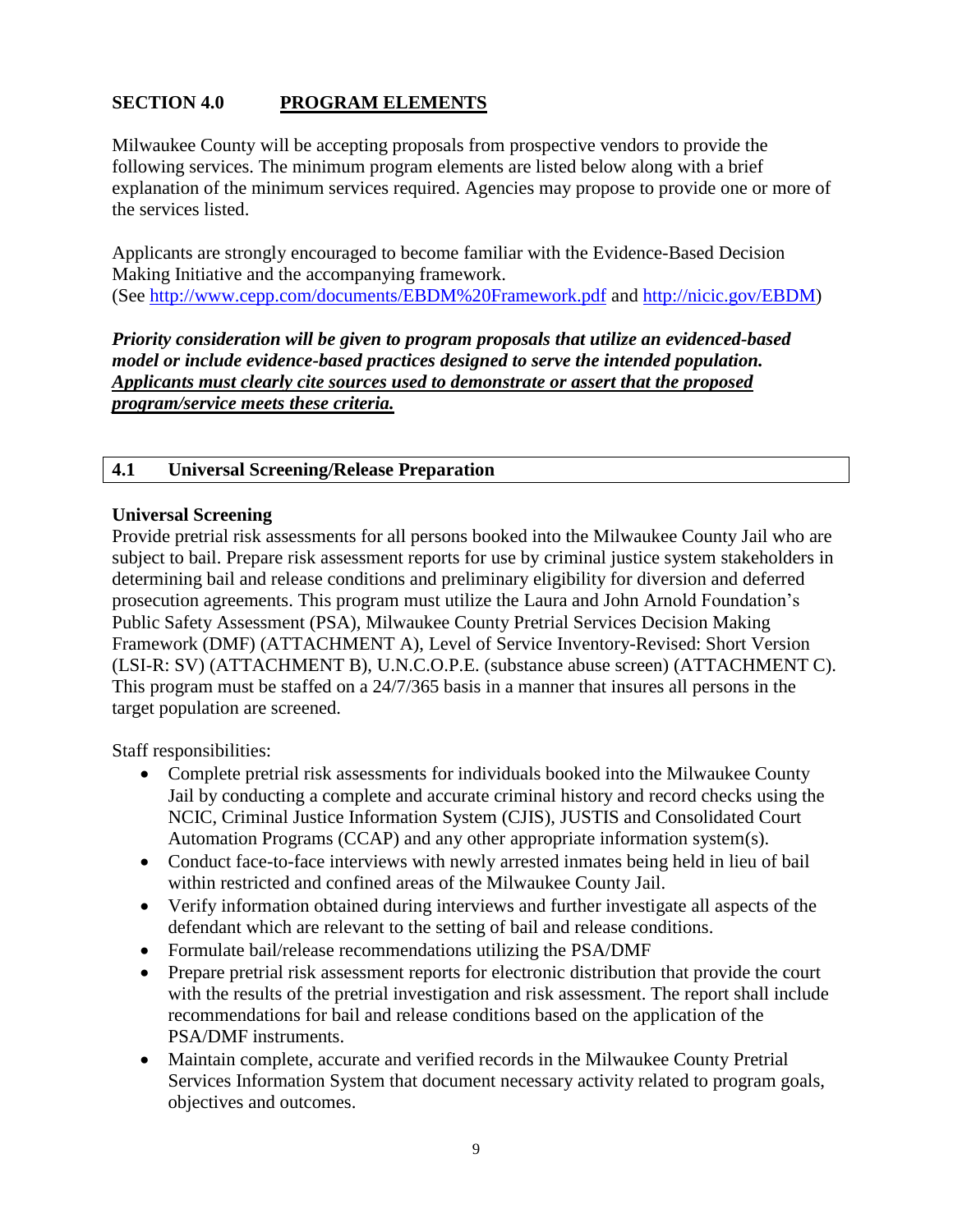# **SECTION 4.0 PROGRAM ELEMENTS**

Milwaukee County will be accepting proposals from prospective vendors to provide the following services. The minimum program elements are listed below along with a brief explanation of the minimum services required. Agencies may propose to provide one or more of the services listed.

Applicants are strongly encouraged to become familiar with the Evidence-Based Decision Making Initiative and the accompanying framework. (See<http://www.cepp.com/documents/EBDM%20Framework.pdf> and [http://nicic.gov/EBDM\)](http://nicic.gov/EBDM)

*Priority consideration will be given to program proposals that utilize an evidenced-based model or include evidence-based practices designed to serve the intended population. Applicants must clearly cite sources used to demonstrate or assert that the proposed program/service meets these criteria.*

### **4.1 Universal Screening/Release Preparation**

### **Universal Screening**

Provide pretrial risk assessments for all persons booked into the Milwaukee County Jail who are subject to bail. Prepare risk assessment reports for use by criminal justice system stakeholders in determining bail and release conditions and preliminary eligibility for diversion and deferred prosecution agreements. This program must utilize the Laura and John Arnold Foundation's Public Safety Assessment (PSA), Milwaukee County Pretrial Services Decision Making Framework (DMF) (ATTACHMENT A), Level of Service Inventory-Revised: Short Version (LSI-R: SV) (ATTACHMENT B), U.N.C.O.P.E. (substance abuse screen) (ATTACHMENT C). This program must be staffed on a 24/7/365 basis in a manner that insures all persons in the target population are screened.

Staff responsibilities:

- Complete pretrial risk assessments for individuals booked into the Milwaukee County Jail by conducting a complete and accurate criminal history and record checks using the NCIC, Criminal Justice Information System (CJIS), JUSTIS and Consolidated Court Automation Programs (CCAP) and any other appropriate information system(s).
- Conduct face-to-face interviews with newly arrested inmates being held in lieu of bail within restricted and confined areas of the Milwaukee County Jail.
- Verify information obtained during interviews and further investigate all aspects of the defendant which are relevant to the setting of bail and release conditions.
- Formulate bail/release recommendations utilizing the PSA/DMF
- Prepare pretrial risk assessment reports for electronic distribution that provide the court with the results of the pretrial investigation and risk assessment. The report shall include recommendations for bail and release conditions based on the application of the PSA/DMF instruments.
- Maintain complete, accurate and verified records in the Milwaukee County Pretrial Services Information System that document necessary activity related to program goals, objectives and outcomes.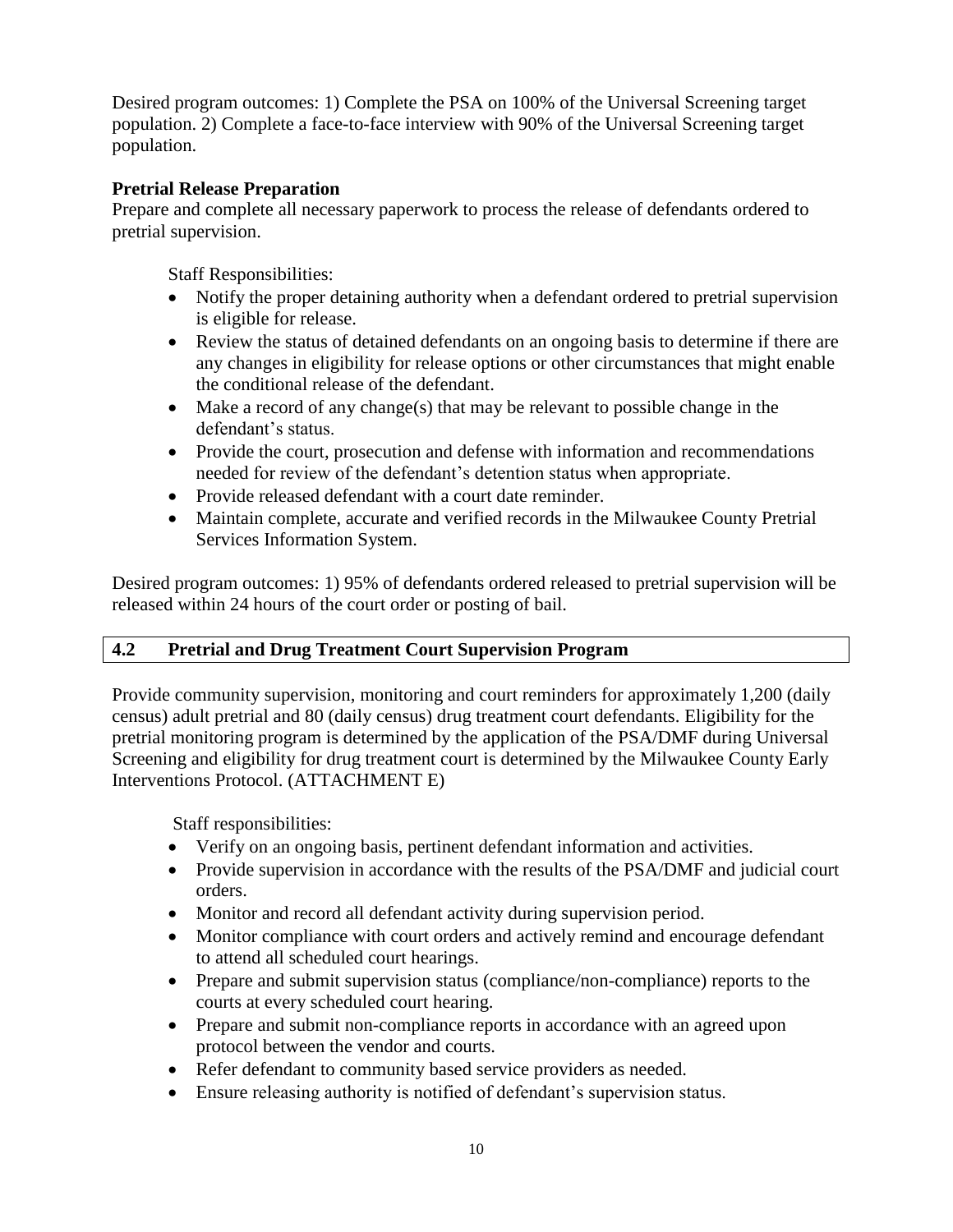Desired program outcomes: 1) Complete the PSA on 100% of the Universal Screening target population. 2) Complete a face-to-face interview with 90% of the Universal Screening target population.

# **Pretrial Release Preparation**

Prepare and complete all necessary paperwork to process the release of defendants ordered to pretrial supervision.

Staff Responsibilities:

- Notify the proper detaining authority when a defendant ordered to pretrial supervision is eligible for release.
- Review the status of detained defendants on an ongoing basis to determine if there are any changes in eligibility for release options or other circumstances that might enable the conditional release of the defendant.
- $\bullet$  Make a record of any change(s) that may be relevant to possible change in the defendant's status.
- Provide the court, prosecution and defense with information and recommendations needed for review of the defendant's detention status when appropriate.
- Provide released defendant with a court date reminder.
- Maintain complete, accurate and verified records in the Milwaukee County Pretrial Services Information System.

Desired program outcomes: 1) 95% of defendants ordered released to pretrial supervision will be released within 24 hours of the court order or posting of bail.

# **4.2 Pretrial and Drug Treatment Court Supervision Program**

Provide community supervision, monitoring and court reminders for approximately 1,200 (daily census) adult pretrial and 80 (daily census) drug treatment court defendants. Eligibility for the pretrial monitoring program is determined by the application of the PSA/DMF during Universal Screening and eligibility for drug treatment court is determined by the Milwaukee County Early Interventions Protocol. (ATTACHMENT E)

Staff responsibilities:

- Verify on an ongoing basis, pertinent defendant information and activities.
- Provide supervision in accordance with the results of the PSA/DMF and judicial court orders.
- Monitor and record all defendant activity during supervision period.
- Monitor compliance with court orders and actively remind and encourage defendant to attend all scheduled court hearings.
- Prepare and submit supervision status (compliance/non-compliance) reports to the courts at every scheduled court hearing.
- Prepare and submit non-compliance reports in accordance with an agreed upon protocol between the vendor and courts.
- Refer defendant to community based service providers as needed.
- Ensure releasing authority is notified of defendant's supervision status.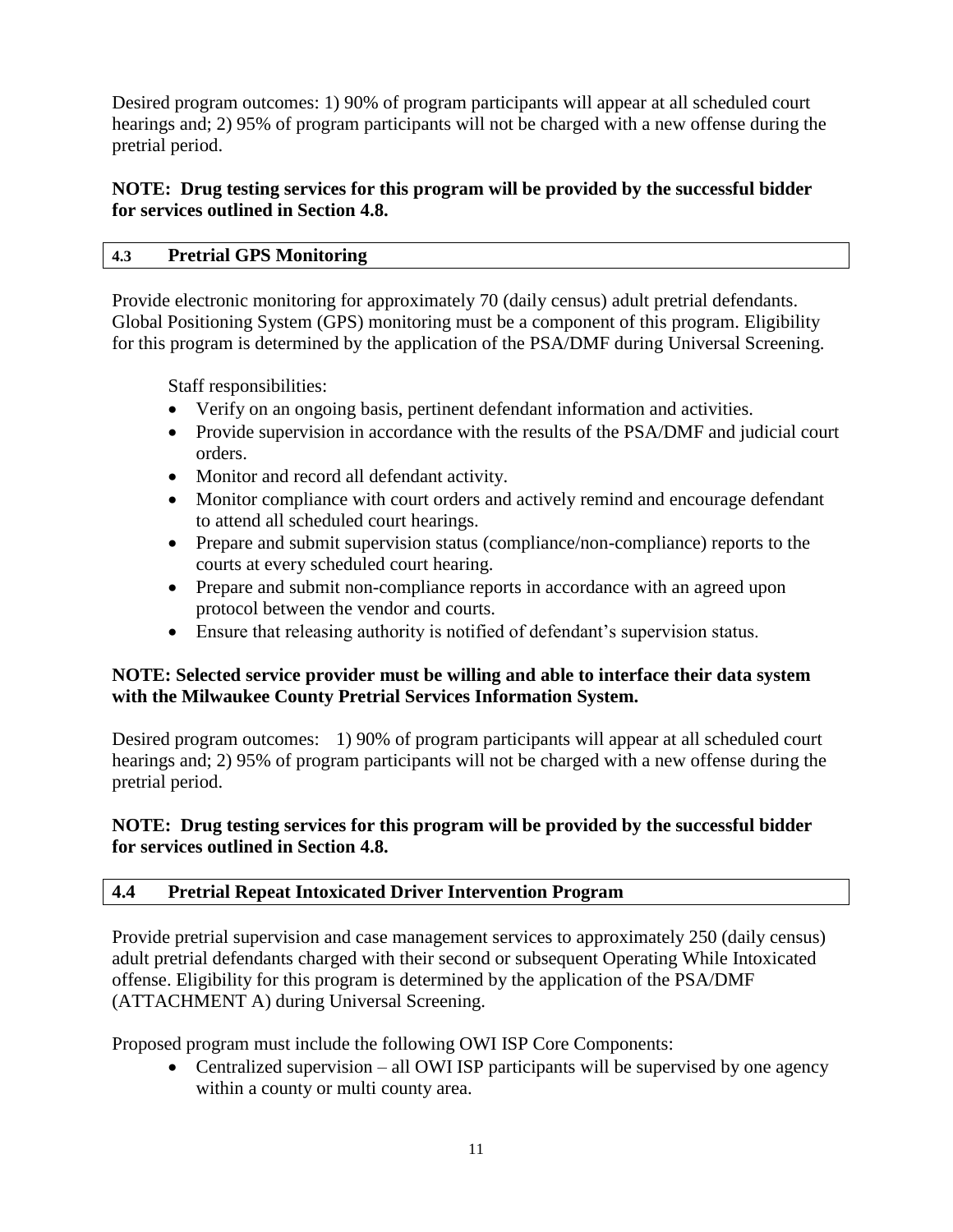Desired program outcomes: 1) 90% of program participants will appear at all scheduled court hearings and; 2) 95% of program participants will not be charged with a new offense during the pretrial period.

# **NOTE: Drug testing services for this program will be provided by the successful bidder for services outlined in Section 4.8.**

# **4.3 Pretrial GPS Monitoring**

Provide electronic monitoring for approximately 70 (daily census) adult pretrial defendants. Global Positioning System (GPS) monitoring must be a component of this program. Eligibility for this program is determined by the application of the PSA/DMF during Universal Screening.

Staff responsibilities:

- Verify on an ongoing basis, pertinent defendant information and activities.
- Provide supervision in accordance with the results of the PSA/DMF and judicial court orders.
- Monitor and record all defendant activity.
- Monitor compliance with court orders and actively remind and encourage defendant to attend all scheduled court hearings.
- Prepare and submit supervision status (compliance/non-compliance) reports to the courts at every scheduled court hearing.
- Prepare and submit non-compliance reports in accordance with an agreed upon protocol between the vendor and courts.
- Ensure that releasing authority is notified of defendant's supervision status.

# **NOTE: Selected service provider must be willing and able to interface their data system with the Milwaukee County Pretrial Services Information System.**

Desired program outcomes: 1) 90% of program participants will appear at all scheduled court hearings and; 2) 95% of program participants will not be charged with a new offense during the pretrial period.

# **NOTE: Drug testing services for this program will be provided by the successful bidder for services outlined in Section 4.8.**

# **4.4 Pretrial Repeat Intoxicated Driver Intervention Program**

Provide pretrial supervision and case management services to approximately 250 (daily census) adult pretrial defendants charged with their second or subsequent Operating While Intoxicated offense. Eligibility for this program is determined by the application of the PSA/DMF (ATTACHMENT A) during Universal Screening.

Proposed program must include the following OWI ISP Core Components:

• Centralized supervision – all OWI ISP participants will be supervised by one agency within a county or multi county area.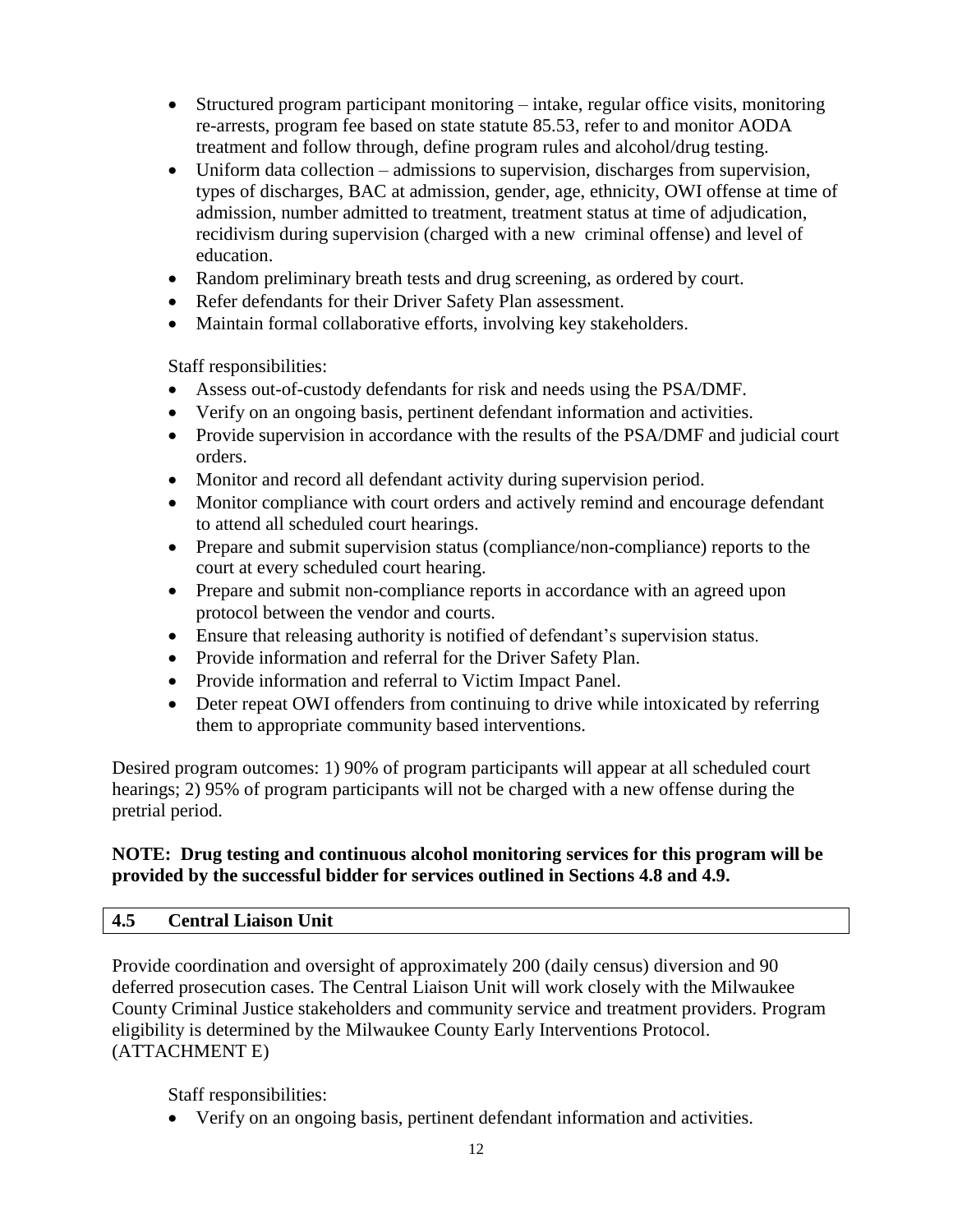- Structured program participant monitoring intake, regular office visits, monitoring re-arrests, program fee based on state statute 85.53, refer to and monitor AODA treatment and follow through, define program rules and alcohol/drug testing.
- Uniform data collection admissions to supervision, discharges from supervision, types of discharges, BAC at admission, gender, age, ethnicity, OWI offense at time of admission, number admitted to treatment, treatment status at time of adjudication, recidivism during supervision (charged with a new criminal offense) and level of education.
- Random preliminary breath tests and drug screening, as ordered by court.
- Refer defendants for their Driver Safety Plan assessment.
- Maintain formal collaborative efforts, involving key stakeholders.

Staff responsibilities:

- Assess out-of-custody defendants for risk and needs using the PSA/DMF.
- Verify on an ongoing basis, pertinent defendant information and activities.
- Provide supervision in accordance with the results of the PSA/DMF and judicial court orders.
- Monitor and record all defendant activity during supervision period.
- Monitor compliance with court orders and actively remind and encourage defendant to attend all scheduled court hearings.
- Prepare and submit supervision status (compliance/non-compliance) reports to the court at every scheduled court hearing.
- Prepare and submit non-compliance reports in accordance with an agreed upon protocol between the vendor and courts.
- Ensure that releasing authority is notified of defendant's supervision status.
- Provide information and referral for the Driver Safety Plan.
- Provide information and referral to Victim Impact Panel.
- Deter repeat OWI offenders from continuing to drive while intoxicated by referring them to appropriate community based interventions.

Desired program outcomes: 1) 90% of program participants will appear at all scheduled court hearings; 2) 95% of program participants will not be charged with a new offense during the pretrial period.

# **NOTE: Drug testing and continuous alcohol monitoring services for this program will be provided by the successful bidder for services outlined in Sections 4.8 and 4.9.**

# **4.5 Central Liaison Unit**

Provide coordination and oversight of approximately 200 (daily census) diversion and 90 deferred prosecution cases. The Central Liaison Unit will work closely with the Milwaukee County Criminal Justice stakeholders and community service and treatment providers. Program eligibility is determined by the Milwaukee County Early Interventions Protocol. (ATTACHMENT E)

Staff responsibilities:

Verify on an ongoing basis, pertinent defendant information and activities.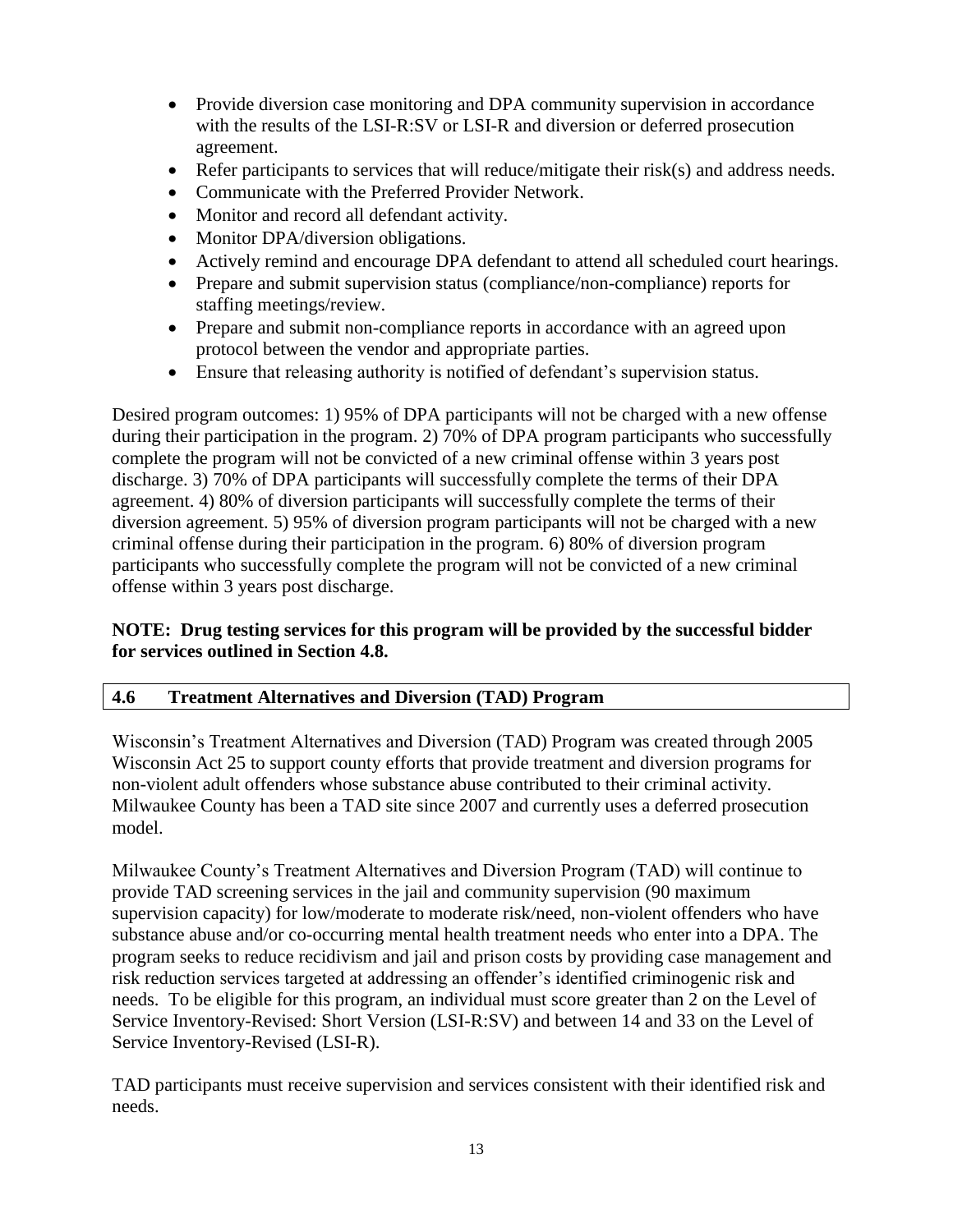- Provide diversion case monitoring and DPA community supervision in accordance with the results of the LSI-R:SV or LSI-R and diversion or deferred prosecution agreement.
- Refer participants to services that will reduce/mitigate their risk(s) and address needs.
- Communicate with the Preferred Provider Network.
- Monitor and record all defendant activity.
- Monitor DPA/diversion obligations.
- Actively remind and encourage DPA defendant to attend all scheduled court hearings.
- Prepare and submit supervision status (compliance/non-compliance) reports for staffing meetings/review.
- Prepare and submit non-compliance reports in accordance with an agreed upon protocol between the vendor and appropriate parties.
- Ensure that releasing authority is notified of defendant's supervision status.

Desired program outcomes: 1) 95% of DPA participants will not be charged with a new offense during their participation in the program. 2) 70% of DPA program participants who successfully complete the program will not be convicted of a new criminal offense within 3 years post discharge. 3) 70% of DPA participants will successfully complete the terms of their DPA agreement. 4) 80% of diversion participants will successfully complete the terms of their diversion agreement. 5) 95% of diversion program participants will not be charged with a new criminal offense during their participation in the program. 6) 80% of diversion program participants who successfully complete the program will not be convicted of a new criminal offense within 3 years post discharge.

# **NOTE: Drug testing services for this program will be provided by the successful bidder for services outlined in Section 4.8.**

# **4.6 Treatment Alternatives and Diversion (TAD) Program**

Wisconsin's Treatment Alternatives and Diversion (TAD) Program was created through 2005 Wisconsin Act 25 to support county efforts that provide treatment and diversion programs for non-violent adult offenders whose substance abuse contributed to their criminal activity. Milwaukee County has been a TAD site since 2007 and currently uses a deferred prosecution model.

Milwaukee County's Treatment Alternatives and Diversion Program (TAD) will continue to provide TAD screening services in the jail and community supervision (90 maximum supervision capacity) for low/moderate to moderate risk/need, non-violent offenders who have substance abuse and/or co-occurring mental health treatment needs who enter into a DPA. The program seeks to reduce recidivism and jail and prison costs by providing case management and risk reduction services targeted at addressing an offender's identified criminogenic risk and needs. To be eligible for this program, an individual must score greater than 2 on the Level of Service Inventory-Revised: Short Version (LSI-R:SV) and between 14 and 33 on the Level of Service Inventory-Revised (LSI-R).

TAD participants must receive supervision and services consistent with their identified risk and needs.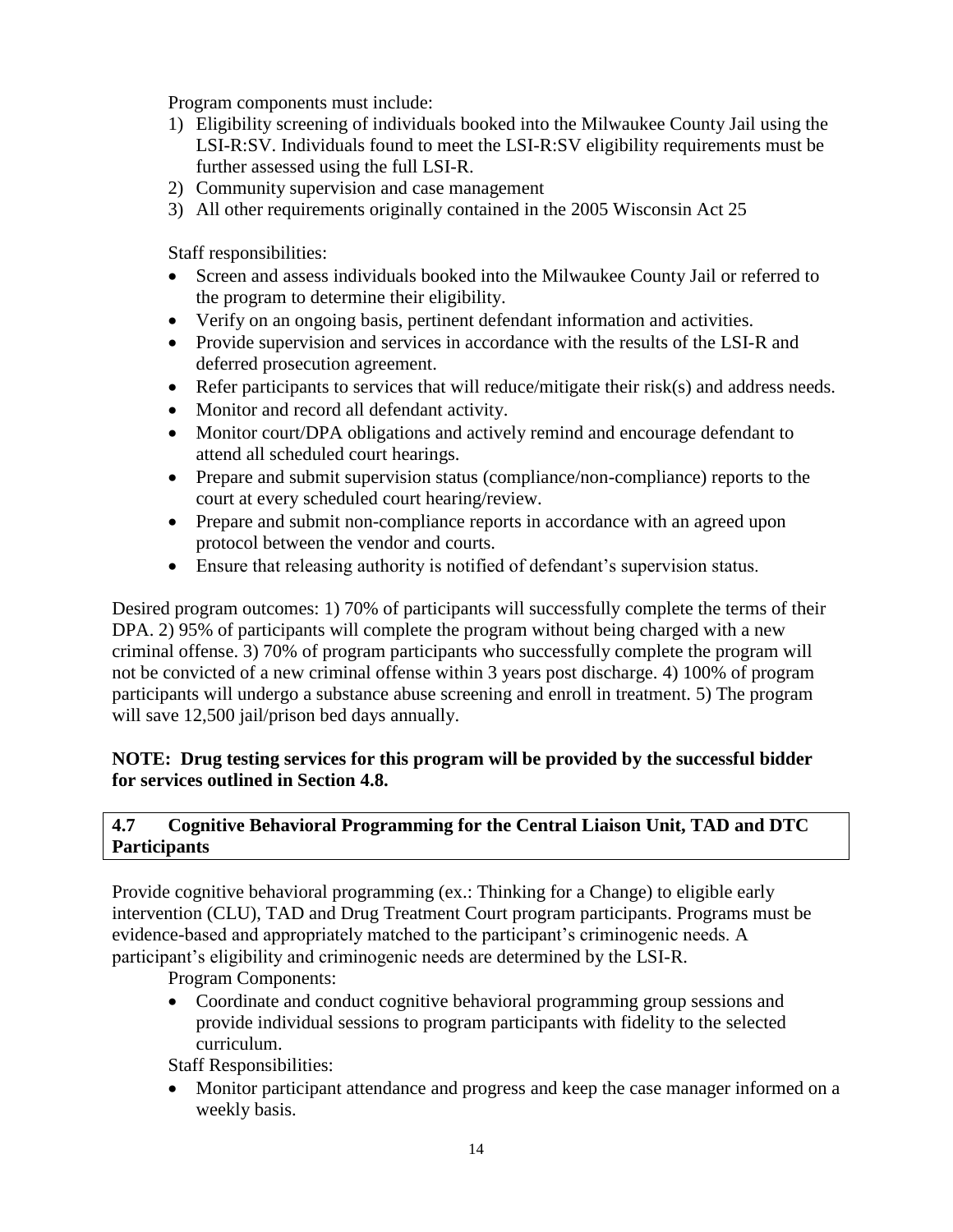Program components must include:

- 1) Eligibility screening of individuals booked into the Milwaukee County Jail using the LSI-R:SV. Individuals found to meet the LSI-R:SV eligibility requirements must be further assessed using the full LSI-R.
- 2) Community supervision and case management
- 3) All other requirements originally contained in the 2005 Wisconsin Act 25

Staff responsibilities:

- Screen and assess individuals booked into the Milwaukee County Jail or referred to the program to determine their eligibility.
- Verify on an ongoing basis, pertinent defendant information and activities.
- Provide supervision and services in accordance with the results of the LSI-R and deferred prosecution agreement.
- Refer participants to services that will reduce/mitigate their risk(s) and address needs.
- Monitor and record all defendant activity.
- Monitor court/DPA obligations and actively remind and encourage defendant to attend all scheduled court hearings.
- Prepare and submit supervision status (compliance/non-compliance) reports to the court at every scheduled court hearing/review.
- Prepare and submit non-compliance reports in accordance with an agreed upon protocol between the vendor and courts.
- Ensure that releasing authority is notified of defendant's supervision status.

Desired program outcomes: 1) 70% of participants will successfully complete the terms of their DPA. 2) 95% of participants will complete the program without being charged with a new criminal offense. 3) 70% of program participants who successfully complete the program will not be convicted of a new criminal offense within 3 years post discharge. 4) 100% of program participants will undergo a substance abuse screening and enroll in treatment. 5) The program will save 12,500 jail/prison bed days annually.

# **NOTE: Drug testing services for this program will be provided by the successful bidder for services outlined in Section 4.8.**

# **4.7 Cognitive Behavioral Programming for the Central Liaison Unit, TAD and DTC Participants**

Provide cognitive behavioral programming (ex.: Thinking for a Change) to eligible early intervention (CLU), TAD and Drug Treatment Court program participants. Programs must be evidence-based and appropriately matched to the participant's criminogenic needs. A participant's eligibility and criminogenic needs are determined by the LSI-R.

Program Components:

• Coordinate and conduct cognitive behavioral programming group sessions and provide individual sessions to program participants with fidelity to the selected curriculum.

Staff Responsibilities:

 Monitor participant attendance and progress and keep the case manager informed on a weekly basis.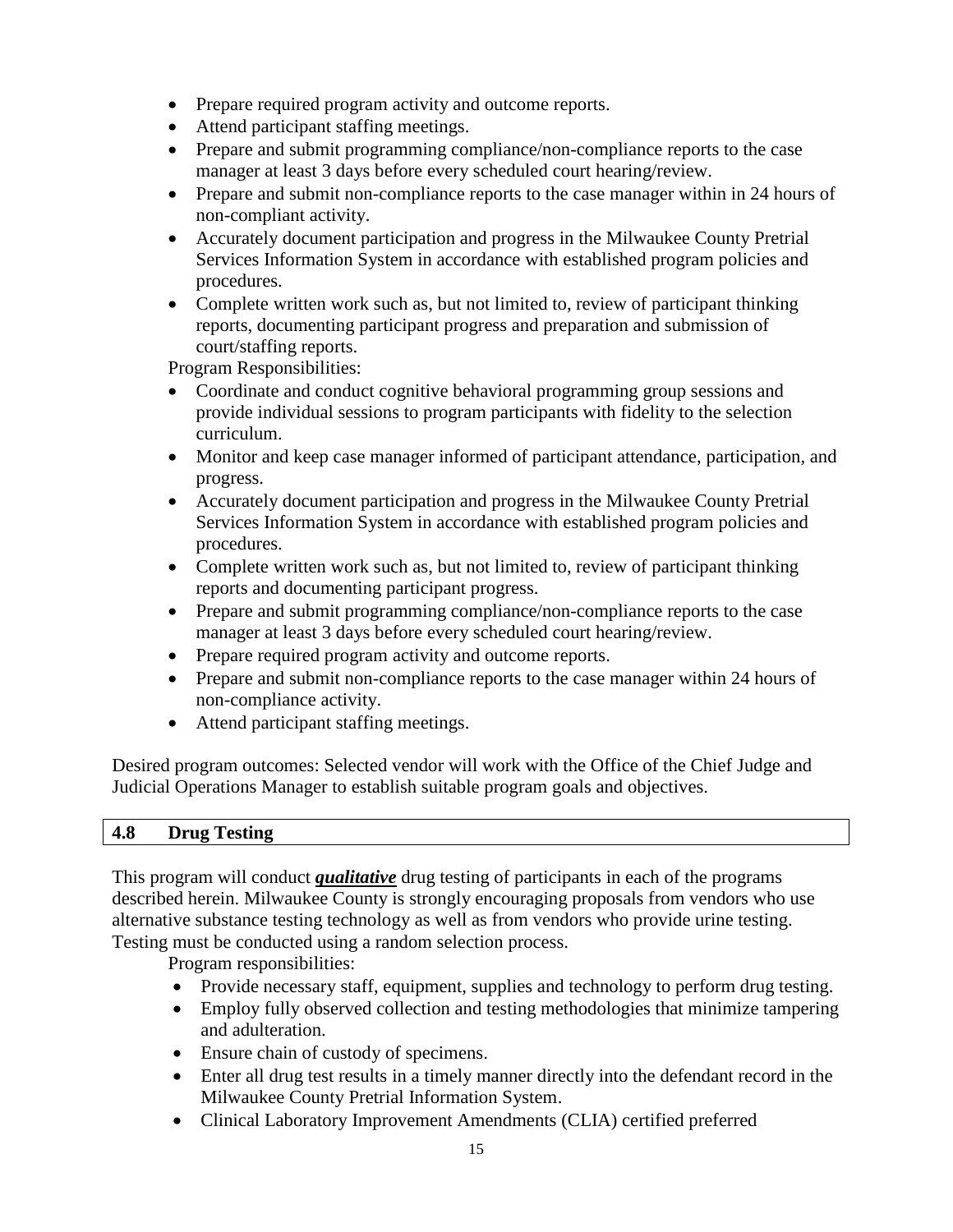- Prepare required program activity and outcome reports.
- Attend participant staffing meetings.
- Prepare and submit programming compliance/non-compliance reports to the case manager at least 3 days before every scheduled court hearing/review.
- Prepare and submit non-compliance reports to the case manager within in 24 hours of non-compliant activity.
- Accurately document participation and progress in the Milwaukee County Pretrial Services Information System in accordance with established program policies and procedures.
- Complete written work such as, but not limited to, review of participant thinking reports, documenting participant progress and preparation and submission of court/staffing reports.

Program Responsibilities:

- Coordinate and conduct cognitive behavioral programming group sessions and provide individual sessions to program participants with fidelity to the selection curriculum.
- Monitor and keep case manager informed of participant attendance, participation, and progress.
- Accurately document participation and progress in the Milwaukee County Pretrial Services Information System in accordance with established program policies and procedures.
- Complete written work such as, but not limited to, review of participant thinking reports and documenting participant progress.
- Prepare and submit programming compliance/non-compliance reports to the case manager at least 3 days before every scheduled court hearing/review.
- Prepare required program activity and outcome reports.
- Prepare and submit non-compliance reports to the case manager within 24 hours of non-compliance activity.
- Attend participant staffing meetings.

Desired program outcomes: Selected vendor will work with the Office of the Chief Judge and Judicial Operations Manager to establish suitable program goals and objectives.

# **4.8 Drug Testing**

This program will conduct *qualitative* drug testing of participants in each of the programs described herein. Milwaukee County is strongly encouraging proposals from vendors who use alternative substance testing technology as well as from vendors who provide urine testing. Testing must be conducted using a random selection process.

Program responsibilities:

- Provide necessary staff, equipment, supplies and technology to perform drug testing.
- Employ fully observed collection and testing methodologies that minimize tampering and adulteration.
- Ensure chain of custody of specimens.
- Enter all drug test results in a timely manner directly into the defendant record in the Milwaukee County Pretrial Information System.
- Clinical Laboratory Improvement Amendments (CLIA) certified preferred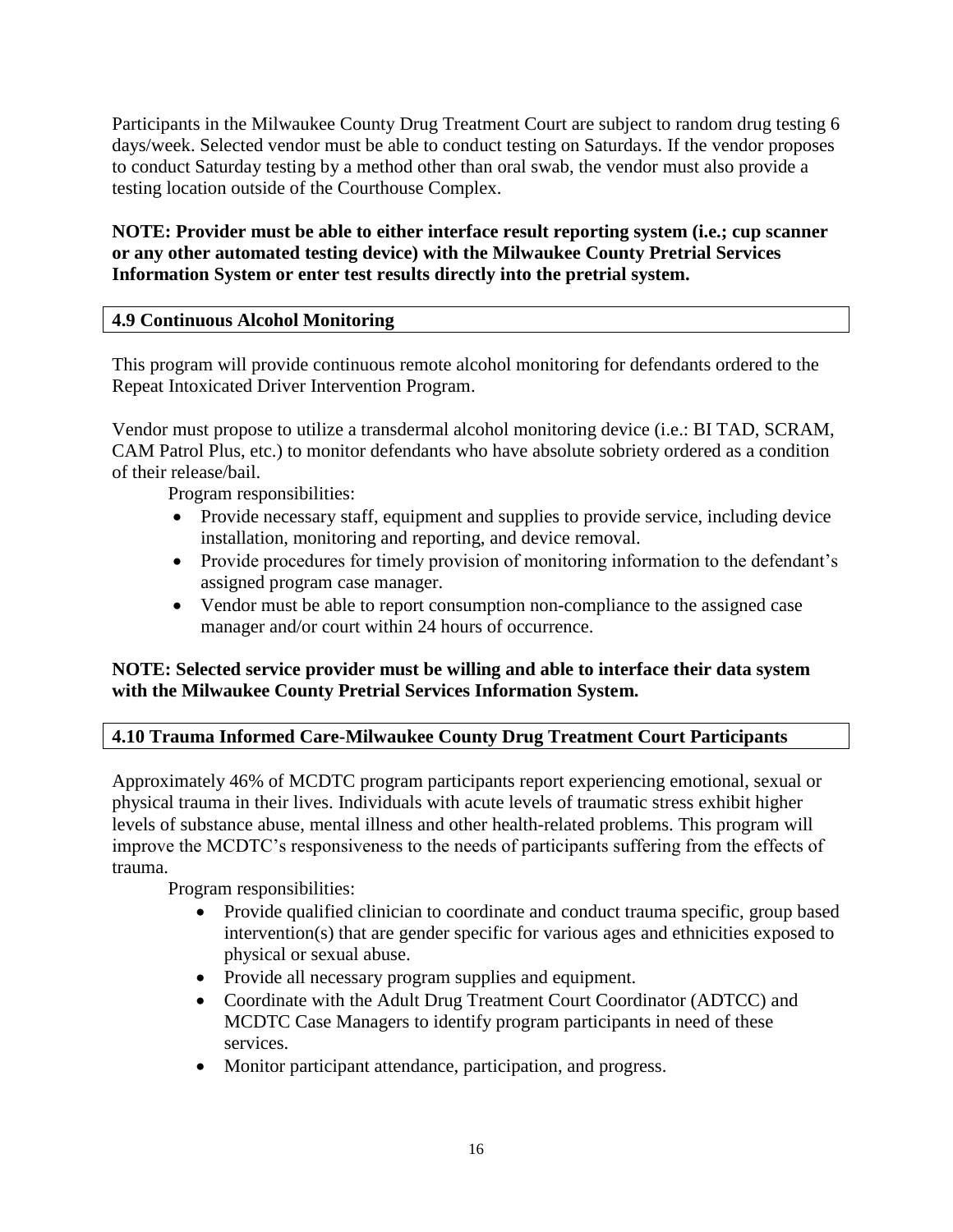Participants in the Milwaukee County Drug Treatment Court are subject to random drug testing 6 days/week. Selected vendor must be able to conduct testing on Saturdays. If the vendor proposes to conduct Saturday testing by a method other than oral swab, the vendor must also provide a testing location outside of the Courthouse Complex.

# **NOTE: Provider must be able to either interface result reporting system (i.e.; cup scanner or any other automated testing device) with the Milwaukee County Pretrial Services Information System or enter test results directly into the pretrial system.**

# **4.9 Continuous Alcohol Monitoring**

This program will provide continuous remote alcohol monitoring for defendants ordered to the Repeat Intoxicated Driver Intervention Program.

Vendor must propose to utilize a transdermal alcohol monitoring device (i.e.: BI TAD, SCRAM, CAM Patrol Plus, etc.) to monitor defendants who have absolute sobriety ordered as a condition of their release/bail.

Program responsibilities:

- Provide necessary staff, equipment and supplies to provide service, including device installation, monitoring and reporting, and device removal.
- Provide procedures for timely provision of monitoring information to the defendant's assigned program case manager.
- Vendor must be able to report consumption non-compliance to the assigned case manager and/or court within 24 hours of occurrence.

# **NOTE: Selected service provider must be willing and able to interface their data system with the Milwaukee County Pretrial Services Information System.**

# **4.10 Trauma Informed Care-Milwaukee County Drug Treatment Court Participants**

Approximately 46% of MCDTC program participants report experiencing emotional, sexual or physical trauma in their lives. Individuals with acute levels of traumatic stress exhibit higher levels of substance abuse, mental illness and other health-related problems. This program will improve the MCDTC's responsiveness to the needs of participants suffering from the effects of trauma.

Program responsibilities:

- Provide qualified clinician to coordinate and conduct trauma specific, group based intervention(s) that are gender specific for various ages and ethnicities exposed to physical or sexual abuse.
- Provide all necessary program supplies and equipment.
- Coordinate with the Adult Drug Treatment Court Coordinator (ADTCC) and MCDTC Case Managers to identify program participants in need of these services.
- Monitor participant attendance, participation, and progress.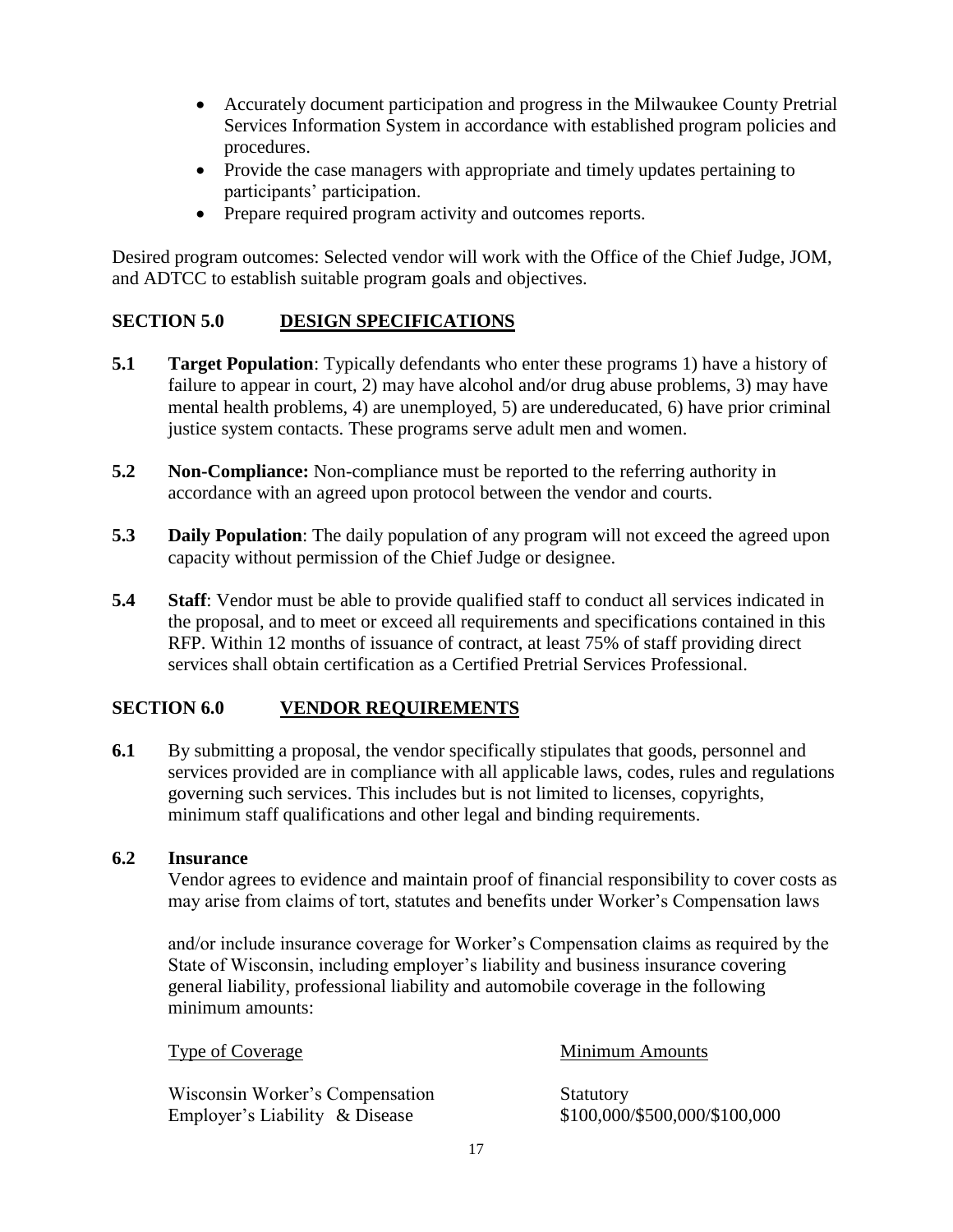- Accurately document participation and progress in the Milwaukee County Pretrial Services Information System in accordance with established program policies and procedures.
- Provide the case managers with appropriate and timely updates pertaining to participants' participation.
- Prepare required program activity and outcomes reports.

Desired program outcomes: Selected vendor will work with the Office of the Chief Judge, JOM, and ADTCC to establish suitable program goals and objectives.

# **SECTION 5.0 DESIGN SPECIFICATIONS**

- **5.1 Target Population**: Typically defendants who enter these programs 1) have a history of failure to appear in court, 2) may have alcohol and/or drug abuse problems, 3) may have mental health problems, 4) are unemployed, 5) are undereducated, 6) have prior criminal justice system contacts. These programs serve adult men and women.
- **5.2 Non-Compliance:** Non-compliance must be reported to the referring authority in accordance with an agreed upon protocol between the vendor and courts.
- **5.3** Daily Population: The daily population of any program will not exceed the agreed upon capacity without permission of the Chief Judge or designee.
- **5.4** Staff: Vendor must be able to provide qualified staff to conduct all services indicated in the proposal, and to meet or exceed all requirements and specifications contained in this RFP. Within 12 months of issuance of contract, at least 75% of staff providing direct services shall obtain certification as a Certified Pretrial Services Professional.

# **SECTION 6.0 VENDOR REQUIREMENTS**

**6.1** By submitting a proposal, the vendor specifically stipulates that goods, personnel and services provided are in compliance with all applicable laws, codes, rules and regulations governing such services. This includes but is not limited to licenses, copyrights, minimum staff qualifications and other legal and binding requirements.

### **6.2 Insurance**

Vendor agrees to evidence and maintain proof of financial responsibility to cover costs as may arise from claims of tort, statutes and benefits under Worker's Compensation laws

and/or include insurance coverage for Worker's Compensation claims as required by the State of Wisconsin, including employer's liability and business insurance covering general liability, professional liability and automobile coverage in the following minimum amounts:

| Type of Coverage                | <b>Minimum Amounts</b>        |
|---------------------------------|-------------------------------|
| Wisconsin Worker's Compensation | Statutory                     |
| Employer's Liability & Disease  | \$100,000/\$500,000/\$100,000 |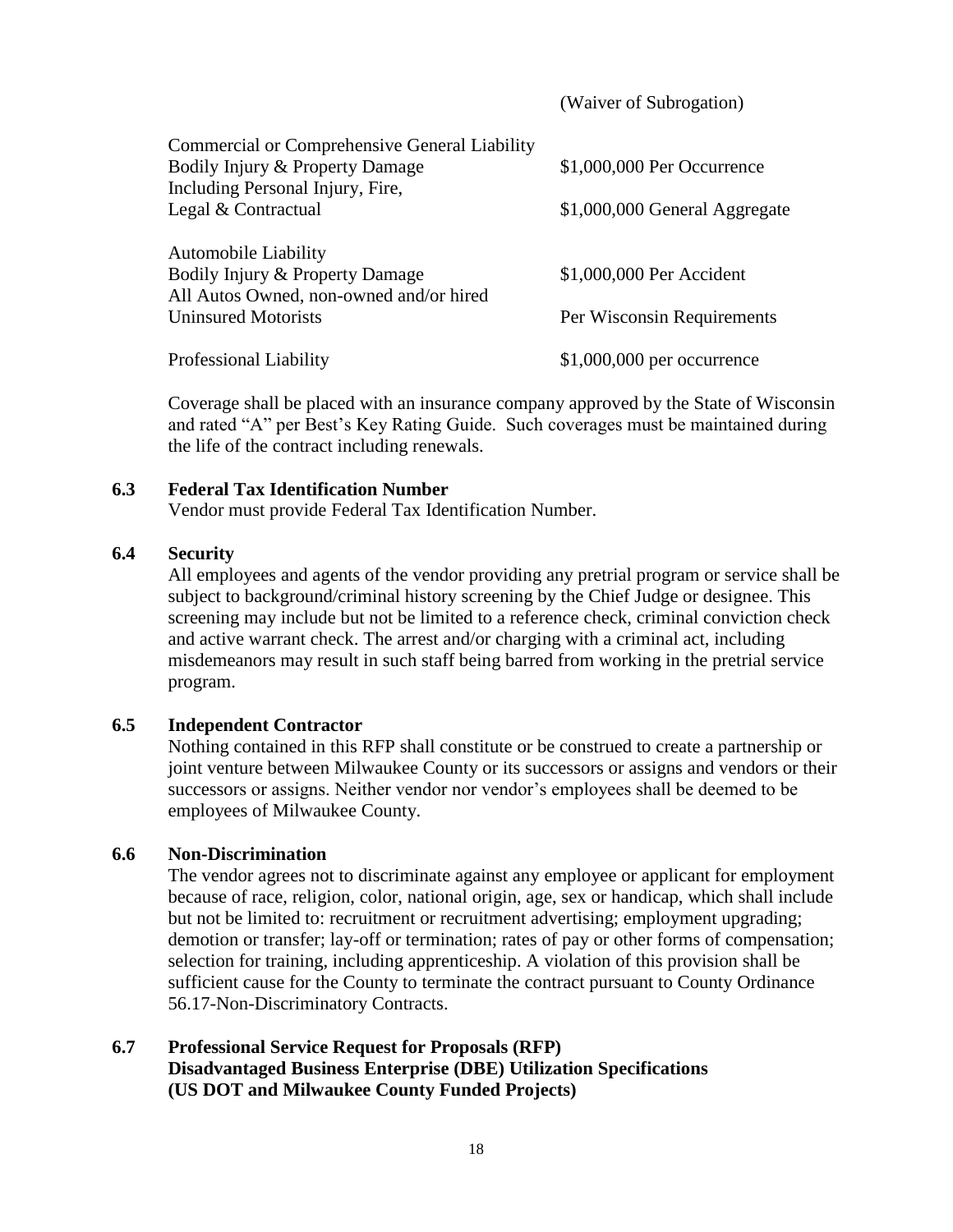|                                                                            | (Waiver of Subrogation)       |
|----------------------------------------------------------------------------|-------------------------------|
| <b>Commercial or Comprehensive General Liability</b>                       |                               |
| Bodily Injury & Property Damage                                            | \$1,000,000 Per Occurrence    |
| Including Personal Injury, Fire,                                           |                               |
| Legal & Contractual                                                        | \$1,000,000 General Aggregate |
|                                                                            |                               |
| Automobile Liability                                                       |                               |
| Bodily Injury & Property Damage<br>All Autos Owned, non-owned and/or hired | \$1,000,000 Per Accident      |
| <b>Uninsured Motorists</b>                                                 |                               |
|                                                                            | Per Wisconsin Requirements    |
| Professional Liability                                                     | $$1,000,000$ per occurrence   |

Coverage shall be placed with an insurance company approved by the State of Wisconsin and rated "A" per Best's Key Rating Guide. Such coverages must be maintained during the life of the contract including renewals.

#### **6.3 Federal Tax Identification Number**

Vendor must provide Federal Tax Identification Number.

### **6.4 Security**

All employees and agents of the vendor providing any pretrial program or service shall be subject to background/criminal history screening by the Chief Judge or designee. This screening may include but not be limited to a reference check, criminal conviction check and active warrant check. The arrest and/or charging with a criminal act, including misdemeanors may result in such staff being barred from working in the pretrial service program.

### **6.5 Independent Contractor**

Nothing contained in this RFP shall constitute or be construed to create a partnership or joint venture between Milwaukee County or its successors or assigns and vendors or their successors or assigns. Neither vendor nor vendor's employees shall be deemed to be employees of Milwaukee County.

### **6.6 Non-Discrimination**

The vendor agrees not to discriminate against any employee or applicant for employment because of race, religion, color, national origin, age, sex or handicap, which shall include but not be limited to: recruitment or recruitment advertising; employment upgrading; demotion or transfer; lay-off or termination; rates of pay or other forms of compensation; selection for training, including apprenticeship. A violation of this provision shall be sufficient cause for the County to terminate the contract pursuant to County Ordinance 56.17-Non-Discriminatory Contracts.

# **6.7 Professional Service Request for Proposals (RFP) Disadvantaged Business Enterprise (DBE) Utilization Specifications (US DOT and Milwaukee County Funded Projects)**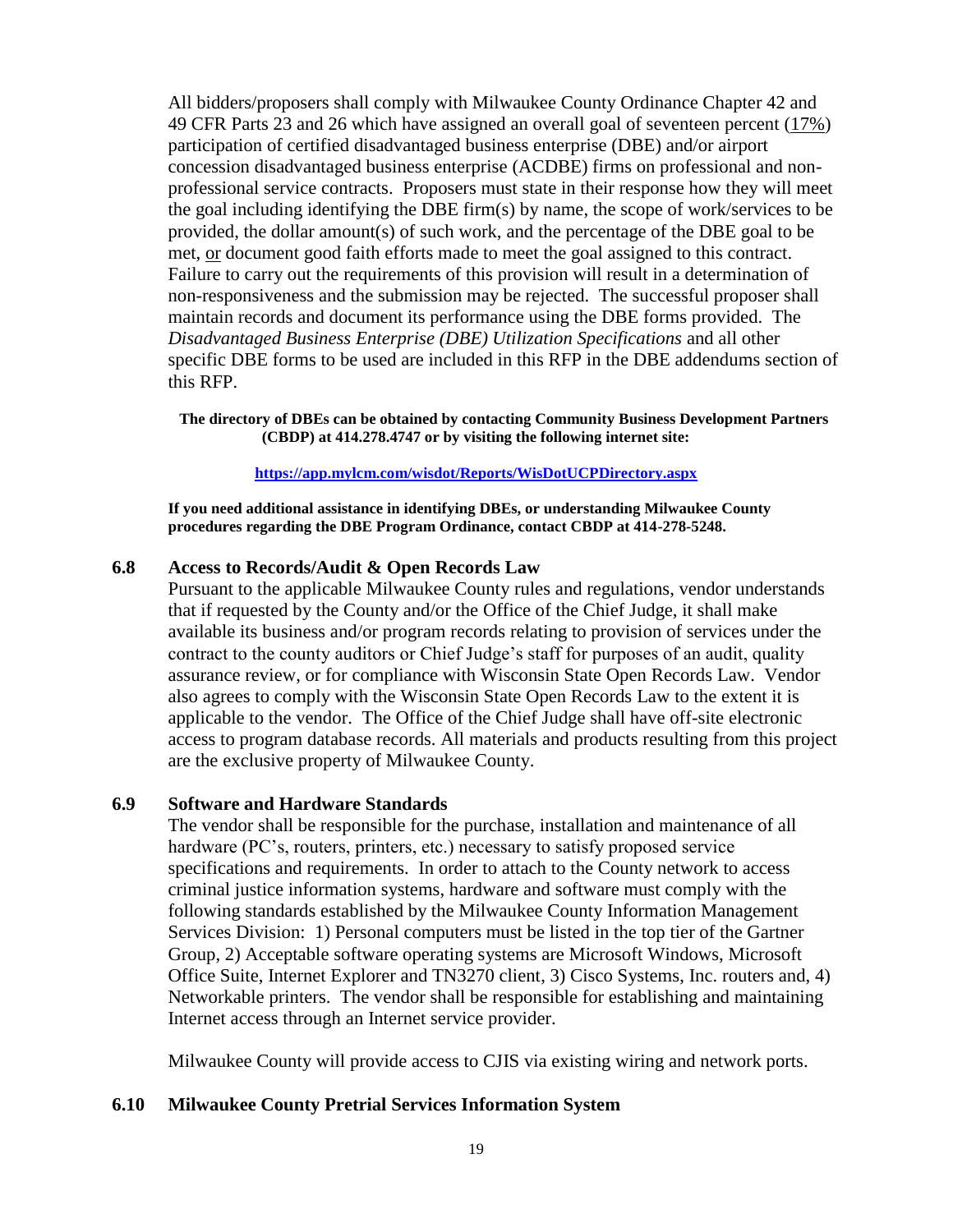All bidders/proposers shall comply with Milwaukee County Ordinance Chapter 42 and 49 CFR Parts 23 and 26 which have assigned an overall goal of seventeen percent (17%) participation of certified disadvantaged business enterprise (DBE) and/or airport concession disadvantaged business enterprise (ACDBE) firms on professional and nonprofessional service contracts. Proposers must state in their response how they will meet the goal including identifying the DBE firm(s) by name, the scope of work/services to be provided, the dollar amount(s) of such work, and the percentage of the DBE goal to be met, or document good faith efforts made to meet the goal assigned to this contract. Failure to carry out the requirements of this provision will result in a determination of non-responsiveness and the submission may be rejected. The successful proposer shall maintain records and document its performance using the DBE forms provided. The *Disadvantaged Business Enterprise (DBE) Utilization Specifications* and all other specific DBE forms to be used are included in this RFP in the DBE addendums section of this RFP.

**The directory of DBEs can be obtained by contacting Community Business Development Partners (CBDP) at 414.278.4747 or by visiting the following internet site:**

#### **<https://app.mylcm.com/wisdot/Reports/WisDotUCPDirectory.aspx>**

**If you need additional assistance in identifying DBEs, or understanding Milwaukee County procedures regarding the DBE Program Ordinance, contact CBDP at 414-278-5248.**

### **6.8 Access to Records/Audit & Open Records Law**

Pursuant to the applicable Milwaukee County rules and regulations, vendor understands that if requested by the County and/or the Office of the Chief Judge, it shall make available its business and/or program records relating to provision of services under the contract to the county auditors or Chief Judge's staff for purposes of an audit, quality assurance review, or for compliance with Wisconsin State Open Records Law. Vendor also agrees to comply with the Wisconsin State Open Records Law to the extent it is applicable to the vendor. The Office of the Chief Judge shall have off-site electronic access to program database records. All materials and products resulting from this project are the exclusive property of Milwaukee County.

#### **6.9 Software and Hardware Standards**

The vendor shall be responsible for the purchase, installation and maintenance of all hardware (PC's, routers, printers, etc.) necessary to satisfy proposed service specifications and requirements. In order to attach to the County network to access criminal justice information systems, hardware and software must comply with the following standards established by the Milwaukee County Information Management Services Division: 1) Personal computers must be listed in the top tier of the Gartner Group, 2) Acceptable software operating systems are Microsoft Windows, Microsoft Office Suite, Internet Explorer and TN3270 client, 3) Cisco Systems, Inc. routers and, 4) Networkable printers. The vendor shall be responsible for establishing and maintaining Internet access through an Internet service provider.

Milwaukee County will provide access to CJIS via existing wiring and network ports.

### **6.10 Milwaukee County Pretrial Services Information System**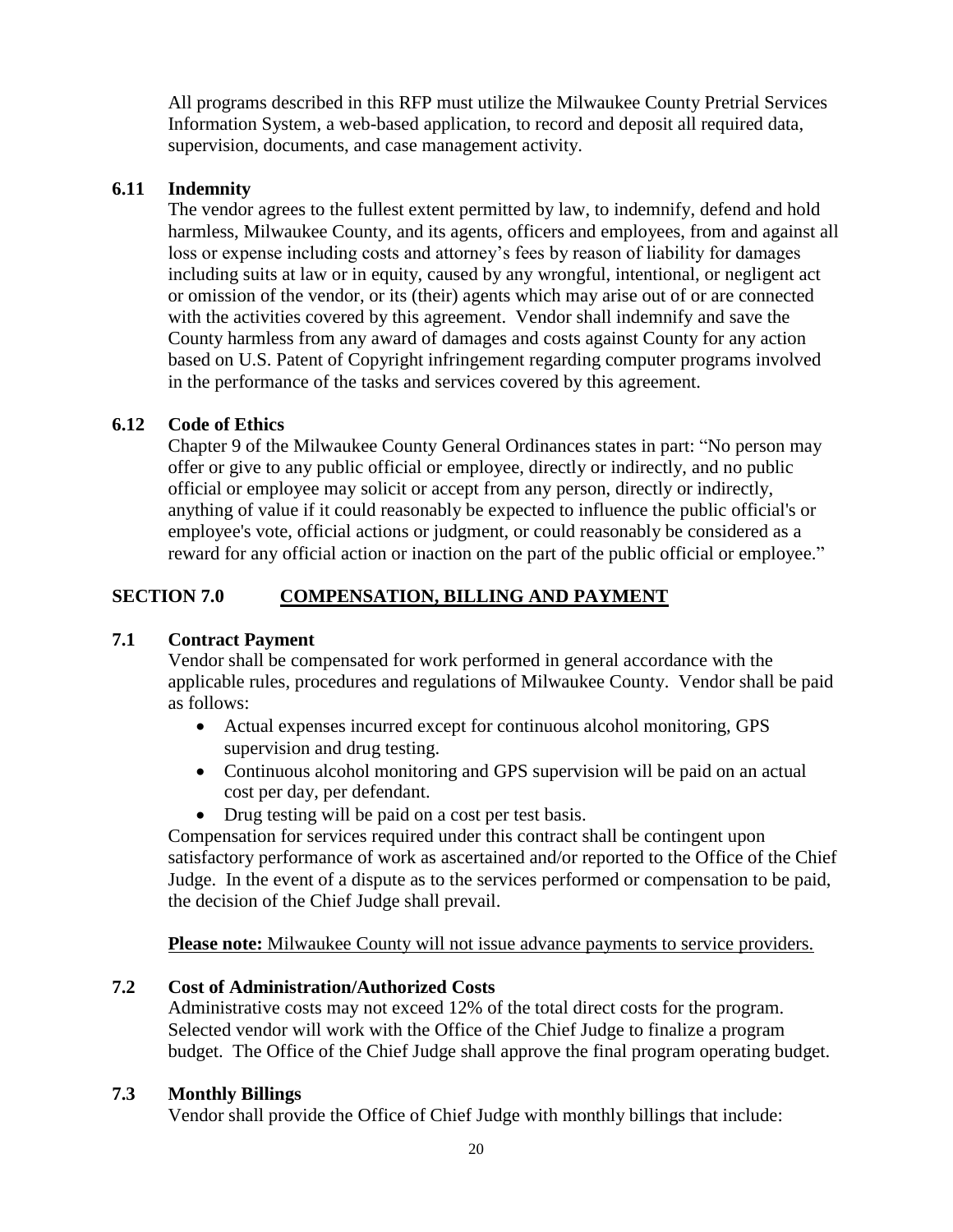All programs described in this RFP must utilize the Milwaukee County Pretrial Services Information System, a web-based application, to record and deposit all required data, supervision, documents, and case management activity.

### **6.11 Indemnity**

The vendor agrees to the fullest extent permitted by law, to indemnify, defend and hold harmless, Milwaukee County, and its agents, officers and employees, from and against all loss or expense including costs and attorney's fees by reason of liability for damages including suits at law or in equity, caused by any wrongful, intentional, or negligent act or omission of the vendor, or its (their) agents which may arise out of or are connected with the activities covered by this agreement. Vendor shall indemnify and save the County harmless from any award of damages and costs against County for any action based on U.S. Patent of Copyright infringement regarding computer programs involved in the performance of the tasks and services covered by this agreement.

### **6.12 Code of Ethics**

Chapter 9 of the Milwaukee County General Ordinances states in part: "No person may offer or give to any public official or employee, directly or indirectly, and no public official or employee may solicit or accept from any person, directly or indirectly, anything of value if it could reasonably be expected to influence the public official's or employee's vote, official actions or judgment, or could reasonably be considered as a reward for any official action or inaction on the part of the public official or employee."

### **SECTION 7.0 COMPENSATION, BILLING AND PAYMENT**

### **7.1 Contract Payment**

Vendor shall be compensated for work performed in general accordance with the applicable rules, procedures and regulations of Milwaukee County. Vendor shall be paid as follows:

- Actual expenses incurred except for continuous alcohol monitoring, GPS supervision and drug testing.
- Continuous alcohol monitoring and GPS supervision will be paid on an actual cost per day, per defendant.
- Drug testing will be paid on a cost per test basis.

Compensation for services required under this contract shall be contingent upon satisfactory performance of work as ascertained and/or reported to the Office of the Chief Judge. In the event of a dispute as to the services performed or compensation to be paid, the decision of the Chief Judge shall prevail.

**Please note:** Milwaukee County will not issue advance payments to service providers.

# **7.2 Cost of Administration/Authorized Costs**

Administrative costs may not exceed 12% of the total direct costs for the program. Selected vendor will work with the Office of the Chief Judge to finalize a program budget. The Office of the Chief Judge shall approve the final program operating budget.

### **7.3 Monthly Billings**

Vendor shall provide the Office of Chief Judge with monthly billings that include: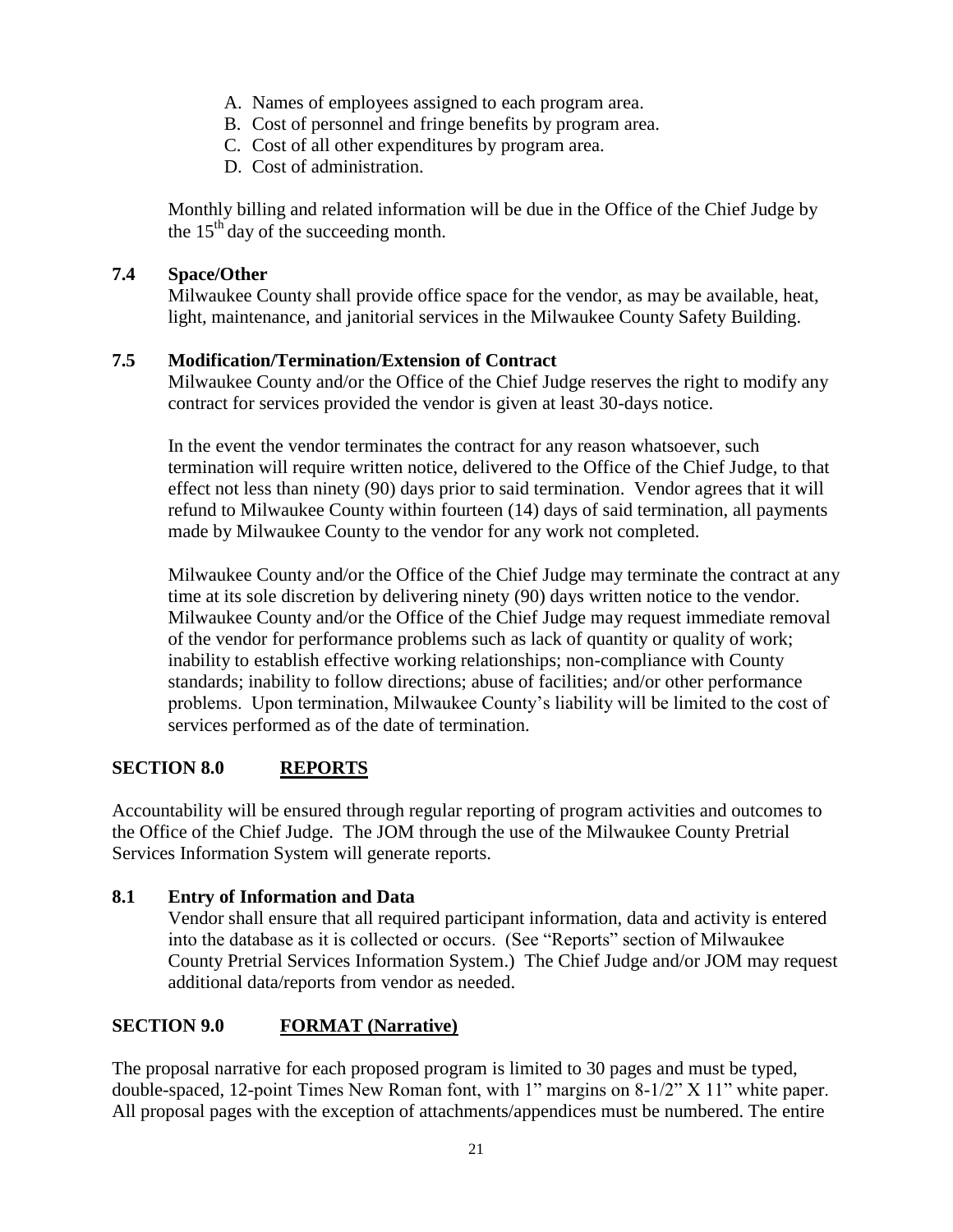- A. Names of employees assigned to each program area.
- B. Cost of personnel and fringe benefits by program area.
- C. Cost of all other expenditures by program area.
- D. Cost of administration.

Monthly billing and related information will be due in the Office of the Chief Judge by the  $15<sup>th</sup>$  day of the succeeding month.

### **7.4 Space/Other**

Milwaukee County shall provide office space for the vendor, as may be available, heat, light, maintenance, and janitorial services in the Milwaukee County Safety Building.

### **7.5 Modification/Termination/Extension of Contract**

Milwaukee County and/or the Office of the Chief Judge reserves the right to modify any contract for services provided the vendor is given at least 30-days notice.

In the event the vendor terminates the contract for any reason whatsoever, such termination will require written notice, delivered to the Office of the Chief Judge, to that effect not less than ninety (90) days prior to said termination. Vendor agrees that it will refund to Milwaukee County within fourteen (14) days of said termination, all payments made by Milwaukee County to the vendor for any work not completed.

Milwaukee County and/or the Office of the Chief Judge may terminate the contract at any time at its sole discretion by delivering ninety (90) days written notice to the vendor. Milwaukee County and/or the Office of the Chief Judge may request immediate removal of the vendor for performance problems such as lack of quantity or quality of work; inability to establish effective working relationships; non-compliance with County standards; inability to follow directions; abuse of facilities; and/or other performance problems. Upon termination, Milwaukee County's liability will be limited to the cost of services performed as of the date of termination.

# **SECTION 8.0 REPORTS**

Accountability will be ensured through regular reporting of program activities and outcomes to the Office of the Chief Judge. The JOM through the use of the Milwaukee County Pretrial Services Information System will generate reports.

### **8.1 Entry of Information and Data**

Vendor shall ensure that all required participant information, data and activity is entered into the database as it is collected or occurs. (See "Reports" section of Milwaukee County Pretrial Services Information System.) The Chief Judge and/or JOM may request additional data/reports from vendor as needed.

# **SECTION 9.0 FORMAT (Narrative)**

The proposal narrative for each proposed program is limited to 30 pages and must be typed, double-spaced, 12-point Times New Roman font, with 1" margins on 8-1/2" X 11" white paper. All proposal pages with the exception of attachments/appendices must be numbered. The entire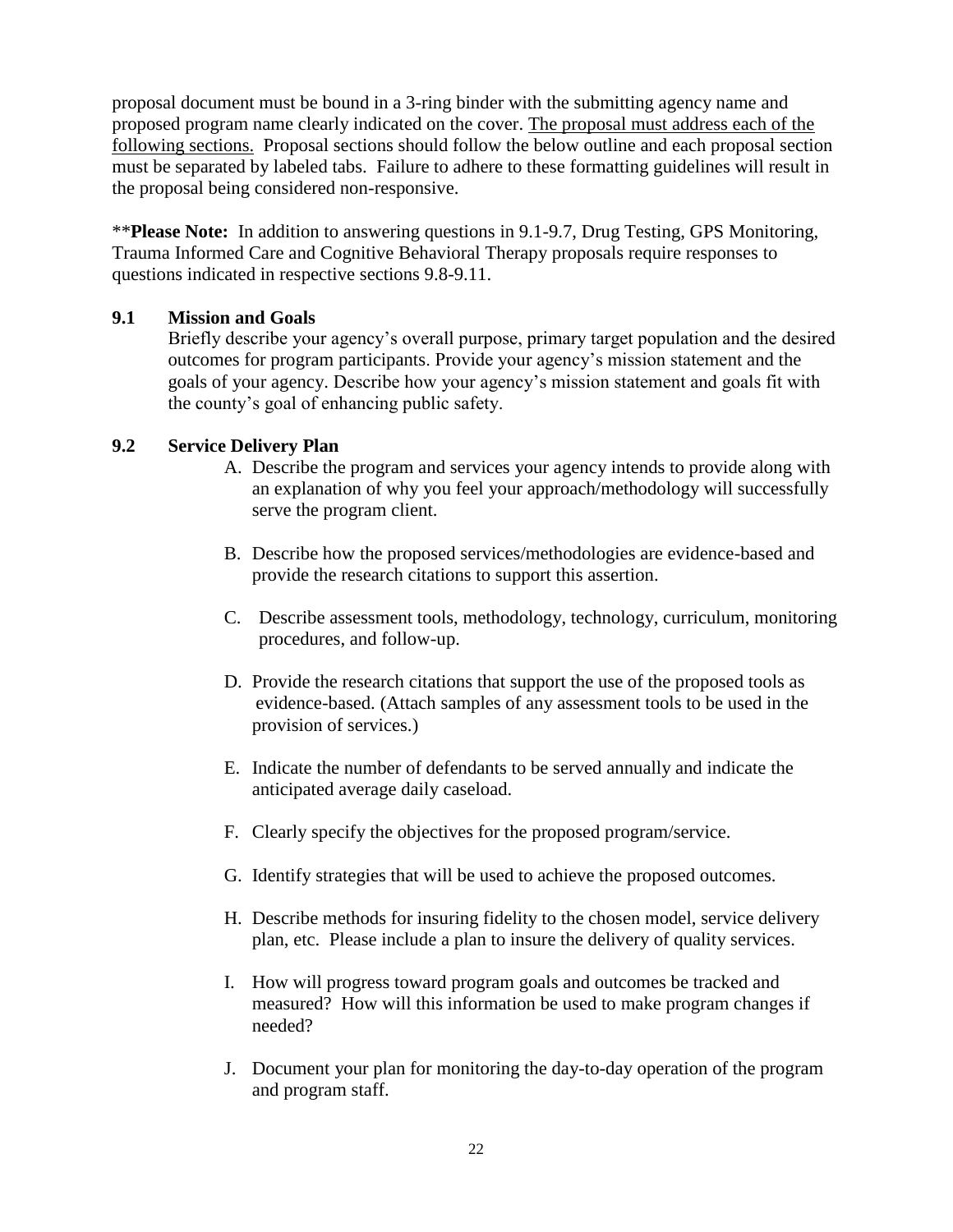proposal document must be bound in a 3-ring binder with the submitting agency name and proposed program name clearly indicated on the cover. The proposal must address each of the following sections. Proposal sections should follow the below outline and each proposal section must be separated by labeled tabs. Failure to adhere to these formatting guidelines will result in the proposal being considered non-responsive.

\*\***Please Note:** In addition to answering questions in 9.1-9.7, Drug Testing, GPS Monitoring, Trauma Informed Care and Cognitive Behavioral Therapy proposals require responses to questions indicated in respective sections 9.8-9.11.

### **9.1 Mission and Goals**

Briefly describe your agency's overall purpose, primary target population and the desired outcomes for program participants. Provide your agency's mission statement and the goals of your agency. Describe how your agency's mission statement and goals fit with the county's goal of enhancing public safety.

### **9.2 Service Delivery Plan**

- A. Describe the program and services your agency intends to provide along with an explanation of why you feel your approach/methodology will successfully serve the program client.
- B. Describe how the proposed services/methodologies are evidence-based and provide the research citations to support this assertion.
- C. Describe assessment tools, methodology, technology, curriculum, monitoring procedures, and follow-up.
- D. Provide the research citations that support the use of the proposed tools as evidence-based. (Attach samples of any assessment tools to be used in the provision of services.)
- E. Indicate the number of defendants to be served annually and indicate the anticipated average daily caseload.
- F. Clearly specify the objectives for the proposed program/service.
- G. Identify strategies that will be used to achieve the proposed outcomes.
- H. Describe methods for insuring fidelity to the chosen model, service delivery plan, etc. Please include a plan to insure the delivery of quality services.
- I. How will progress toward program goals and outcomes be tracked and measured? How will this information be used to make program changes if needed?
- J. Document your plan for monitoring the day-to-day operation of the program and program staff.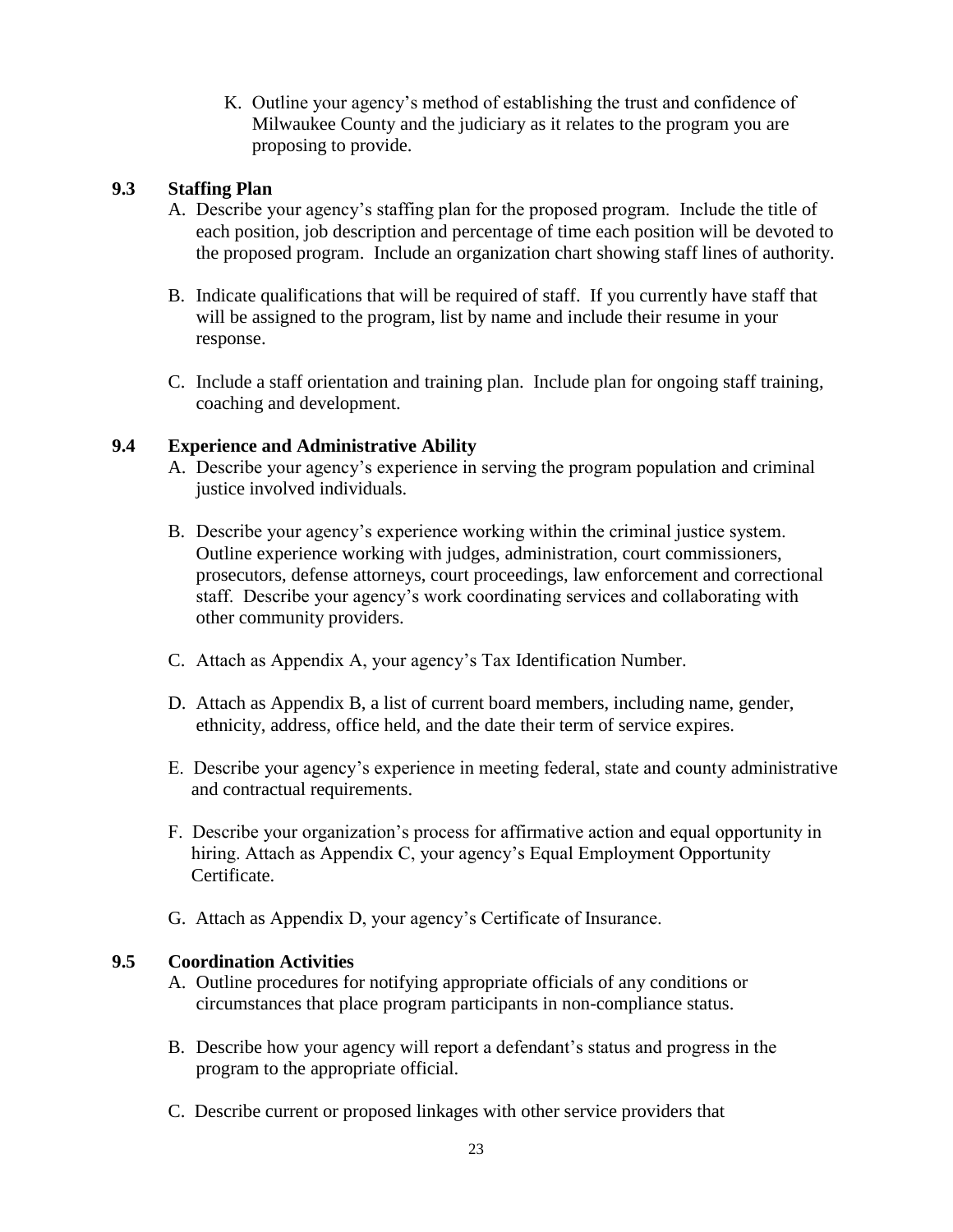K. Outline your agency's method of establishing the trust and confidence of Milwaukee County and the judiciary as it relates to the program you are proposing to provide.

# **9.3 Staffing Plan**

- A. Describe your agency's staffing plan for the proposed program. Include the title of each position, job description and percentage of time each position will be devoted to the proposed program. Include an organization chart showing staff lines of authority.
- B. Indicate qualifications that will be required of staff. If you currently have staff that will be assigned to the program, list by name and include their resume in your response.
- C. Include a staff orientation and training plan. Include plan for ongoing staff training, coaching and development.

# **9.4 Experience and Administrative Ability**

- A. Describe your agency's experience in serving the program population and criminal justice involved individuals.
- B. Describe your agency's experience working within the criminal justice system. Outline experience working with judges, administration, court commissioners, prosecutors, defense attorneys, court proceedings, law enforcement and correctional staff. Describe your agency's work coordinating services and collaborating with other community providers.
- C. Attach as Appendix A, your agency's Tax Identification Number.
- D. Attach as Appendix B, a list of current board members, including name, gender, ethnicity, address, office held, and the date their term of service expires.
- E. Describe your agency's experience in meeting federal, state and county administrative and contractual requirements.
- F. Describe your organization's process for affirmative action and equal opportunity in hiring. Attach as Appendix C, your agency's Equal Employment Opportunity Certificate.
- G. Attach as Appendix D, your agency's Certificate of Insurance.

# **9.5 Coordination Activities**

- A. Outline procedures for notifying appropriate officials of any conditions or circumstances that place program participants in non-compliance status.
- B. Describe how your agency will report a defendant's status and progress in the program to the appropriate official.
- C. Describe current or proposed linkages with other service providers that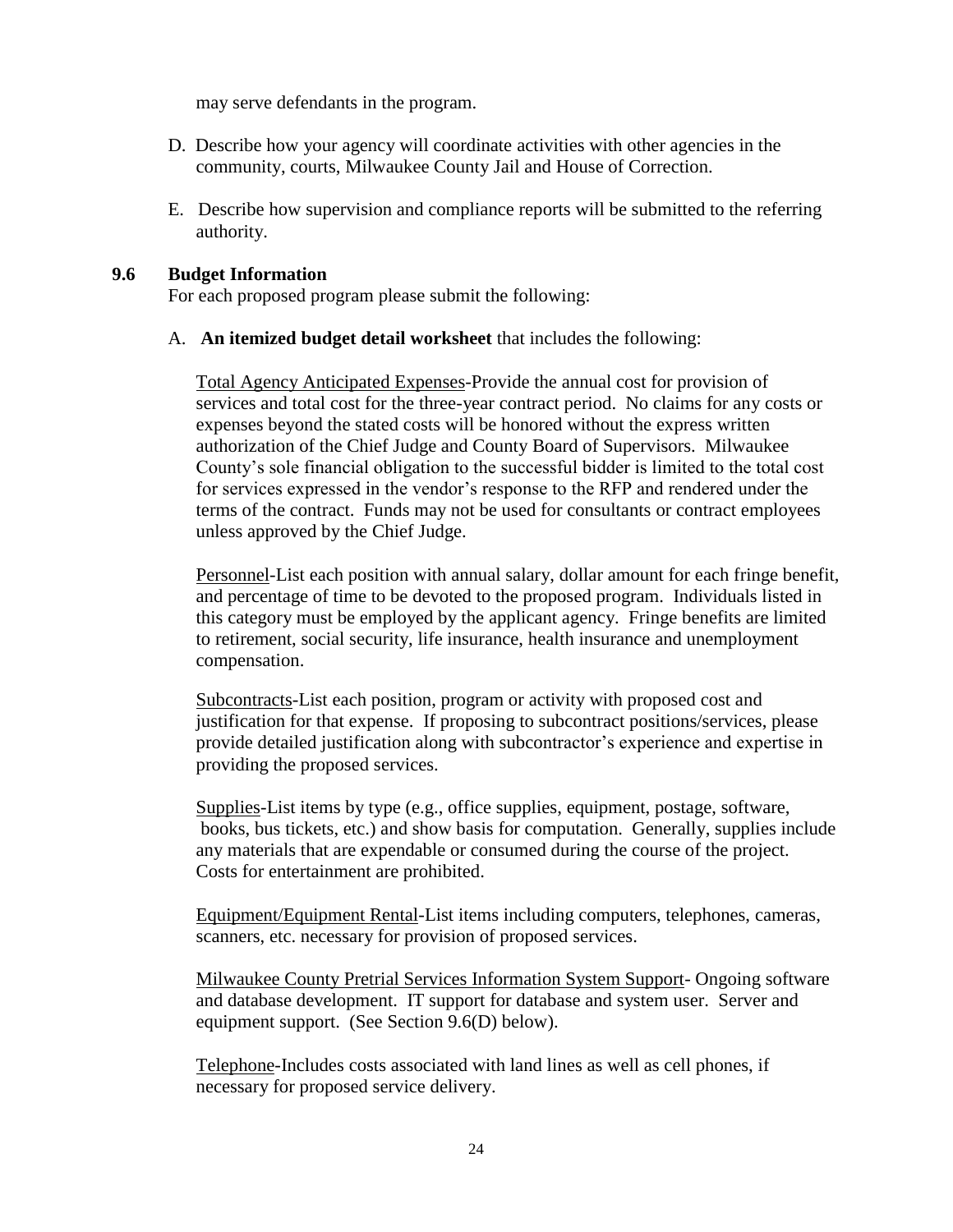may serve defendants in the program.

- D. Describe how your agency will coordinate activities with other agencies in the community, courts, Milwaukee County Jail and House of Correction.
- E. Describe how supervision and compliance reports will be submitted to the referring authority.

### **9.6 Budget Information**

For each proposed program please submit the following:

A. **An itemized budget detail worksheet** that includes the following:

Total Agency Anticipated Expenses-Provide the annual cost for provision of services and total cost for the three-year contract period. No claims for any costs or expenses beyond the stated costs will be honored without the express written authorization of the Chief Judge and County Board of Supervisors. Milwaukee County's sole financial obligation to the successful bidder is limited to the total cost for services expressed in the vendor's response to the RFP and rendered under the terms of the contract. Funds may not be used for consultants or contract employees unless approved by the Chief Judge.

Personnel-List each position with annual salary, dollar amount for each fringe benefit, and percentage of time to be devoted to the proposed program. Individuals listed in this category must be employed by the applicant agency. Fringe benefits are limited to retirement, social security, life insurance, health insurance and unemployment compensation.

Subcontracts-List each position, program or activity with proposed cost and justification for that expense. If proposing to subcontract positions/services, please provide detailed justification along with subcontractor's experience and expertise in providing the proposed services.

Supplies-List items by type (e.g., office supplies, equipment, postage, software, books, bus tickets, etc.) and show basis for computation. Generally, supplies include any materials that are expendable or consumed during the course of the project. Costs for entertainment are prohibited.

Equipment/Equipment Rental-List items including computers, telephones, cameras, scanners, etc. necessary for provision of proposed services.

Milwaukee County Pretrial Services Information System Support- Ongoing software and database development. IT support for database and system user. Server and equipment support. (See Section 9.6(D) below).

Telephone-Includes costs associated with land lines as well as cell phones, if necessary for proposed service delivery.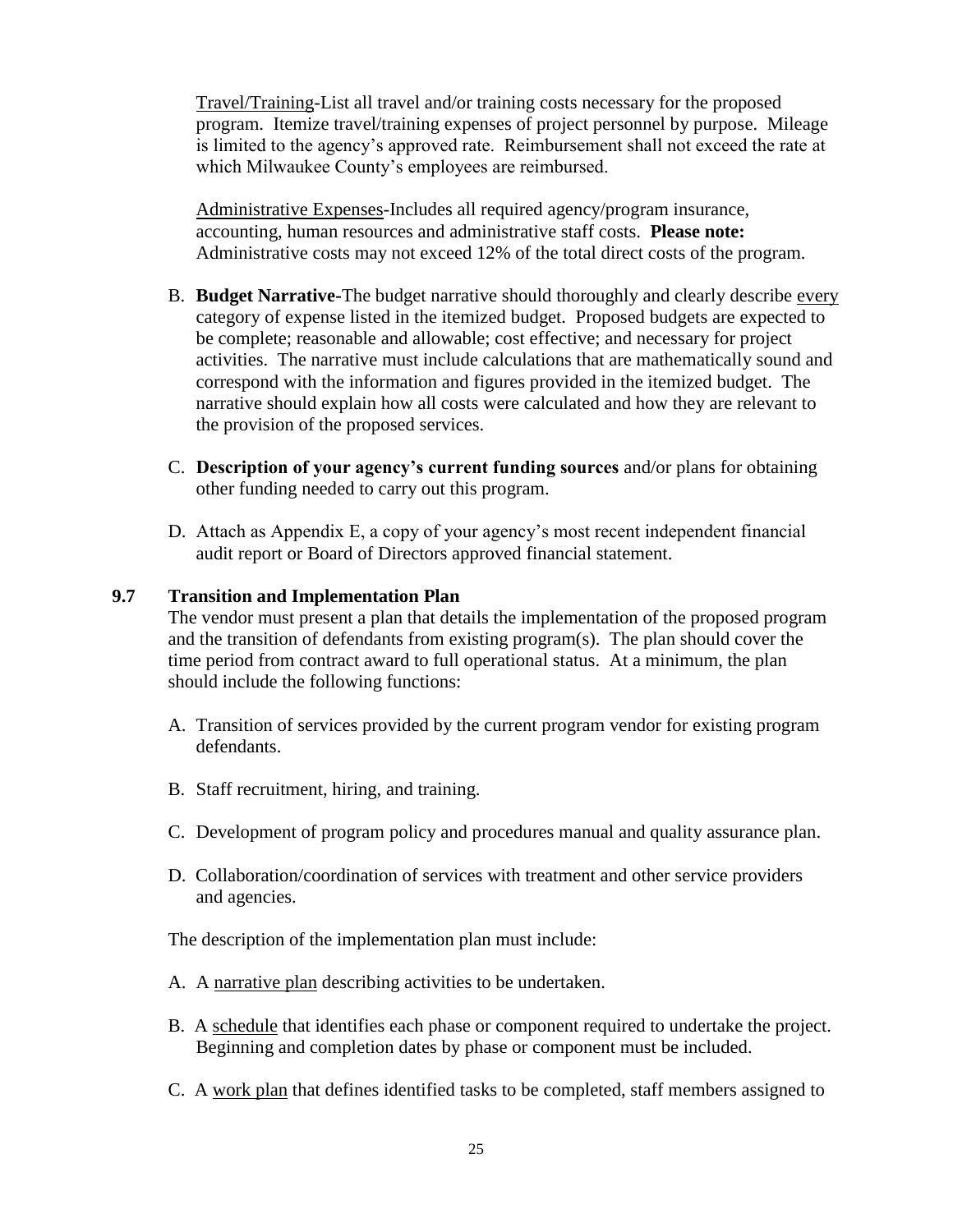Travel/Training-List all travel and/or training costs necessary for the proposed program. Itemize travel/training expenses of project personnel by purpose. Mileage is limited to the agency's approved rate. Reimbursement shall not exceed the rate at which Milwaukee County's employees are reimbursed.

Administrative Expenses-Includes all required agency/program insurance, accounting, human resources and administrative staff costs. **Please note:** Administrative costs may not exceed 12% of the total direct costs of the program.

- B. **Budget Narrative-**The budget narrative should thoroughly and clearly describe every category of expense listed in the itemized budget. Proposed budgets are expected to be complete; reasonable and allowable; cost effective; and necessary for project activities. The narrative must include calculations that are mathematically sound and correspond with the information and figures provided in the itemized budget. The narrative should explain how all costs were calculated and how they are relevant to the provision of the proposed services.
- C. **Description of your agency's current funding sources** and/or plans for obtaining other funding needed to carry out this program.
- D. Attach as Appendix E, a copy of your agency's most recent independent financial audit report or Board of Directors approved financial statement.

### **9.7 Transition and Implementation Plan**

The vendor must present a plan that details the implementation of the proposed program and the transition of defendants from existing program(s). The plan should cover the time period from contract award to full operational status. At a minimum, the plan should include the following functions:

- A. Transition of services provided by the current program vendor for existing program defendants.
- B. Staff recruitment, hiring, and training.
- C. Development of program policy and procedures manual and quality assurance plan.
- D. Collaboration/coordination of services with treatment and other service providers and agencies.

The description of the implementation plan must include:

- A. A narrative plan describing activities to be undertaken.
- B. A schedule that identifies each phase or component required to undertake the project. Beginning and completion dates by phase or component must be included.
- C. A work plan that defines identified tasks to be completed, staff members assigned to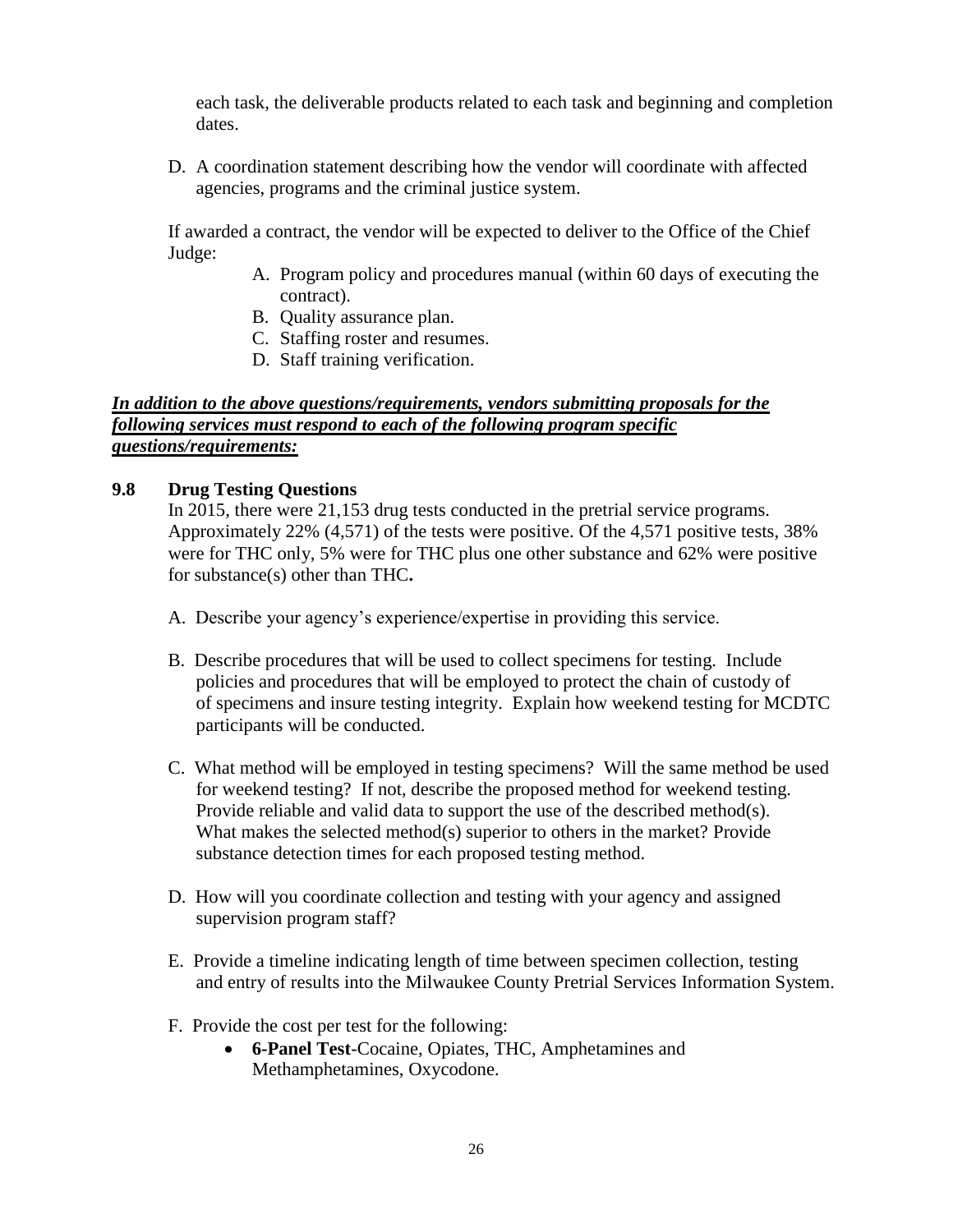each task, the deliverable products related to each task and beginning and completion dates.

D. A coordination statement describing how the vendor will coordinate with affected agencies, programs and the criminal justice system.

If awarded a contract, the vendor will be expected to deliver to the Office of the Chief Judge:

- A. Program policy and procedures manual (within 60 days of executing the contract).
- B. Quality assurance plan.
- C. Staffing roster and resumes.
- D. Staff training verification.

### *In addition to the above questions/requirements, vendors submitting proposals for the following services must respond to each of the following program specific questions/requirements:*

# **9.8 Drug Testing Questions**

In 2015, there were 21,153 drug tests conducted in the pretrial service programs. Approximately 22% (4,571) of the tests were positive. Of the 4,571 positive tests, 38% were for THC only, 5% were for THC plus one other substance and 62% were positive for substance(s) other than THC**.**

- A. Describe your agency's experience/expertise in providing this service.
- B. Describe procedures that will be used to collect specimens for testing. Include policies and procedures that will be employed to protect the chain of custody of of specimens and insure testing integrity. Explain how weekend testing for MCDTC participants will be conducted.
- C. What method will be employed in testing specimens? Will the same method be used for weekend testing? If not, describe the proposed method for weekend testing. Provide reliable and valid data to support the use of the described method(s). What makes the selected method(s) superior to others in the market? Provide substance detection times for each proposed testing method.
- D. How will you coordinate collection and testing with your agency and assigned supervision program staff?
- E. Provide a timeline indicating length of time between specimen collection, testing and entry of results into the Milwaukee County Pretrial Services Information System.
- F. Provide the cost per test for the following:
	- **6-Panel Test**-Cocaine, Opiates, THC, Amphetamines and Methamphetamines, Oxycodone.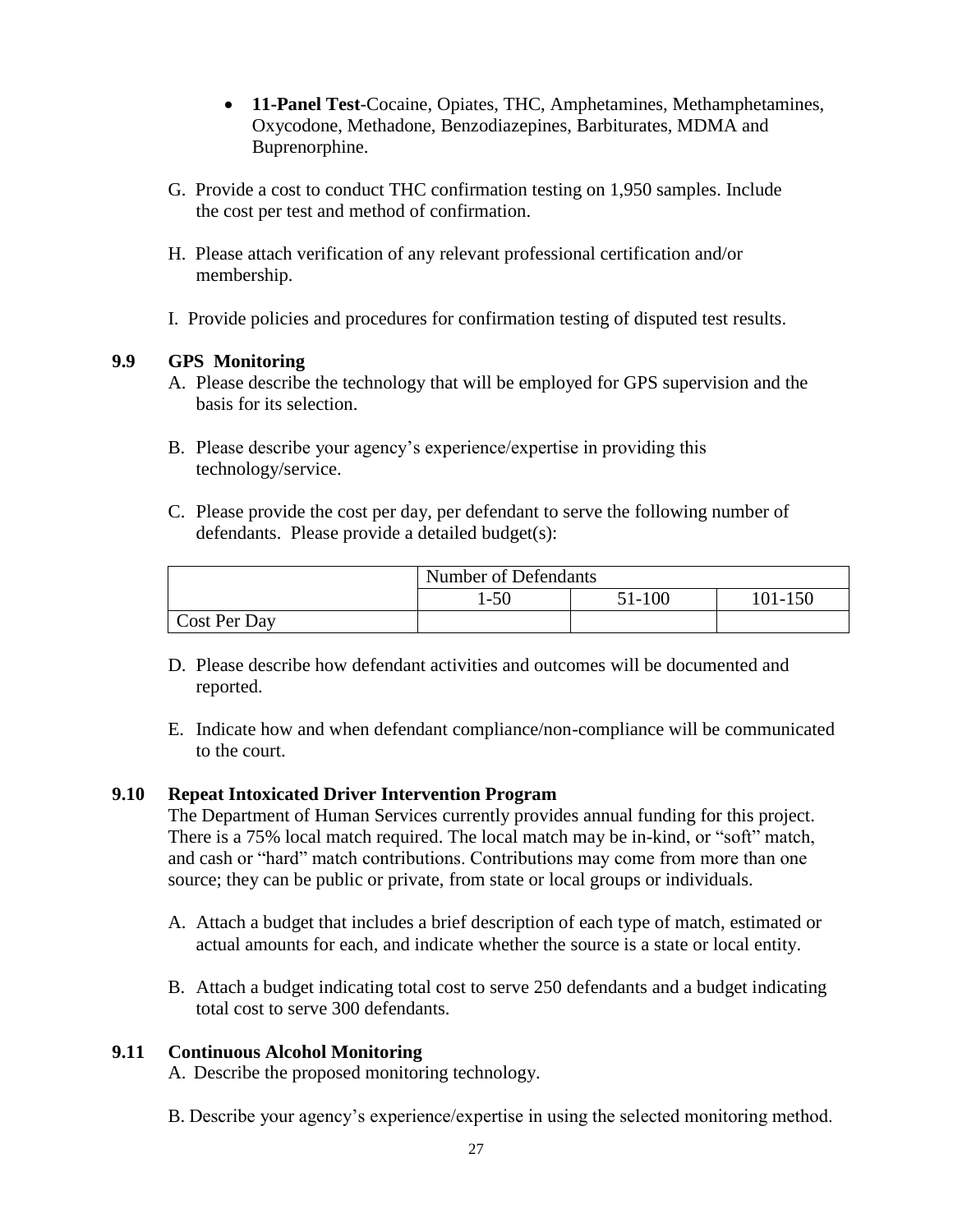- **11-Panel Test**-Cocaine, Opiates, THC, Amphetamines, Methamphetamines, Oxycodone, Methadone, Benzodiazepines, Barbiturates, MDMA and Buprenorphine.
- G. Provide a cost to conduct THC confirmation testing on 1,950 samples. Include the cost per test and method of confirmation.
- H. Please attach verification of any relevant professional certification and/or membership.
- I. Provide policies and procedures for confirmation testing of disputed test results.

# **9.9 GPS Monitoring**

- A. Please describe the technology that will be employed for GPS supervision and the basis for its selection.
- B. Please describe your agency's experience/expertise in providing this technology/service.
- C. Please provide the cost per day, per defendant to serve the following number of defendants. Please provide a detailed budget(s):

|              | Number of Defendants |        |         |
|--------------|----------------------|--------|---------|
|              | -50                  | 51-100 | 101-150 |
| Cost Per Day |                      |        |         |

- D. Please describe how defendant activities and outcomes will be documented and reported.
- E. Indicate how and when defendant compliance/non-compliance will be communicated to the court.

# **9.10 Repeat Intoxicated Driver Intervention Program**

The Department of Human Services currently provides annual funding for this project. There is a 75% local match required. The local match may be in-kind, or "soft" match, and cash or "hard" match contributions. Contributions may come from more than one source; they can be public or private, from state or local groups or individuals.

- A. Attach a budget that includes a brief description of each type of match, estimated or actual amounts for each, and indicate whether the source is a state or local entity.
- B. Attach a budget indicating total cost to serve 250 defendants and a budget indicating total cost to serve 300 defendants.

# **9.11 Continuous Alcohol Monitoring**

A. Describe the proposed monitoring technology.

B. Describe your agency's experience/expertise in using the selected monitoring method.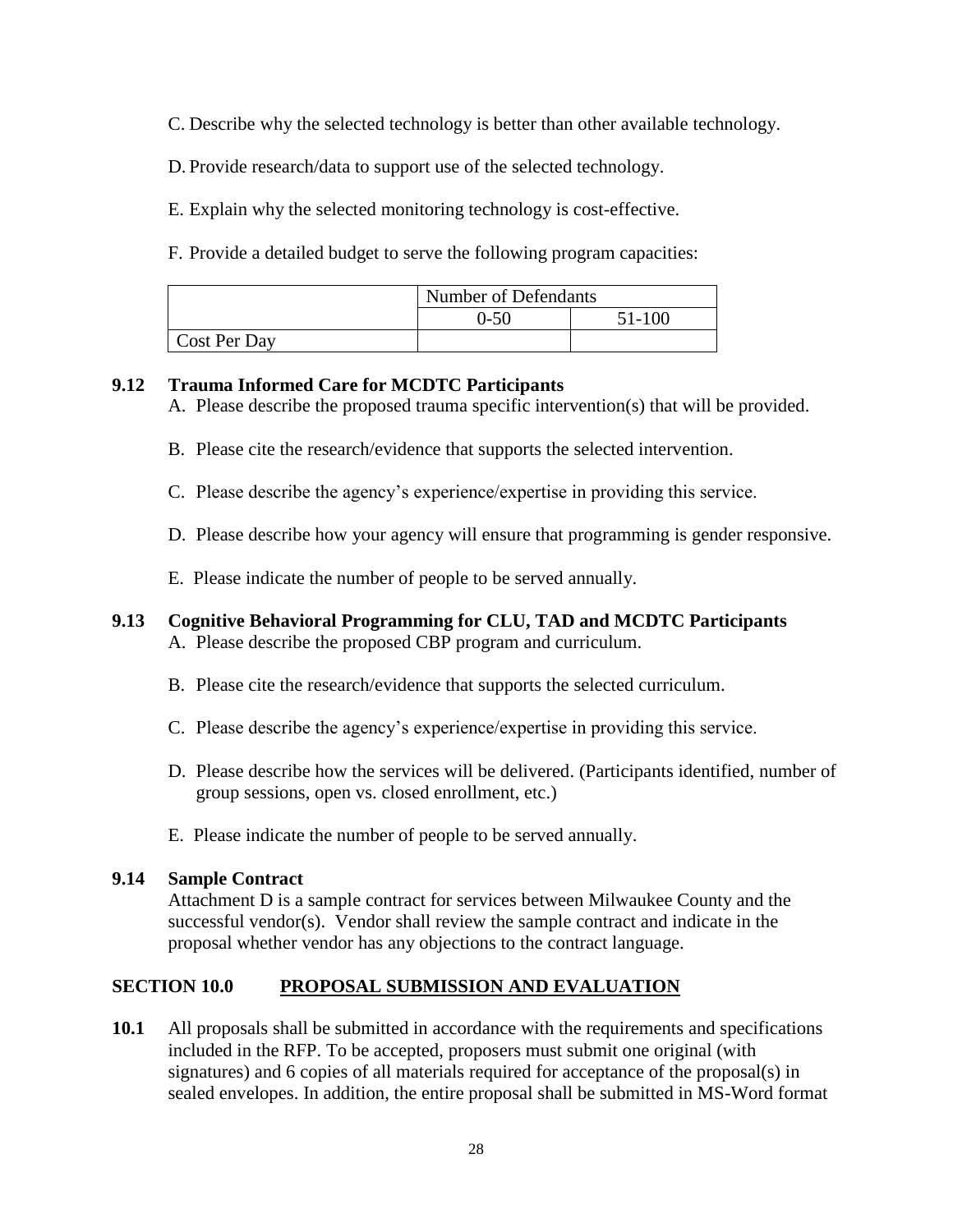C. Describe why the selected technology is better than other available technology.

D. Provide research/data to support use of the selected technology.

E. Explain why the selected monitoring technology is cost-effective.

F. Provide a detailed budget to serve the following program capacities:

|              | Number of Defendants |        |
|--------------|----------------------|--------|
|              | 0-50                 | 51-100 |
| Cost Per Day |                      |        |

# **9.12 Trauma Informed Care for MCDTC Participants**

A. Please describe the proposed trauma specific intervention(s) that will be provided.

- B. Please cite the research/evidence that supports the selected intervention.
- C. Please describe the agency's experience/expertise in providing this service.
- D. Please describe how your agency will ensure that programming is gender responsive.
- E. Please indicate the number of people to be served annually.

# **9.13 Cognitive Behavioral Programming for CLU, TAD and MCDTC Participants**

- A. Please describe the proposed CBP program and curriculum.
- B. Please cite the research/evidence that supports the selected curriculum.
- C. Please describe the agency's experience/expertise in providing this service.
- D. Please describe how the services will be delivered. (Participants identified, number of group sessions, open vs. closed enrollment, etc.)
- E. Please indicate the number of people to be served annually.

# **9.14 Sample Contract**

Attachment D is a sample contract for services between Milwaukee County and the successful vendor(s). Vendor shall review the sample contract and indicate in the proposal whether vendor has any objections to the contract language.

# **SECTION 10.0 PROPOSAL SUBMISSION AND EVALUATION**

**10.1** All proposals shall be submitted in accordance with the requirements and specifications included in the RFP. To be accepted, proposers must submit one original (with signatures) and 6 copies of all materials required for acceptance of the proposal(s) in sealed envelopes. In addition, the entire proposal shall be submitted in MS-Word format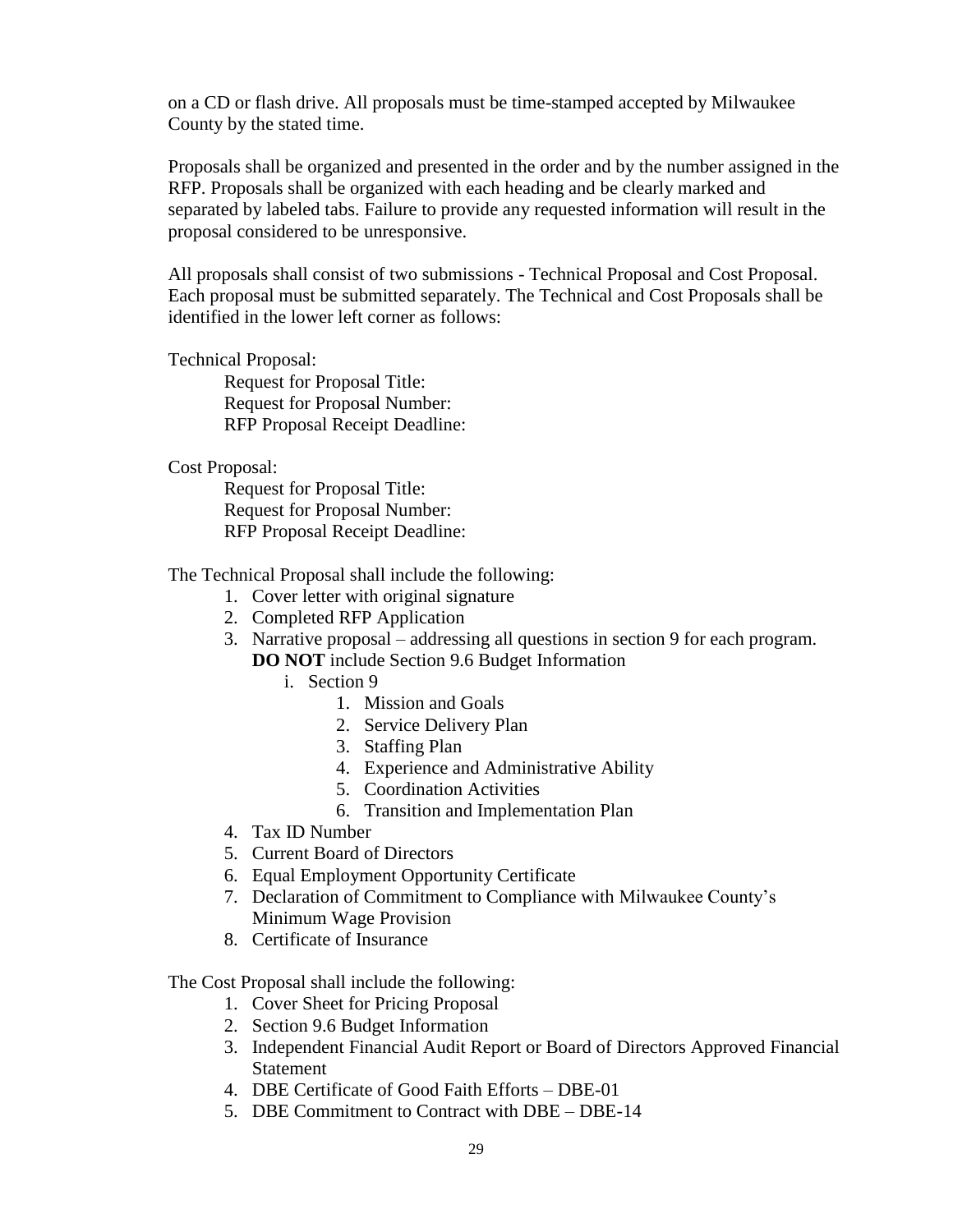on a CD or flash drive. All proposals must be time-stamped accepted by Milwaukee County by the stated time.

Proposals shall be organized and presented in the order and by the number assigned in the RFP. Proposals shall be organized with each heading and be clearly marked and separated by labeled tabs. Failure to provide any requested information will result in the proposal considered to be unresponsive.

All proposals shall consist of two submissions - Technical Proposal and Cost Proposal. Each proposal must be submitted separately. The Technical and Cost Proposals shall be identified in the lower left corner as follows:

### Technical Proposal:

Request for Proposal Title: Request for Proposal Number: RFP Proposal Receipt Deadline:

### Cost Proposal:

Request for Proposal Title: Request for Proposal Number: RFP Proposal Receipt Deadline:

The Technical Proposal shall include the following:

- 1. Cover letter with original signature
- 2. Completed RFP Application
- 3. Narrative proposal addressing all questions in section 9 for each program. **DO NOT** include Section 9.6 Budget Information
	- i. Section 9
		- 1. Mission and Goals
		- 2. Service Delivery Plan
		- 3. Staffing Plan
		- 4. Experience and Administrative Ability
		- 5. Coordination Activities
		- 6. Transition and Implementation Plan
- 4. Tax ID Number
- 5. Current Board of Directors
- 6. Equal Employment Opportunity Certificate
- 7. Declaration of Commitment to Compliance with Milwaukee County's Minimum Wage Provision
- 8. Certificate of Insurance

#### The Cost Proposal shall include the following:

- 1. Cover Sheet for Pricing Proposal
- 2. Section 9.6 Budget Information
- 3. Independent Financial Audit Report or Board of Directors Approved Financial **Statement**
- 4. DBE Certificate of Good Faith Efforts DBE-01
- 5. DBE Commitment to Contract with DBE DBE-14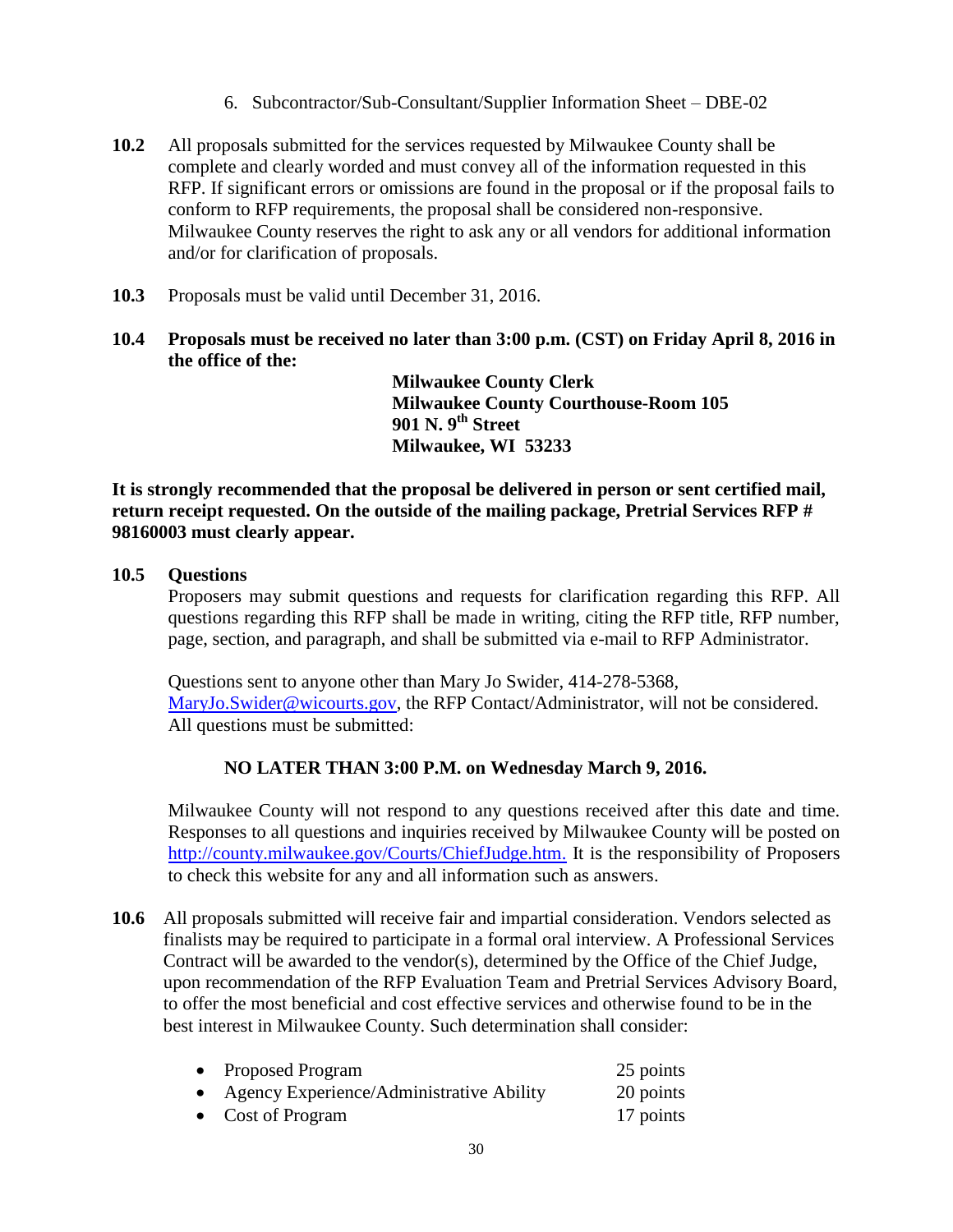- 6. Subcontractor/Sub-Consultant/Supplier Information Sheet DBE-02
- **10.2** All proposals submitted for the services requested by Milwaukee County shall be complete and clearly worded and must convey all of the information requested in this RFP. If significant errors or omissions are found in the proposal or if the proposal fails to conform to RFP requirements, the proposal shall be considered non-responsive. Milwaukee County reserves the right to ask any or all vendors for additional information and/or for clarification of proposals.
- **10.3** Proposals must be valid until December 31, 2016.
- **10.4 Proposals must be received no later than 3:00 p.m. (CST) on Friday April 8, 2016 in the office of the:**

**Milwaukee County Clerk Milwaukee County Courthouse-Room 105 901 N. 9th Street Milwaukee, WI 53233**

**It is strongly recommended that the proposal be delivered in person or sent certified mail, return receipt requested. On the outside of the mailing package, Pretrial Services RFP # 98160003 must clearly appear.**

### **10.5 Questions**

Proposers may submit questions and requests for clarification regarding this RFP. All questions regarding this RFP shall be made in writing, citing the RFP title, RFP number, page, section, and paragraph, and shall be submitted via e-mail to RFP Administrator.

Questions sent to anyone other than Mary Jo Swider, 414-278-5368, [MaryJo.Swider@wicourts.gov,](mailto:MaryJo.Swider@wicourts.gov) the RFP Contact/Administrator, will not be considered. All questions must be submitted:

### **NO LATER THAN 3:00 P.M. on Wednesday March 9, 2016.**

Milwaukee County will not respond to any questions received after this date and time. Responses to all questions and inquiries received by Milwaukee County will be posted on [http://county.milwaukee.gov/Courts/ChiefJudge.htm.](http://county.milwaukee.gov/Courts/ChiefJudge.htm) It is the responsibility of Proposers to check this website for any and all information such as answers.

**10.6** All proposals submitted will receive fair and impartial consideration. Vendors selected as finalists may be required to participate in a formal oral interview. A Professional Services Contract will be awarded to the vendor(s), determined by the Office of the Chief Judge, upon recommendation of the RFP Evaluation Team and Pretrial Services Advisory Board, to offer the most beneficial and cost effective services and otherwise found to be in the best interest in Milwaukee County. Such determination shall consider:

| • Proposed Program                         | 25 points |
|--------------------------------------------|-----------|
| • Agency Experience/Administrative Ability | 20 points |
| • Cost of Program                          | 17 points |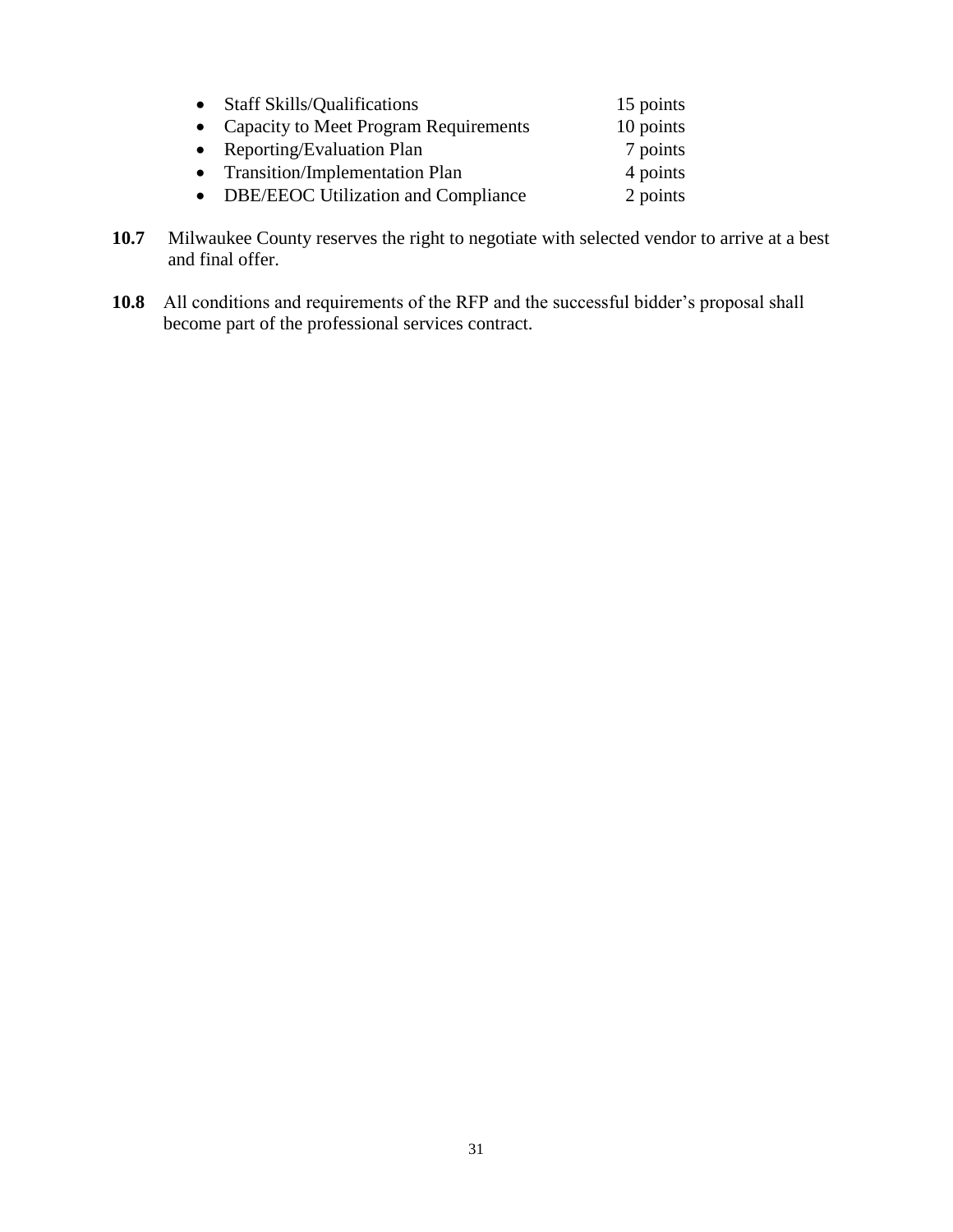| • Staff Skills/Qualifications           | 15 points |
|-----------------------------------------|-----------|
| • Capacity to Meet Program Requirements | 10 points |
| • Reporting/Evaluation Plan             | 7 points  |
| • Transition/Implementation Plan        | 4 points  |
| • DBE/EEOC Utilization and Compliance   | 2 points  |

- **10.7** Milwaukee County reserves the right to negotiate with selected vendor to arrive at a best and final offer.
- **10.8** All conditions and requirements of the RFP and the successful bidder's proposal shall become part of the professional services contract.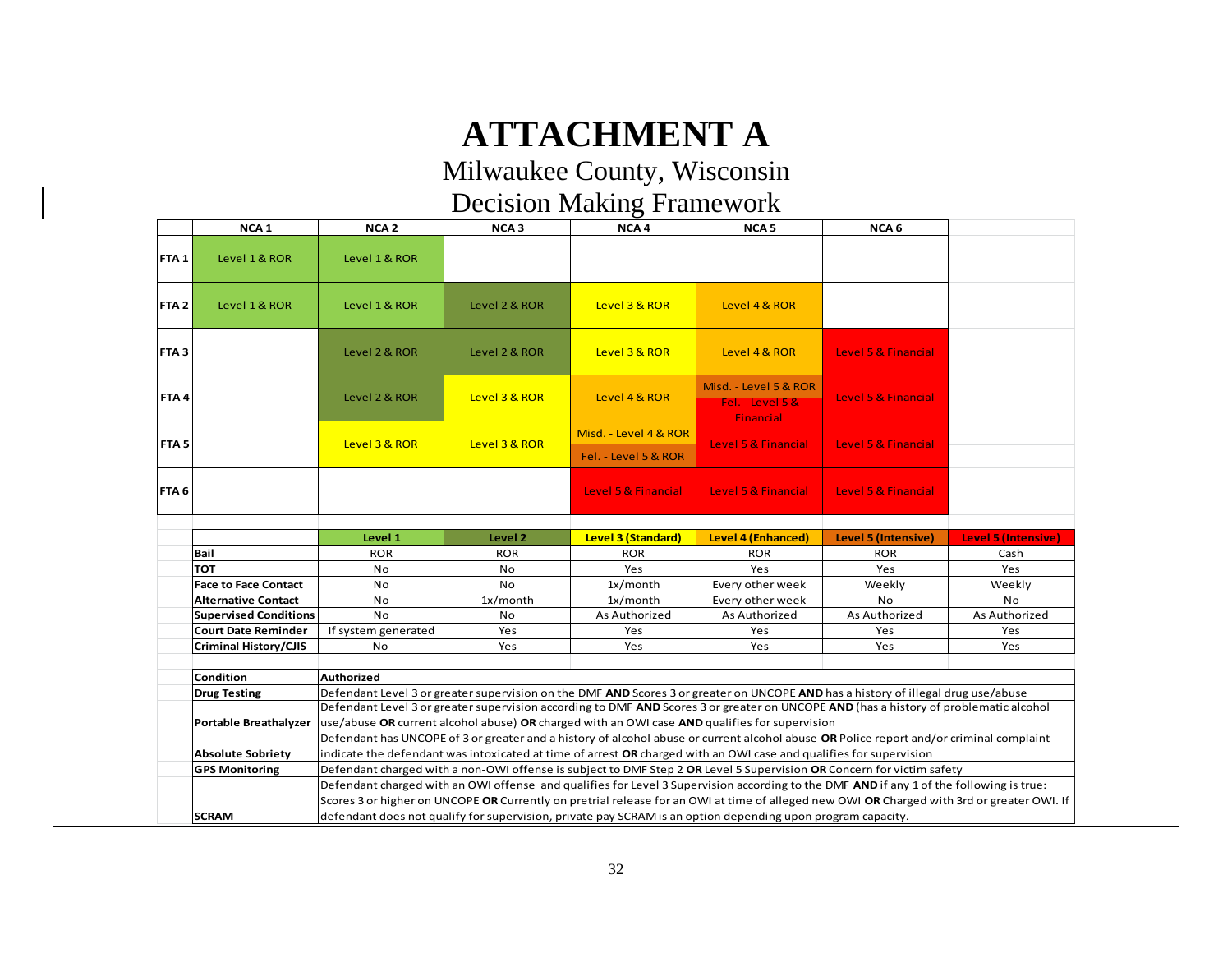# **ATTACHMENT A**

Milwaukee County, Wisconsin Decision Making Framework

|                  | NCA <sub>1</sub>             | NCA <sub>2</sub>    | NCA <sub>3</sub> | NCA <sub>4</sub>                              | NCA <sub>5</sub>                                                                                                                                                                                                                                                           | NCA <sub>6</sub>    |                            |
|------------------|------------------------------|---------------------|------------------|-----------------------------------------------|----------------------------------------------------------------------------------------------------------------------------------------------------------------------------------------------------------------------------------------------------------------------------|---------------------|----------------------------|
| FTA <sub>1</sub> | Level 1 & ROR                | Level 1 & ROR       |                  |                                               |                                                                                                                                                                                                                                                                            |                     |                            |
| FTA <sub>2</sub> | Level 1 & ROR                | Level 1 & ROR       | Level 2 & ROR    | Level 3 & ROR                                 | Level 4 & ROR                                                                                                                                                                                                                                                              |                     |                            |
| FTA <sub>3</sub> |                              | Level 2 & ROR       | Level 2 & ROR    | Level 3 & ROR                                 | Level 4 & ROR                                                                                                                                                                                                                                                              | Level 5 & Financial |                            |
| FTA4             |                              | Level 2 & ROR       | Level 3 & ROR    | Level 4 & ROR                                 | Misd. - Level 5 & ROR<br>Fel. - Level 5 &<br><b>Financial</b>                                                                                                                                                                                                              | Level 5 & Financial |                            |
| FTA <sub>5</sub> |                              | Level 3 & ROR       | Level 3 & ROR    | Misd. - Level 4 & ROR<br>Fel. - Level 5 & ROR | Level 5 & Financial                                                                                                                                                                                                                                                        | Level 5 & Financial |                            |
| FTA <sub>6</sub> |                              |                     |                  | Level 5 & Financial                           | Level 5 & Financial                                                                                                                                                                                                                                                        | Level 5 & Financial |                            |
|                  |                              |                     |                  |                                               |                                                                                                                                                                                                                                                                            |                     |                            |
|                  |                              |                     |                  |                                               |                                                                                                                                                                                                                                                                            |                     |                            |
|                  |                              | Level 1             | Level 2          | <b>Level 3 (Standard)</b>                     | <b>Level 4 (Enhanced)</b>                                                                                                                                                                                                                                                  | Level 5 (Intensive) | <b>Level 5 (Intensive)</b> |
|                  | Bail                         | <b>ROR</b>          | <b>ROR</b>       | <b>ROR</b>                                    | <b>ROR</b>                                                                                                                                                                                                                                                                 | <b>ROR</b>          | Cash                       |
|                  | тот                          | No                  | No               | Yes                                           | Yes                                                                                                                                                                                                                                                                        | Yes                 | Yes                        |
|                  | <b>Face to Face Contact</b>  | No                  | No               | $1x/m$ onth                                   | Every other week                                                                                                                                                                                                                                                           | Weekly              | Weekly                     |
|                  | <b>Alternative Contact</b>   | No                  | 1x/month         | 1x/month                                      | Every other week                                                                                                                                                                                                                                                           | No                  | No                         |
|                  | <b>Supervised Conditions</b> | No                  | No               | As Authorized                                 | As Authorized                                                                                                                                                                                                                                                              | As Authorized       | As Authorized              |
|                  | <b>Court Date Reminder</b>   | If system generated | Yes              | Yes                                           | Yes                                                                                                                                                                                                                                                                        | Yes                 | Yes                        |
|                  | <b>Criminal History/CJIS</b> | No                  | Yes              | Yes                                           | Yes                                                                                                                                                                                                                                                                        | Yes                 | Yes                        |
|                  |                              |                     |                  |                                               |                                                                                                                                                                                                                                                                            |                     |                            |
|                  | Condition                    | <b>Authorized</b>   |                  |                                               |                                                                                                                                                                                                                                                                            |                     |                            |
|                  | <b>Drug Testing</b>          |                     |                  |                                               | Defendant Level 3 or greater supervision on the DMF AND Scores 3 or greater on UNCOPE AND has a history of illegal drug use/abuse<br>Defendant Level 3 or greater supervision according to DMF AND Scores 3 or greater on UNCOPE AND (has a history of problematic alcohol |                     |                            |
|                  |                              |                     |                  |                                               |                                                                                                                                                                                                                                                                            |                     |                            |
|                  | Portable Breathalyzer        |                     |                  |                                               | use/abuse OR current alcohol abuse) OR charged with an OWI case AND qualifies for supervision<br>Defendant has UNCOPE of 3 or greater and a history of alcohol abuse or current alcohol abuse OR Police report and/or criminal complaint                                   |                     |                            |
|                  | <b>Absolute Sobriety</b>     |                     |                  |                                               | indicate the defendant was intoxicated at time of arrest OR charged with an OWI case and qualifies for supervision                                                                                                                                                         |                     |                            |
|                  | <b>GPS Monitoring</b>        |                     |                  |                                               | Defendant charged with a non-OWI offense is subject to DMF Step 2 OR Level 5 Supervision OR Concern for victim safety                                                                                                                                                      |                     |                            |
|                  |                              |                     |                  |                                               | Defendant charged with an OWI offense and qualifies for Level 3 Supervision according to the DMF AND if any 1 of the following is true:                                                                                                                                    |                     |                            |
|                  |                              |                     |                  |                                               | Scores 3 or higher on UNCOPE OR Currently on pretrial release for an OWI at time of alleged new OWI OR Charged with 3rd or greater OWI. If                                                                                                                                 |                     |                            |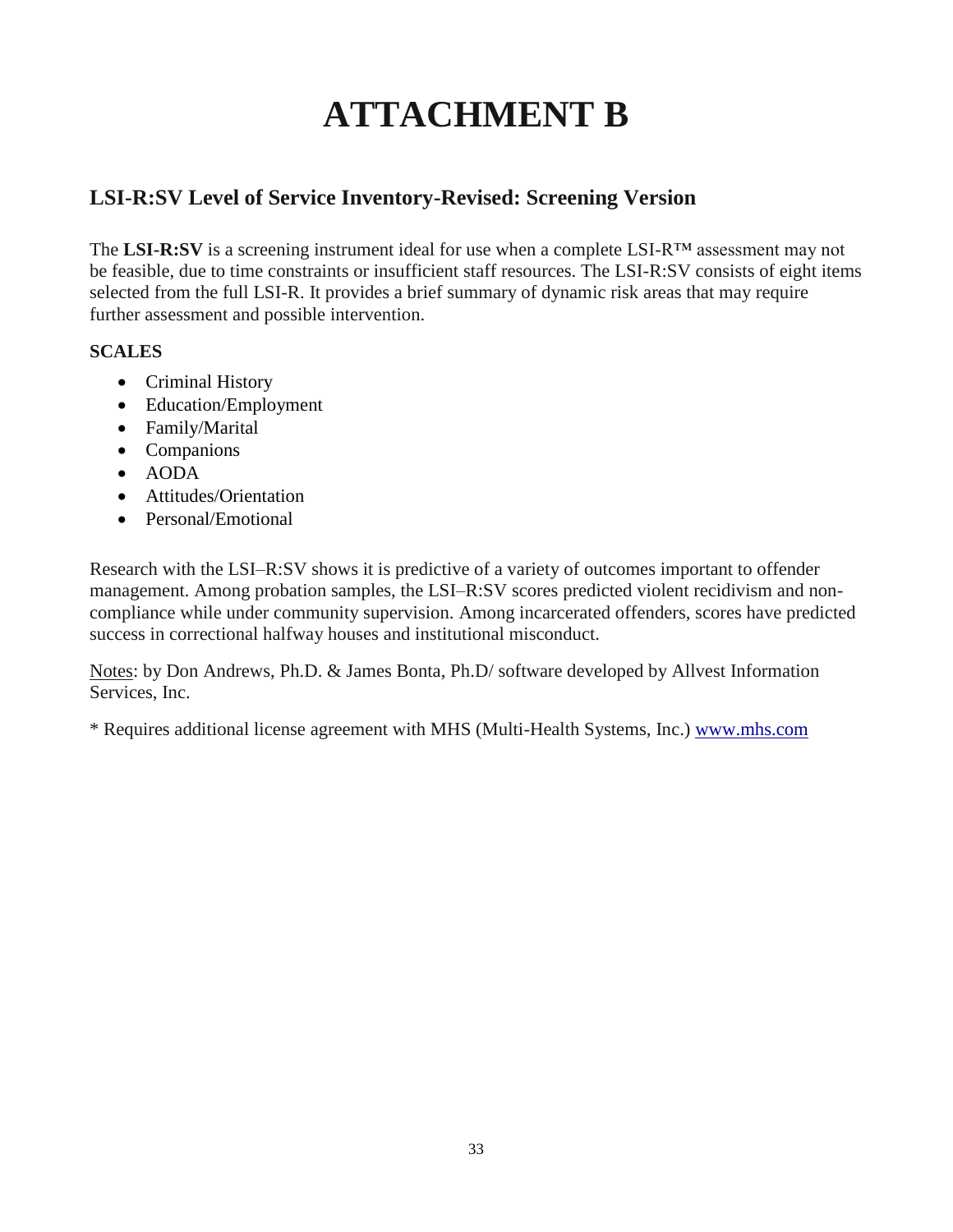# **ATTACHMENT B**

# **LSI-R:SV Level of Service Inventory-Revised: Screening Version**

The **LSI-R:SV** is a screening instrument ideal for use when a complete LSI-R™ assessment may not be feasible, due to time constraints or insufficient staff resources. The LSI-R:SV consists of eight items selected from the full LSI-R. It provides a brief summary of dynamic risk areas that may require further assessment and possible intervention.

# **SCALES**

- Criminal History
- Education/Employment
- Family/Marital
- Companions
- $\bullet$  AODA
- Attitudes/Orientation
- Personal/Emotional

Research with the LSI–R:SV shows it is predictive of a variety of outcomes important to offender management. Among probation samples, the LSI–R:SV scores predicted violent recidivism and noncompliance while under community supervision. Among incarcerated offenders, scores have predicted success in correctional halfway houses and institutional misconduct.

Notes: by Don Andrews, Ph.D. & James Bonta, Ph.D/ software developed by Allvest Information Services, Inc.

\* Requires additional license agreement with MHS (Multi-Health Systems, Inc.) [www.mhs.com](http://www.mhs.com/)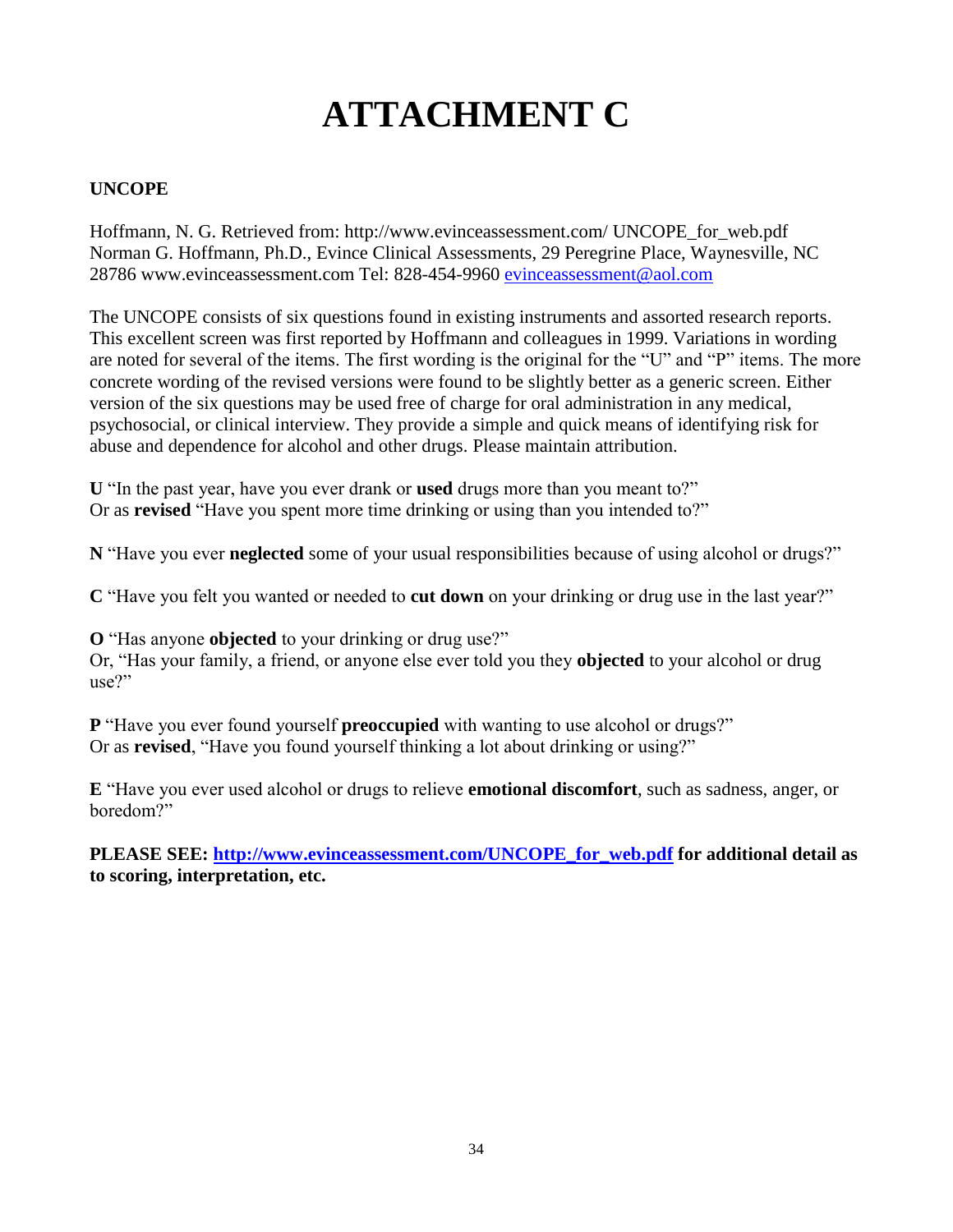# **ATTACHMENT C**

# **UNCOPE**

Hoffmann, N. G. Retrieved from: http://www.evinceassessment.com/ UNCOPE\_for\_web.pdf Norman G. Hoffmann, Ph.D., Evince Clinical Assessments, 29 Peregrine Place, Waynesville, NC 28786 www.evinceassessment.com Tel: 828-454-9960 [evinceassessment@aol.com](mailto:evinceassessment@aol.com)

The UNCOPE consists of six questions found in existing instruments and assorted research reports. This excellent screen was first reported by Hoffmann and colleagues in 1999. Variations in wording are noted for several of the items. The first wording is the original for the "U" and "P" items. The more concrete wording of the revised versions were found to be slightly better as a generic screen. Either version of the six questions may be used free of charge for oral administration in any medical, psychosocial, or clinical interview. They provide a simple and quick means of identifying risk for abuse and dependence for alcohol and other drugs. Please maintain attribution.

**U** "In the past year, have you ever drank or **used** drugs more than you meant to?" Or as **revised** "Have you spent more time drinking or using than you intended to?"

**N** "Have you ever **neglected** some of your usual responsibilities because of using alcohol or drugs?"

**C** "Have you felt you wanted or needed to **cut down** on your drinking or drug use in the last year?"

**O** "Has anyone **objected** to your drinking or drug use?"

Or, "Has your family, a friend, or anyone else ever told you they **objected** to your alcohol or drug use?"

**P** "Have you ever found yourself **preoccupied** with wanting to use alcohol or drugs?" Or as **revised**, "Have you found yourself thinking a lot about drinking or using?"

**E** "Have you ever used alcohol or drugs to relieve **emotional discomfort**, such as sadness, anger, or boredom?"

**PLEASE SEE: [http://www.evinceassessment.com/UNCOPE\\_for\\_web.pdf](http://www.evinceassessment.com/UNCOPE_for_web.pdf) for additional detail as to scoring, interpretation, etc.**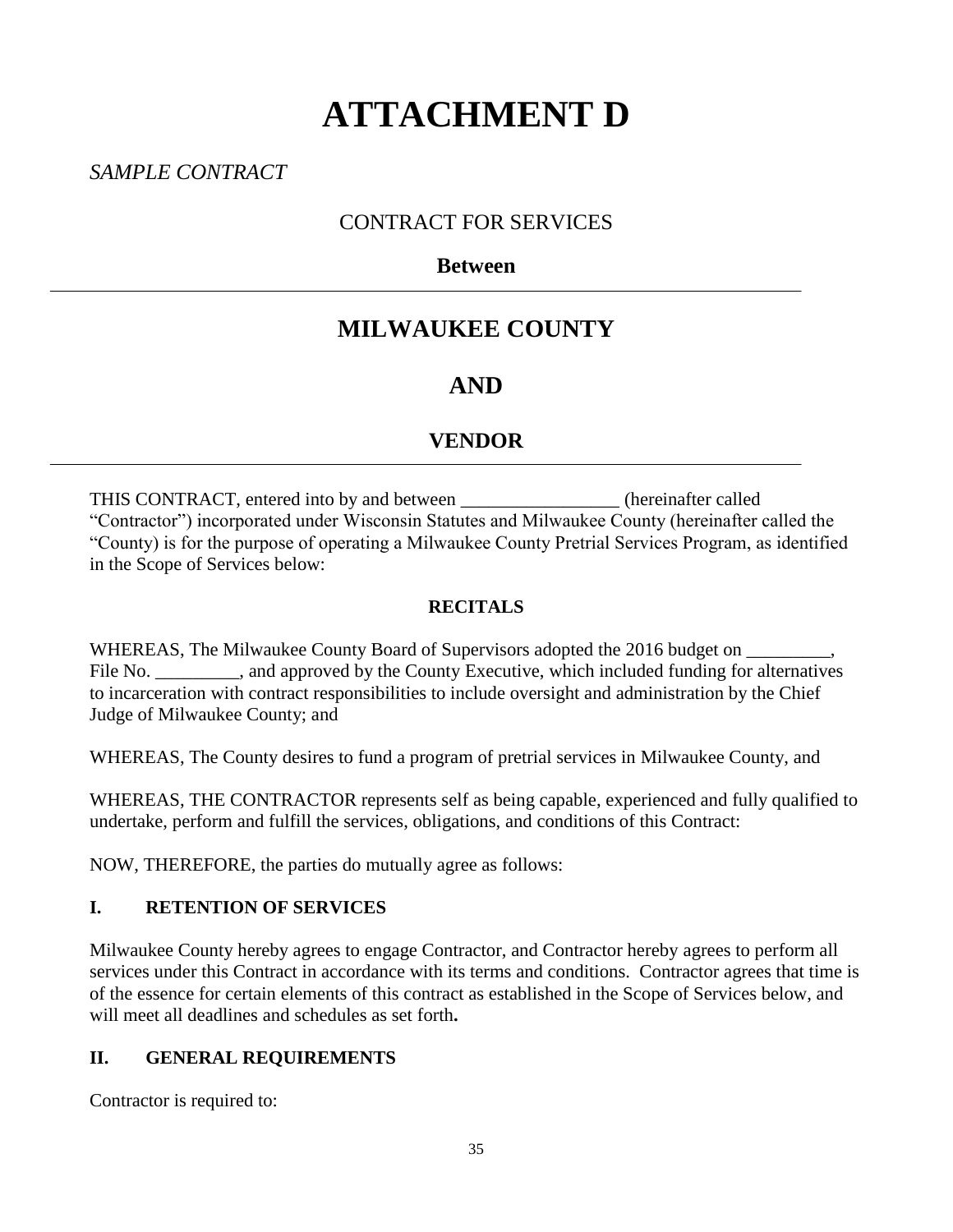# **ATTACHMENT D**

*SAMPLE CONTRACT*

# CONTRACT FOR SERVICES

# **Between**

# **MILWAUKEE COUNTY**

# **AND**

# **VENDOR**

THIS CONTRACT, entered into by and between \_\_\_\_\_\_\_\_\_\_\_\_\_\_\_\_\_ (hereinafter called "Contractor") incorporated under Wisconsin Statutes and Milwaukee County (hereinafter called the "County) is for the purpose of operating a Milwaukee County Pretrial Services Program, as identified in the Scope of Services below:

# **RECITALS**

WHEREAS, The Milwaukee County Board of Supervisors adopted the 2016 budget on File No. \_\_\_\_\_\_\_\_\_, and approved by the County Executive, which included funding for alternatives to incarceration with contract responsibilities to include oversight and administration by the Chief Judge of Milwaukee County; and

WHEREAS, The County desires to fund a program of pretrial services in Milwaukee County, and

WHEREAS, THE CONTRACTOR represents self as being capable, experienced and fully qualified to undertake, perform and fulfill the services, obligations, and conditions of this Contract:

NOW, THEREFORE, the parties do mutually agree as follows:

# **I. RETENTION OF SERVICES**

Milwaukee County hereby agrees to engage Contractor, and Contractor hereby agrees to perform all services under this Contract in accordance with its terms and conditions. Contractor agrees that time is of the essence for certain elements of this contract as established in the Scope of Services below, and will meet all deadlines and schedules as set forth**.**

# **II. GENERAL REQUIREMENTS**

Contractor is required to: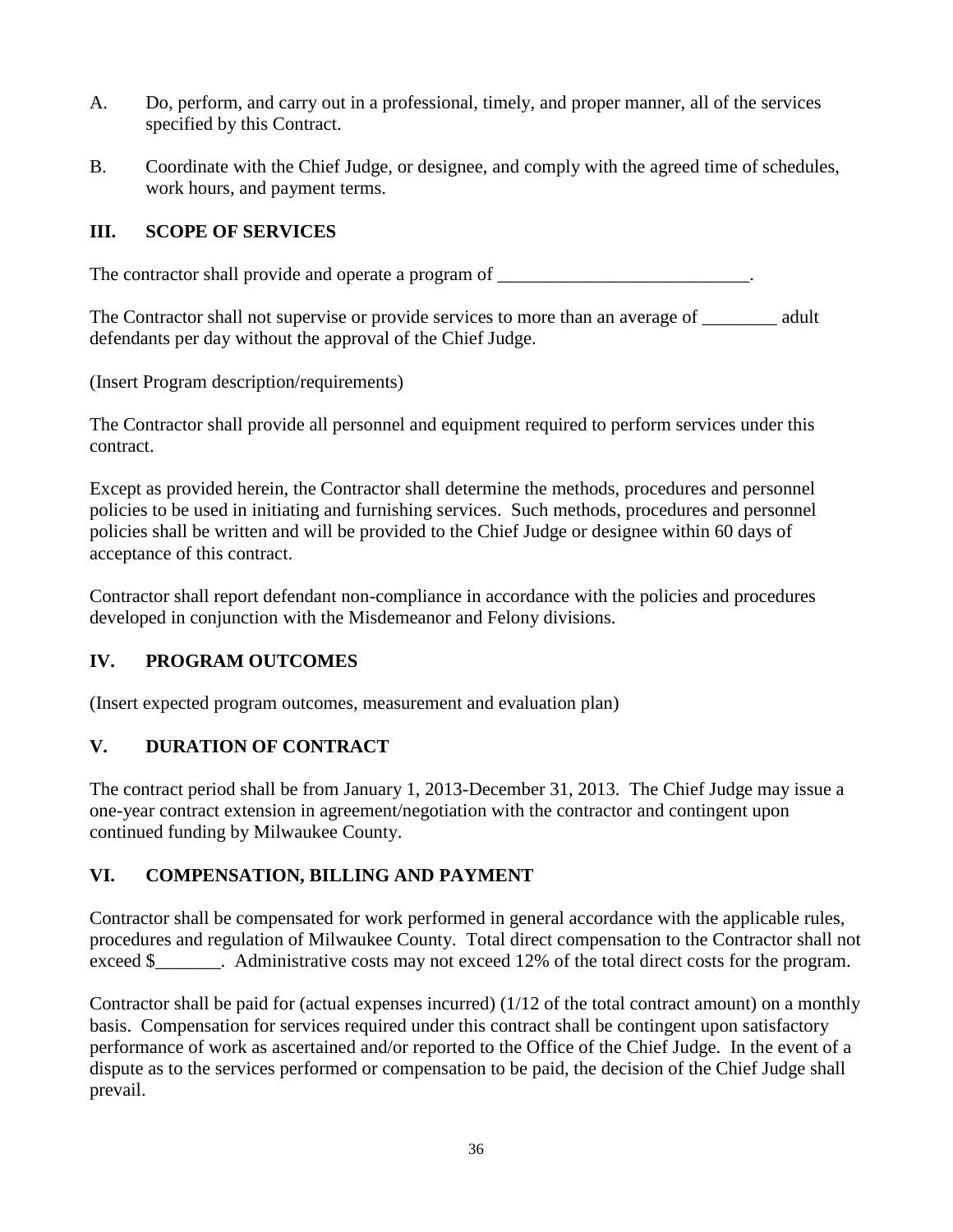- A. Do, perform, and carry out in a professional, timely, and proper manner, all of the services specified by this Contract.
- B. Coordinate with the Chief Judge, or designee, and comply with the agreed time of schedules, work hours, and payment terms.

# **III. SCOPE OF SERVICES**

The contractor shall provide and operate a program of  $\blacksquare$ 

The Contractor shall not supervise or provide services to more than an average of adult defendants per day without the approval of the Chief Judge.

(Insert Program description/requirements)

The Contractor shall provide all personnel and equipment required to perform services under this contract.

Except as provided herein, the Contractor shall determine the methods, procedures and personnel policies to be used in initiating and furnishing services. Such methods, procedures and personnel policies shall be written and will be provided to the Chief Judge or designee within 60 days of acceptance of this contract.

Contractor shall report defendant non-compliance in accordance with the policies and procedures developed in conjunction with the Misdemeanor and Felony divisions.

# **IV. PROGRAM OUTCOMES**

(Insert expected program outcomes, measurement and evaluation plan)

# **V. DURATION OF CONTRACT**

The contract period shall be from January 1, 2013-December 31, 2013. The Chief Judge may issue a one-year contract extension in agreement/negotiation with the contractor and contingent upon continued funding by Milwaukee County.

# **VI. COMPENSATION, BILLING AND PAYMENT**

Contractor shall be compensated for work performed in general accordance with the applicable rules, procedures and regulation of Milwaukee County. Total direct compensation to the Contractor shall not exceed \$\_\_\_\_\_\_\_. Administrative costs may not exceed 12% of the total direct costs for the program.

Contractor shall be paid for (actual expenses incurred) (1/12 of the total contract amount) on a monthly basis. Compensation for services required under this contract shall be contingent upon satisfactory performance of work as ascertained and/or reported to the Office of the Chief Judge. In the event of a dispute as to the services performed or compensation to be paid, the decision of the Chief Judge shall prevail.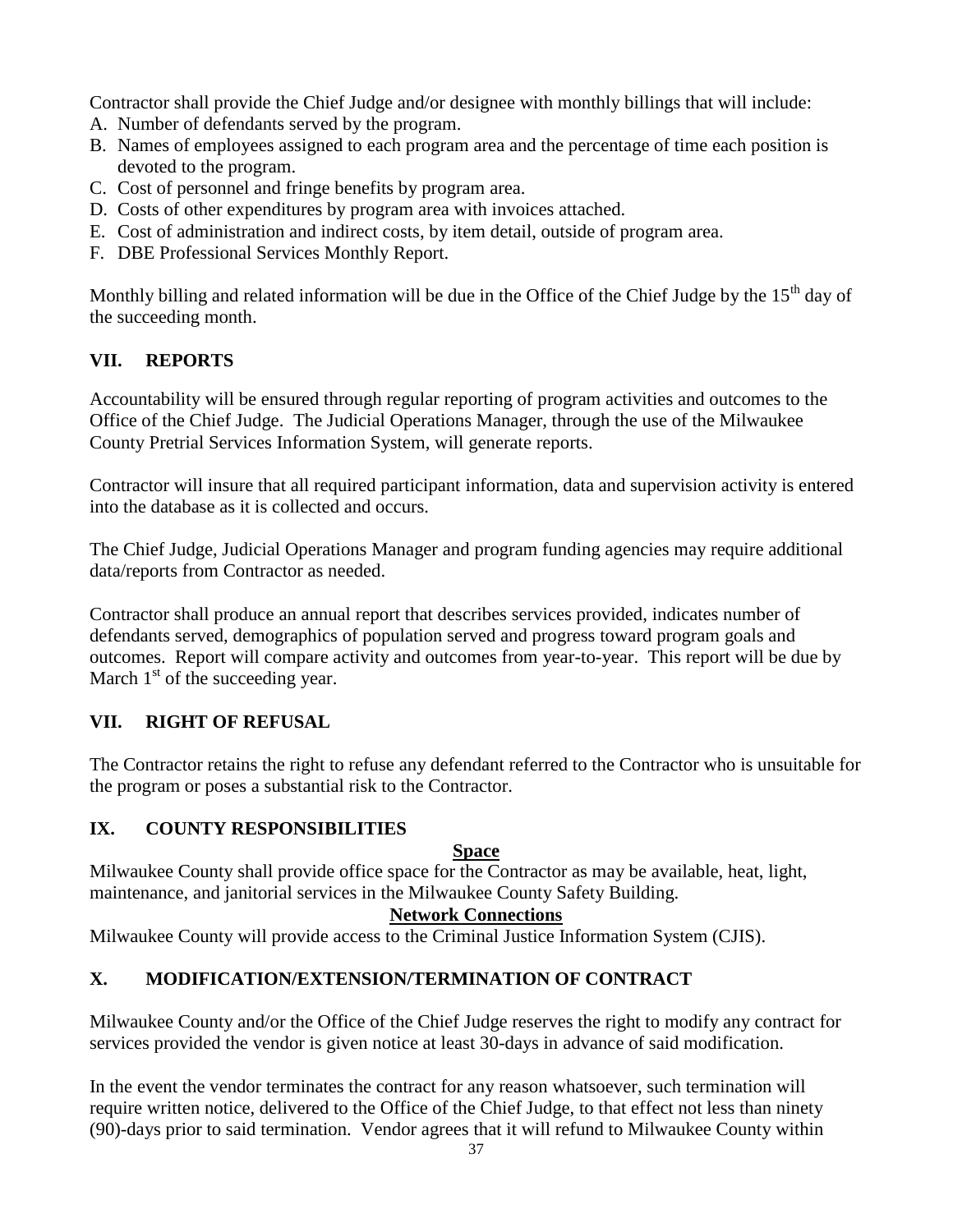Contractor shall provide the Chief Judge and/or designee with monthly billings that will include:

- A. Number of defendants served by the program.
- B. Names of employees assigned to each program area and the percentage of time each position is devoted to the program.
- C. Cost of personnel and fringe benefits by program area.
- D. Costs of other expenditures by program area with invoices attached.
- E. Cost of administration and indirect costs, by item detail, outside of program area.
- F. DBE Professional Services Monthly Report.

Monthly billing and related information will be due in the Office of the Chief Judge by the  $15<sup>th</sup>$  day of the succeeding month.

# **VII. REPORTS**

Accountability will be ensured through regular reporting of program activities and outcomes to the Office of the Chief Judge. The Judicial Operations Manager, through the use of the Milwaukee County Pretrial Services Information System, will generate reports.

Contractor will insure that all required participant information, data and supervision activity is entered into the database as it is collected and occurs.

The Chief Judge, Judicial Operations Manager and program funding agencies may require additional data/reports from Contractor as needed.

Contractor shall produce an annual report that describes services provided, indicates number of defendants served, demographics of population served and progress toward program goals and outcomes. Report will compare activity and outcomes from year-to-year. This report will be due by March  $1<sup>st</sup>$  of the succeeding year.

# **VII. RIGHT OF REFUSAL**

The Contractor retains the right to refuse any defendant referred to the Contractor who is unsuitable for the program or poses a substantial risk to the Contractor.

# **IX. COUNTY RESPONSIBILITIES**

# **Space**

Milwaukee County shall provide office space for the Contractor as may be available, heat, light, maintenance, and janitorial services in the Milwaukee County Safety Building.

# **Network Connections**

Milwaukee County will provide access to the Criminal Justice Information System (CJIS).

# **X. MODIFICATION/EXTENSION/TERMINATION OF CONTRACT**

Milwaukee County and/or the Office of the Chief Judge reserves the right to modify any contract for services provided the vendor is given notice at least 30-days in advance of said modification.

In the event the vendor terminates the contract for any reason whatsoever, such termination will require written notice, delivered to the Office of the Chief Judge, to that effect not less than ninety (90)-days prior to said termination. Vendor agrees that it will refund to Milwaukee County within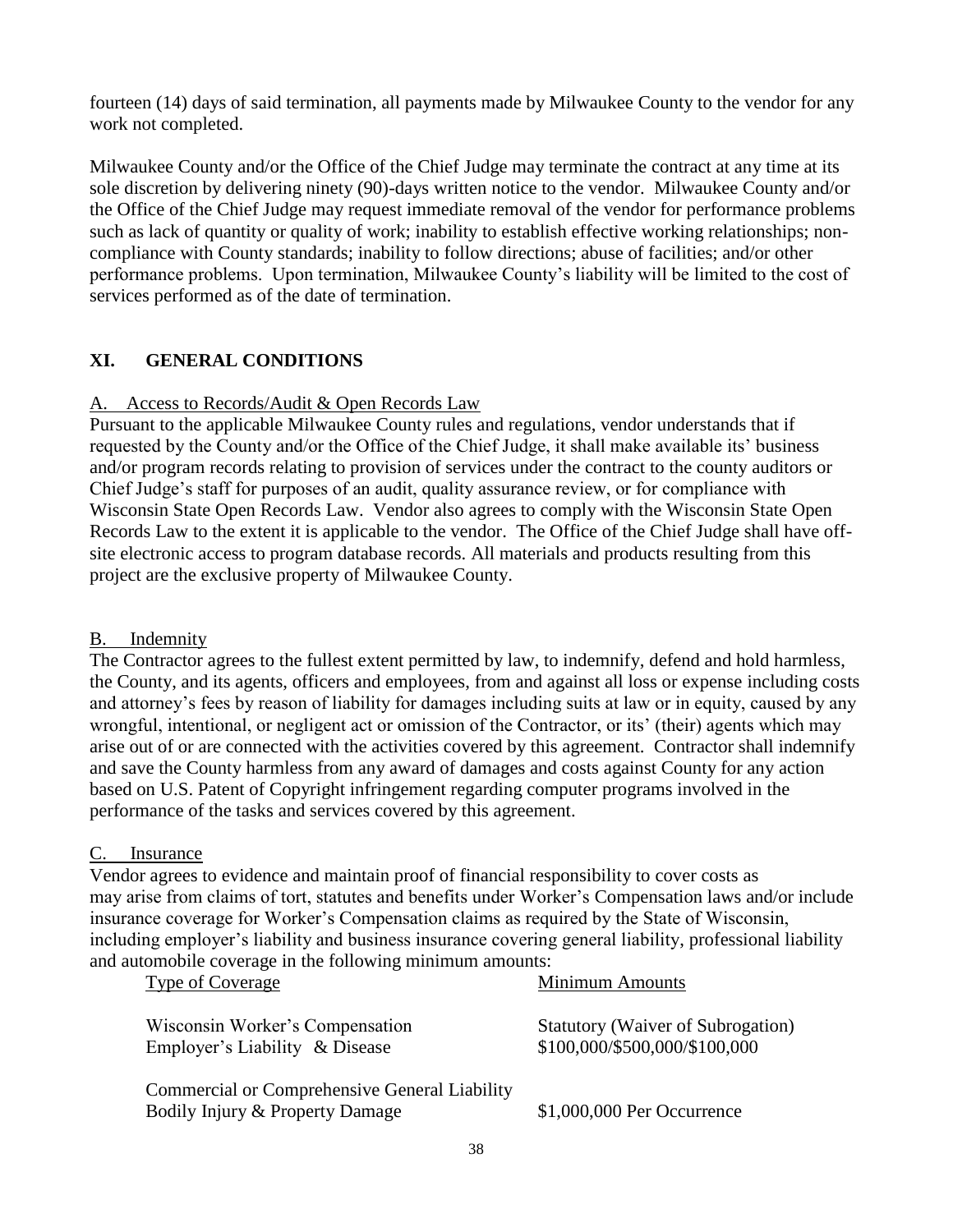fourteen (14) days of said termination, all payments made by Milwaukee County to the vendor for any work not completed.

Milwaukee County and/or the Office of the Chief Judge may terminate the contract at any time at its sole discretion by delivering ninety (90)-days written notice to the vendor. Milwaukee County and/or the Office of the Chief Judge may request immediate removal of the vendor for performance problems such as lack of quantity or quality of work; inability to establish effective working relationships; noncompliance with County standards; inability to follow directions; abuse of facilities; and/or other performance problems. Upon termination, Milwaukee County's liability will be limited to the cost of services performed as of the date of termination.

# **XI. GENERAL CONDITIONS**

# A.Access to Records/Audit & Open Records Law

Pursuant to the applicable Milwaukee County rules and regulations, vendor understands that if requested by the County and/or the Office of the Chief Judge, it shall make available its' business and/or program records relating to provision of services under the contract to the county auditors or Chief Judge's staff for purposes of an audit, quality assurance review, or for compliance with Wisconsin State Open Records Law. Vendor also agrees to comply with the Wisconsin State Open Records Law to the extent it is applicable to the vendor. The Office of the Chief Judge shall have offsite electronic access to program database records. All materials and products resulting from this project are the exclusive property of Milwaukee County.

# B. Indemnity

The Contractor agrees to the fullest extent permitted by law, to indemnify, defend and hold harmless, the County, and its agents, officers and employees, from and against all loss or expense including costs and attorney's fees by reason of liability for damages including suits at law or in equity, caused by any wrongful, intentional, or negligent act or omission of the Contractor, or its' (their) agents which may arise out of or are connected with the activities covered by this agreement. Contractor shall indemnify and save the County harmless from any award of damages and costs against County for any action based on U.S. Patent of Copyright infringement regarding computer programs involved in the performance of the tasks and services covered by this agreement.

# C. Insurance

Vendor agrees to evidence and maintain proof of financial responsibility to cover costs as may arise from claims of tort, statutes and benefits under Worker's Compensation laws and/or include insurance coverage for Worker's Compensation claims as required by the State of Wisconsin, including employer's liability and business insurance covering general liability, professional liability and automobile coverage in the following minimum amounts:

| Wisconsin Worker's Compensation<br>Employer's Liability & Disease | <b>Statutory (Waiver of Subrogation)</b><br>\$100,000/\$500,000/\$100,000 |
|-------------------------------------------------------------------|---------------------------------------------------------------------------|
|                                                                   |                                                                           |

Type of Coverage Type of Coverage Minimum Amounts

Commercial or Comprehensive General Liability Bodily Injury & Property Damage \$1,000,000 Per Occurrence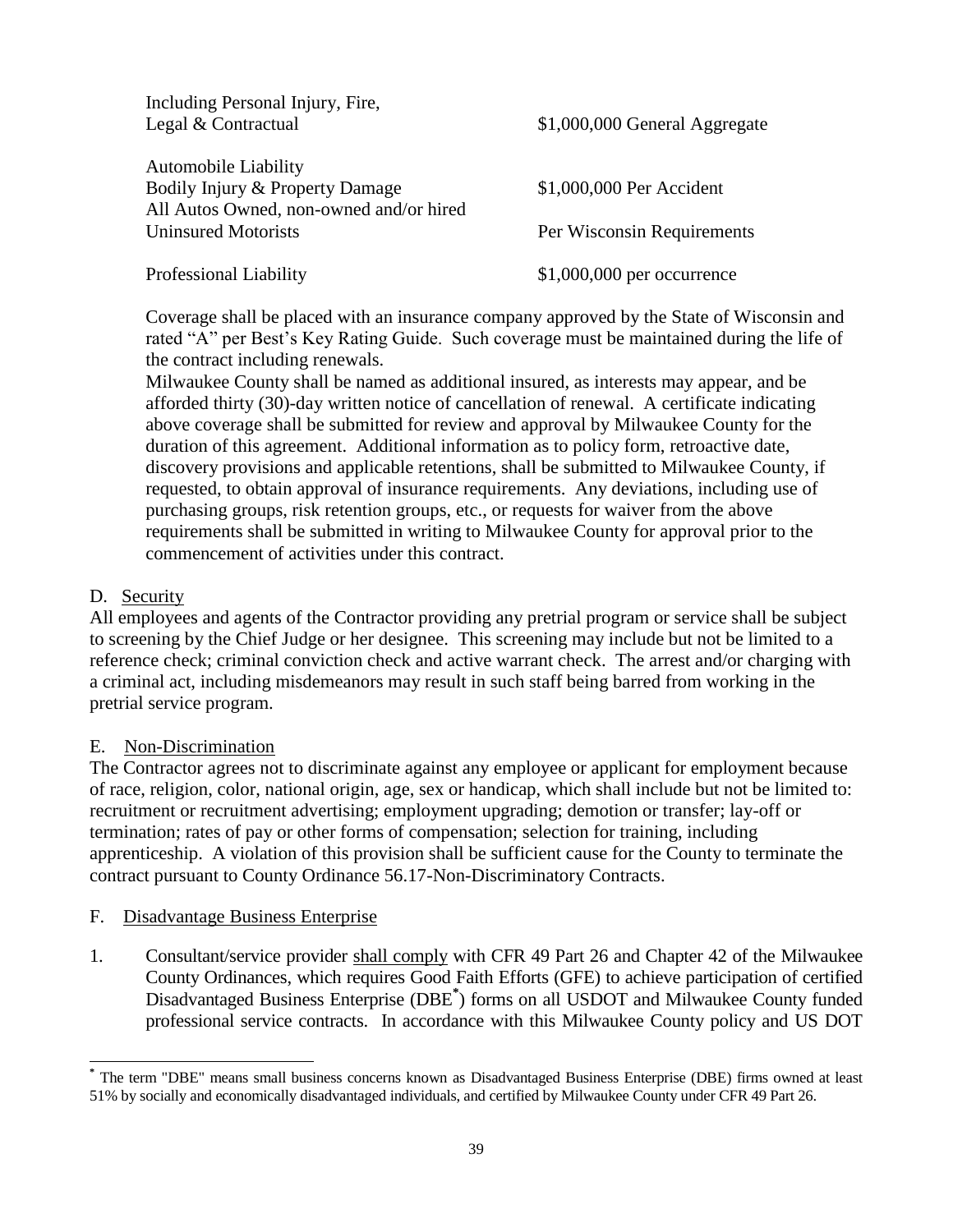| Including Personal Injury, Fire,        |                               |
|-----------------------------------------|-------------------------------|
| Legal & Contractual                     | \$1,000,000 General Aggregate |
|                                         |                               |
| <b>Automobile Liability</b>             |                               |
| Bodily Injury & Property Damage         | \$1,000,000 Per Accident      |
| All Autos Owned, non-owned and/or hired |                               |
| <b>Uninsured Motorists</b>              | Per Wisconsin Requirements    |
|                                         |                               |
| <b>Professional Liability</b>           | $$1,000,000$ per occurrence   |

Coverage shall be placed with an insurance company approved by the State of Wisconsin and rated "A" per Best's Key Rating Guide. Such coverage must be maintained during the life of the contract including renewals.

Milwaukee County shall be named as additional insured, as interests may appear, and be afforded thirty (30)-day written notice of cancellation of renewal. A certificate indicating above coverage shall be submitted for review and approval by Milwaukee County for the duration of this agreement. Additional information as to policy form, retroactive date, discovery provisions and applicable retentions, shall be submitted to Milwaukee County, if requested, to obtain approval of insurance requirements. Any deviations, including use of purchasing groups, risk retention groups, etc., or requests for waiver from the above requirements shall be submitted in writing to Milwaukee County for approval prior to the commencement of activities under this contract.

### D. Security

l

All employees and agents of the Contractor providing any pretrial program or service shall be subject to screening by the Chief Judge or her designee. This screening may include but not be limited to a reference check; criminal conviction check and active warrant check. The arrest and/or charging with a criminal act, including misdemeanors may result in such staff being barred from working in the pretrial service program.

### E. Non-Discrimination

The Contractor agrees not to discriminate against any employee or applicant for employment because of race, religion, color, national origin, age, sex or handicap, which shall include but not be limited to: recruitment or recruitment advertising; employment upgrading; demotion or transfer; lay-off or termination; rates of pay or other forms of compensation; selection for training, including apprenticeship. A violation of this provision shall be sufficient cause for the County to terminate the contract pursuant to County Ordinance 56.17-Non-Discriminatory Contracts.

### F. Disadvantage Business Enterprise

1. Consultant/service provider shall comply with CFR 49 Part 26 and Chapter 42 of the Milwaukee County Ordinances, which requires Good Faith Efforts (GFE) to achieve participation of certified Disadvantaged Business Enterprise (DBE**\*** ) forms on all USDOT and Milwaukee County funded professional service contracts. In accordance with this Milwaukee County policy and US DOT

**<sup>\*</sup>** The term "DBE" means small business concerns known as Disadvantaged Business Enterprise (DBE) firms owned at least 51% by socially and economically disadvantaged individuals, and certified by Milwaukee County under CFR 49 Part 26.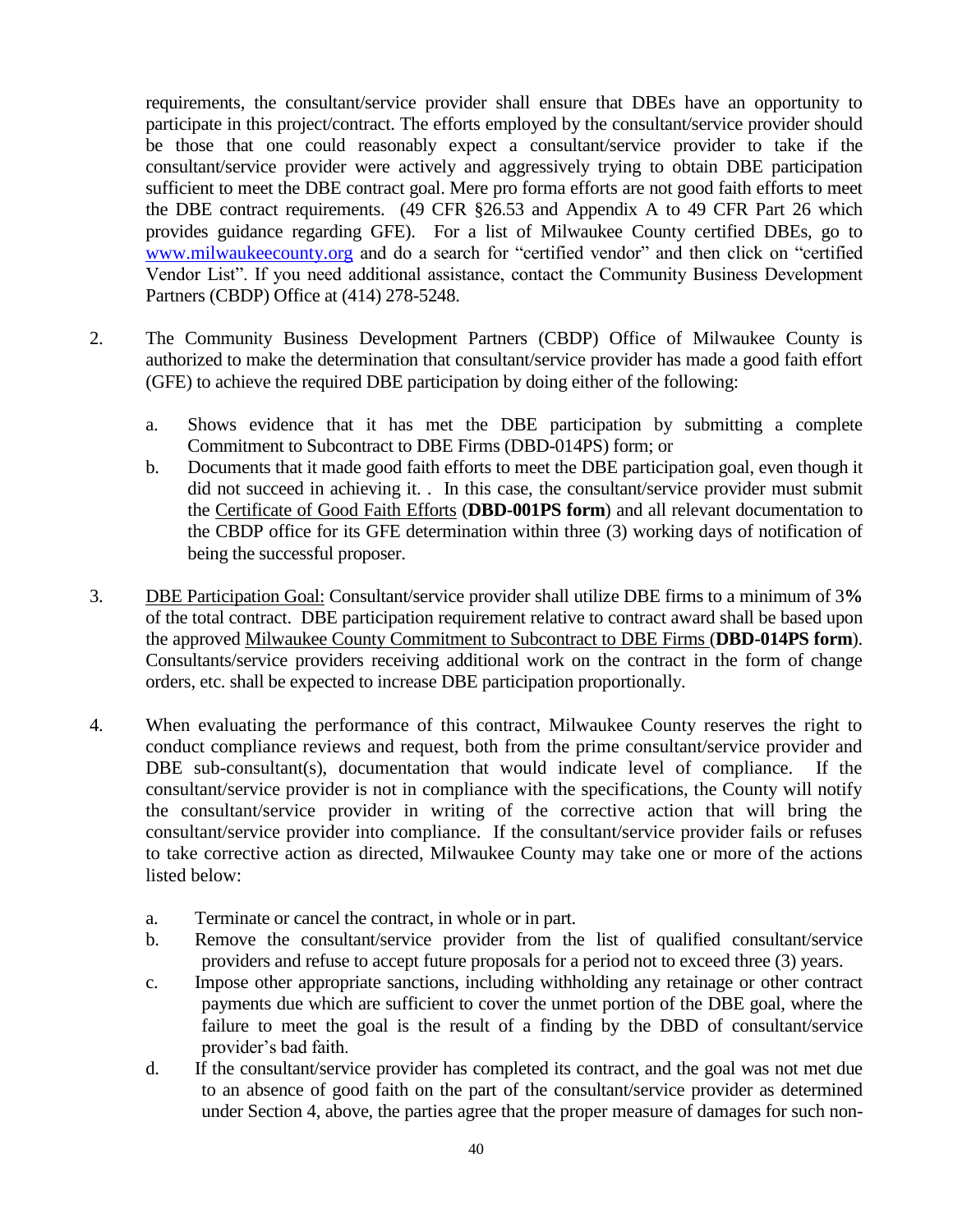requirements, the consultant/service provider shall ensure that DBEs have an opportunity to participate in this project/contract. The efforts employed by the consultant/service provider should be those that one could reasonably expect a consultant/service provider to take if the consultant/service provider were actively and aggressively trying to obtain DBE participation sufficient to meet the DBE contract goal. Mere pro forma efforts are not good faith efforts to meet the DBE contract requirements. (49 CFR §26.53 and Appendix A to 49 CFR Part 26 which provides guidance regarding GFE). For a list of Milwaukee County certified DBEs, go to [www.milwaukeecounty.org](http://www.milwaukeecounty.org/) and do a search for "certified vendor" and then click on "certified Vendor List". If you need additional assistance, contact the Community Business Development Partners (CBDP) Office at (414) 278-5248.

- 2. The Community Business Development Partners (CBDP) Office of Milwaukee County is authorized to make the determination that consultant/service provider has made a good faith effort (GFE) to achieve the required DBE participation by doing either of the following:
	- a. Shows evidence that it has met the DBE participation by submitting a complete Commitment to Subcontract to DBE Firms (DBD-014PS) form; or
	- b. Documents that it made good faith efforts to meet the DBE participation goal, even though it did not succeed in achieving it. . In this case, the consultant/service provider must submit the Certificate of Good Faith Efforts (**DBD-001PS form**) and all relevant documentation to the CBDP office for its GFE determination within three (3) working days of notification of being the successful proposer.
- 3. DBE Participation Goal: Consultant/service provider shall utilize DBE firms to a minimum of 3**%**  of the total contract. DBE participation requirement relative to contract award shall be based upon the approved Milwaukee County Commitment to Subcontract to DBE Firms (**DBD-014PS form**). Consultants/service providers receiving additional work on the contract in the form of change orders, etc. shall be expected to increase DBE participation proportionally.
- 4. When evaluating the performance of this contract, Milwaukee County reserves the right to conduct compliance reviews and request, both from the prime consultant/service provider and DBE sub-consultant(s), documentation that would indicate level of compliance. If the consultant/service provider is not in compliance with the specifications, the County will notify the consultant/service provider in writing of the corrective action that will bring the consultant/service provider into compliance. If the consultant/service provider fails or refuses to take corrective action as directed, Milwaukee County may take one or more of the actions listed below:
	- a. Terminate or cancel the contract, in whole or in part.
	- b. Remove the consultant/service provider from the list of qualified consultant/service providers and refuse to accept future proposals for a period not to exceed three (3) years.
	- c. Impose other appropriate sanctions, including withholding any retainage or other contract payments due which are sufficient to cover the unmet portion of the DBE goal, where the failure to meet the goal is the result of a finding by the DBD of consultant/service provider's bad faith.
	- d. If the consultant/service provider has completed its contract, and the goal was not met due to an absence of good faith on the part of the consultant/service provider as determined under Section 4, above, the parties agree that the proper measure of damages for such non-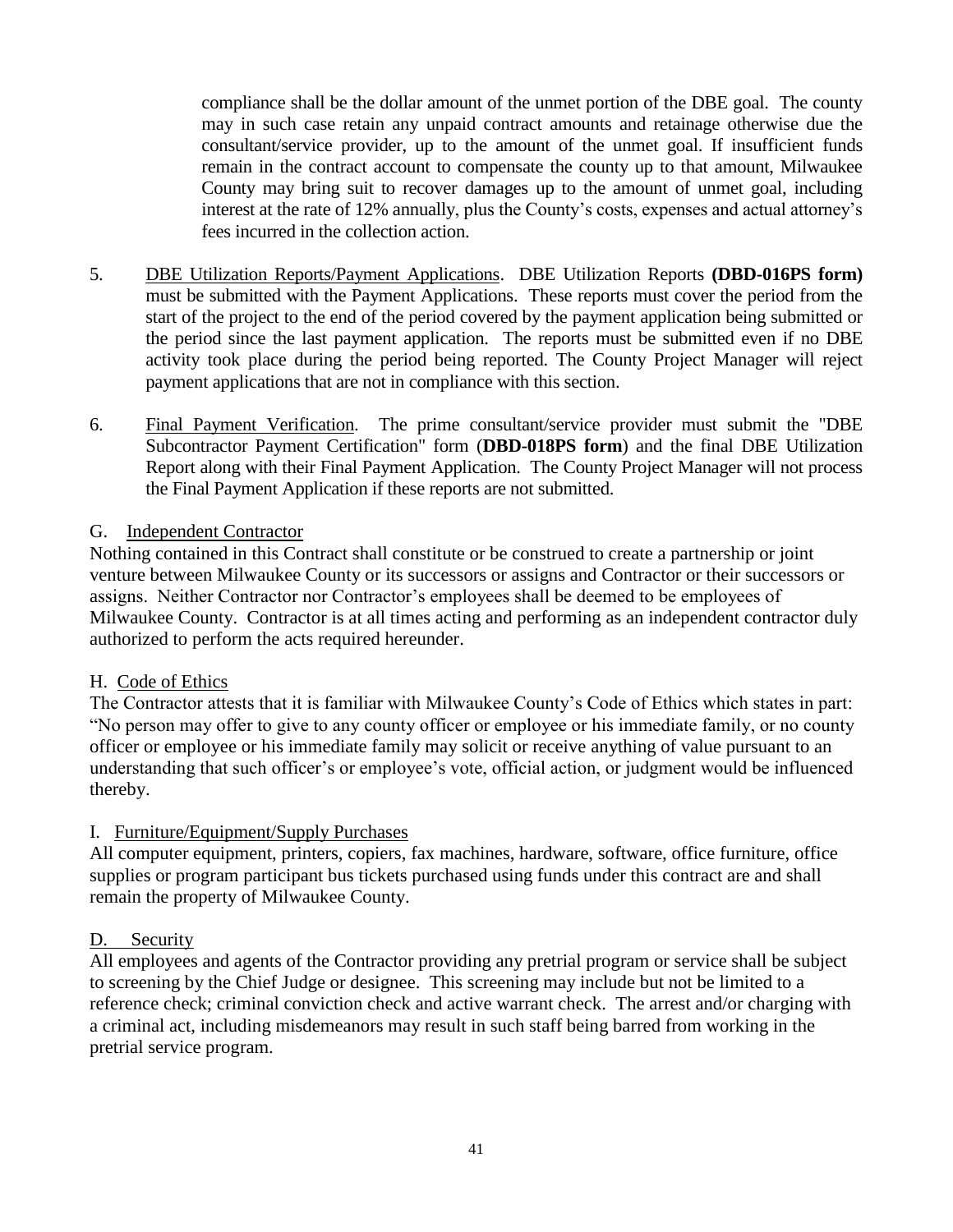compliance shall be the dollar amount of the unmet portion of the DBE goal. The county may in such case retain any unpaid contract amounts and retainage otherwise due the consultant/service provider, up to the amount of the unmet goal. If insufficient funds remain in the contract account to compensate the county up to that amount, Milwaukee County may bring suit to recover damages up to the amount of unmet goal, including interest at the rate of 12% annually, plus the County's costs, expenses and actual attorney's fees incurred in the collection action.

- 5. DBE Utilization Reports/Payment Applications. DBE Utilization Reports **(DBD-016PS form)** must be submitted with the Payment Applications. These reports must cover the period from the start of the project to the end of the period covered by the payment application being submitted or the period since the last payment application. The reports must be submitted even if no DBE activity took place during the period being reported. The County Project Manager will reject payment applications that are not in compliance with this section.
- 6. Final Payment Verification. The prime consultant/service provider must submit the "DBE Subcontractor Payment Certification" form (**DBD-018PS form**) and the final DBE Utilization Report along with their Final Payment Application. The County Project Manager will not process the Final Payment Application if these reports are not submitted.

### G. Independent Contractor

Nothing contained in this Contract shall constitute or be construed to create a partnership or joint venture between Milwaukee County or its successors or assigns and Contractor or their successors or assigns. Neither Contractor nor Contractor's employees shall be deemed to be employees of Milwaukee County. Contractor is at all times acting and performing as an independent contractor duly authorized to perform the acts required hereunder.

### H. Code of Ethics

The Contractor attests that it is familiar with Milwaukee County's Code of Ethics which states in part: "No person may offer to give to any county officer or employee or his immediate family, or no county officer or employee or his immediate family may solicit or receive anything of value pursuant to an understanding that such officer's or employee's vote, official action, or judgment would be influenced thereby.

# I. Furniture/Equipment/Supply Purchases

All computer equipment, printers, copiers, fax machines, hardware, software, office furniture, office supplies or program participant bus tickets purchased using funds under this contract are and shall remain the property of Milwaukee County.

### D. Security

All employees and agents of the Contractor providing any pretrial program or service shall be subject to screening by the Chief Judge or designee. This screening may include but not be limited to a reference check; criminal conviction check and active warrant check. The arrest and/or charging with a criminal act, including misdemeanors may result in such staff being barred from working in the pretrial service program.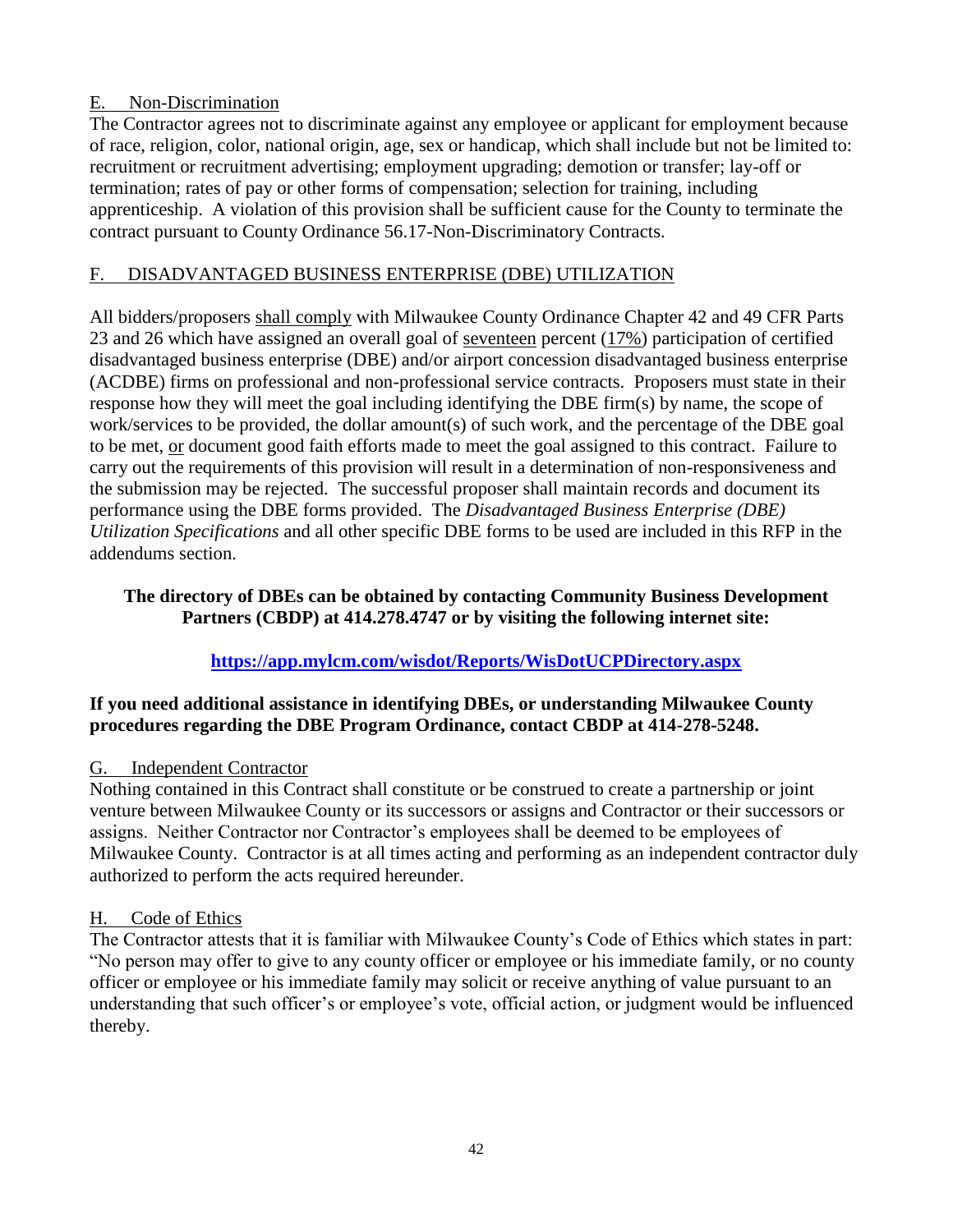# E. Non-Discrimination

The Contractor agrees not to discriminate against any employee or applicant for employment because of race, religion, color, national origin, age, sex or handicap, which shall include but not be limited to: recruitment or recruitment advertising; employment upgrading; demotion or transfer; lay-off or termination; rates of pay or other forms of compensation; selection for training, including apprenticeship. A violation of this provision shall be sufficient cause for the County to terminate the contract pursuant to County Ordinance 56.17-Non-Discriminatory Contracts.

# F. DISADVANTAGED BUSINESS ENTERPRISE (DBE) UTILIZATION

All bidders/proposers shall comply with Milwaukee County Ordinance Chapter 42 and 49 CFR Parts 23 and 26 which have assigned an overall goal of seventeen percent (17%) participation of certified disadvantaged business enterprise (DBE) and/or airport concession disadvantaged business enterprise (ACDBE) firms on professional and non-professional service contracts. Proposers must state in their response how they will meet the goal including identifying the DBE firm(s) by name, the scope of work/services to be provided, the dollar amount(s) of such work, and the percentage of the DBE goal to be met, or document good faith efforts made to meet the goal assigned to this contract. Failure to carry out the requirements of this provision will result in a determination of non-responsiveness and the submission may be rejected. The successful proposer shall maintain records and document its performance using the DBE forms provided. The *Disadvantaged Business Enterprise (DBE) Utilization Specifications* and all other specific DBE forms to be used are included in this RFP in the addendums section.

### **The directory of DBEs can be obtained by contacting Community Business Development Partners (CBDP) at 414.278.4747 or by visiting the following internet site:**

# **<https://app.mylcm.com/wisdot/Reports/WisDotUCPDirectory.aspx>**

# **If you need additional assistance in identifying DBEs, or understanding Milwaukee County procedures regarding the DBE Program Ordinance, contact CBDP at 414-278-5248.**

# G. Independent Contractor

Nothing contained in this Contract shall constitute or be construed to create a partnership or joint venture between Milwaukee County or its successors or assigns and Contractor or their successors or assigns. Neither Contractor nor Contractor's employees shall be deemed to be employees of Milwaukee County. Contractor is at all times acting and performing as an independent contractor duly authorized to perform the acts required hereunder.

# H. Code of Ethics

The Contractor attests that it is familiar with Milwaukee County's Code of Ethics which states in part: "No person may offer to give to any county officer or employee or his immediate family, or no county officer or employee or his immediate family may solicit or receive anything of value pursuant to an understanding that such officer's or employee's vote, official action, or judgment would be influenced thereby.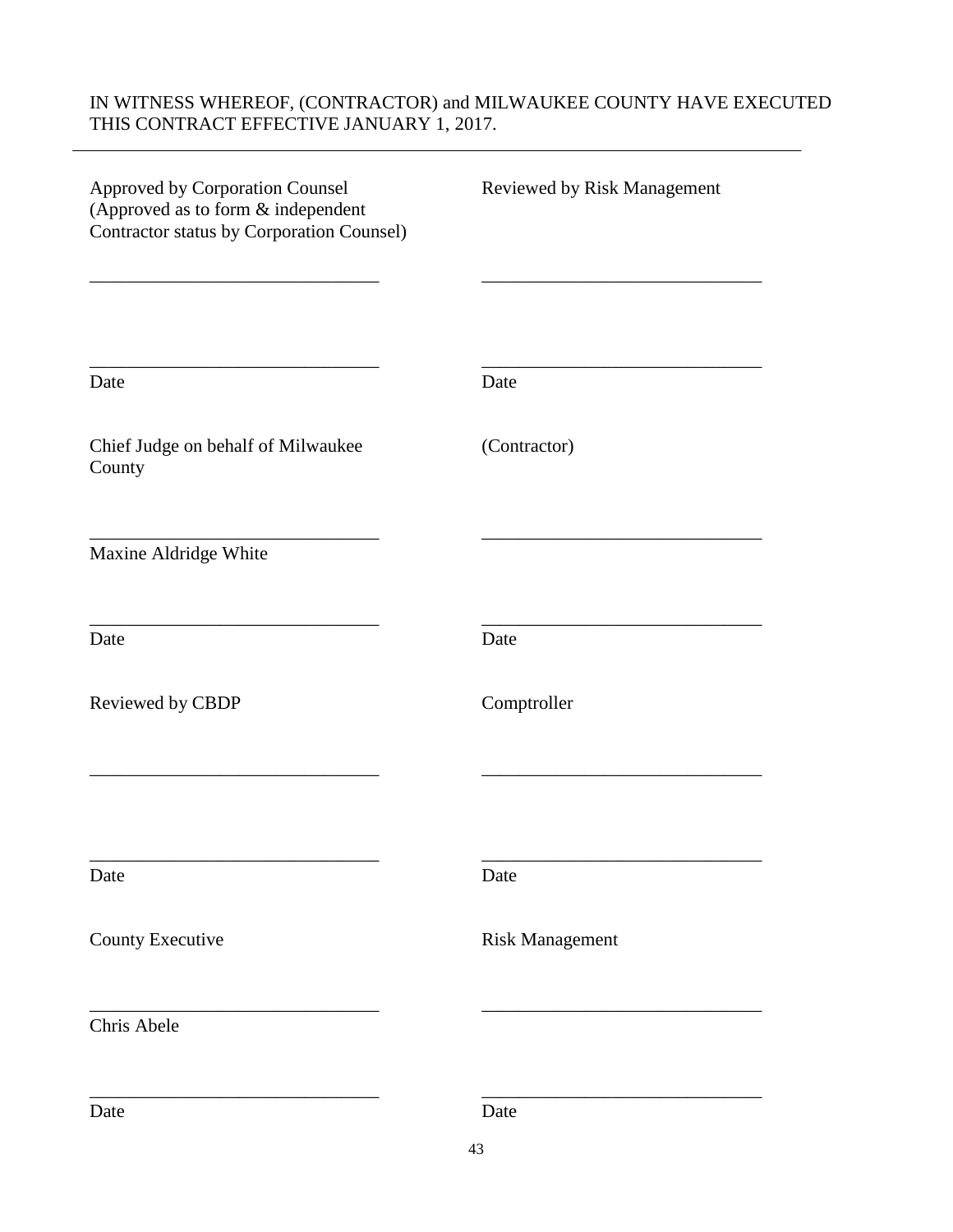# IN WITNESS WHEREOF, (CONTRACTOR) and MILWAUKEE COUNTY HAVE EXECUTED THIS CONTRACT EFFECTIVE JANUARY 1, 2017.

| Approved by Corporation Counsel<br>(Approved as to form & independent<br>Contractor status by Corporation Counsel) | Reviewed by Risk Management |
|--------------------------------------------------------------------------------------------------------------------|-----------------------------|
| Date                                                                                                               | Date                        |
| Chief Judge on behalf of Milwaukee<br>County                                                                       | (Contractor)                |
| Maxine Aldridge White                                                                                              |                             |
| Date                                                                                                               | Date                        |
| Reviewed by CBDP                                                                                                   | Comptroller                 |
|                                                                                                                    |                             |
| Date                                                                                                               | Date                        |
| County Executive                                                                                                   | <b>Risk Management</b>      |
| Chris Abele                                                                                                        |                             |
| Date                                                                                                               | Date                        |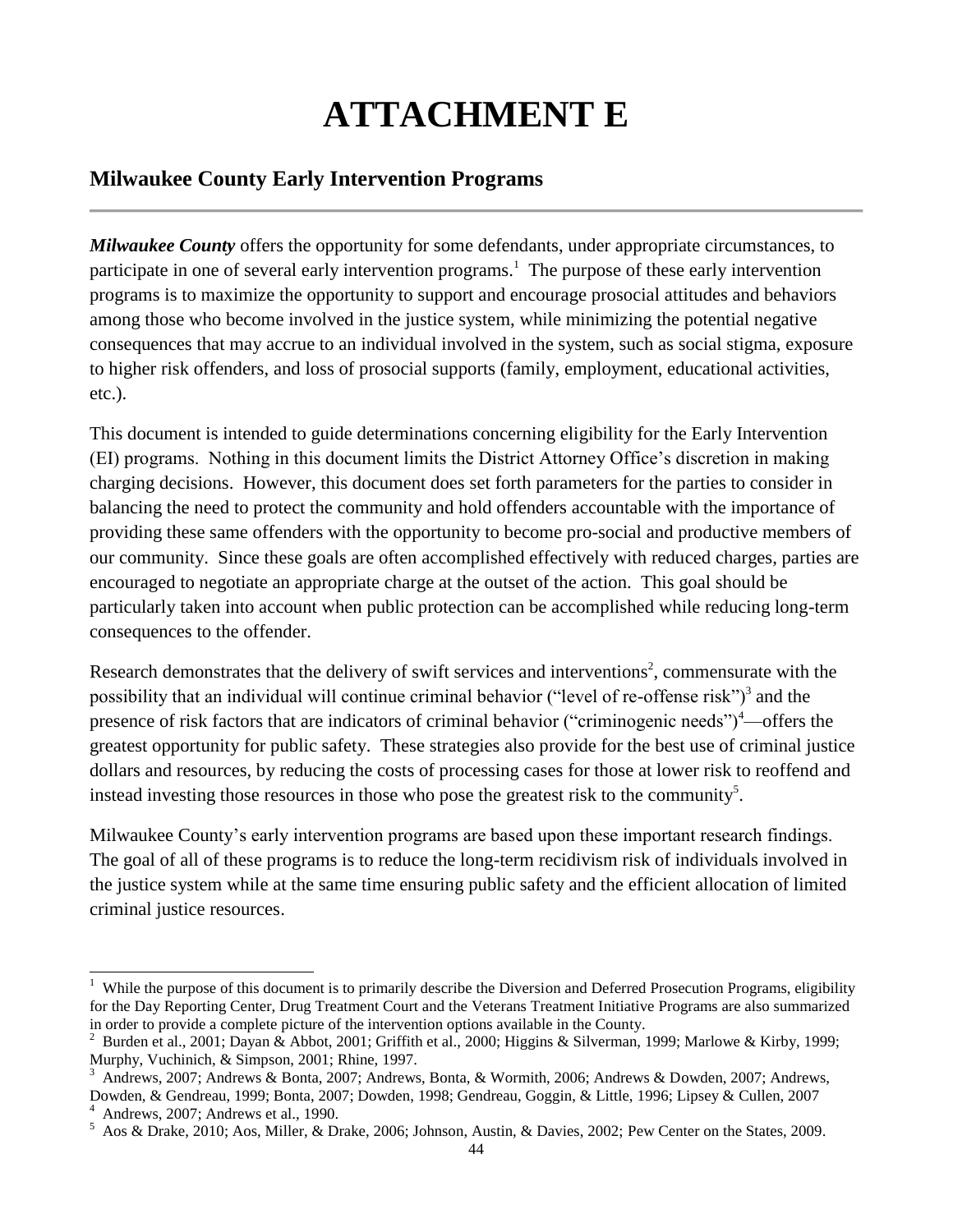# **ATTACHMENT E**

# **Milwaukee County Early Intervention Programs**

*Milwaukee County* offers the opportunity for some defendants, under appropriate circumstances, to participate in one of several early intervention programs.<sup>1</sup> The purpose of these early intervention programs is to maximize the opportunity to support and encourage prosocial attitudes and behaviors among those who become involved in the justice system, while minimizing the potential negative consequences that may accrue to an individual involved in the system, such as social stigma, exposure to higher risk offenders, and loss of prosocial supports (family, employment, educational activities, etc.).

This document is intended to guide determinations concerning eligibility for the Early Intervention (EI) programs. Nothing in this document limits the District Attorney Office's discretion in making charging decisions. However, this document does set forth parameters for the parties to consider in balancing the need to protect the community and hold offenders accountable with the importance of providing these same offenders with the opportunity to become pro-social and productive members of our community. Since these goals are often accomplished effectively with reduced charges, parties are encouraged to negotiate an appropriate charge at the outset of the action. This goal should be particularly taken into account when public protection can be accomplished while reducing long-term consequences to the offender.

Research demonstrates that the delivery of swift services and interventions<sup>2</sup>, commensurate with the possibility that an individual will continue criminal behavior ("level of re-offense risk")<sup>3</sup> and the presence of risk factors that are indicators of criminal behavior ("criminogenic needs")<sup>4</sup>—offers the greatest opportunity for public safety. These strategies also provide for the best use of criminal justice dollars and resources, by reducing the costs of processing cases for those at lower risk to reoffend and instead investing those resources in those who pose the greatest risk to the community<sup>5</sup>.

Milwaukee County's early intervention programs are based upon these important research findings. The goal of all of these programs is to reduce the long-term recidivism risk of individuals involved in the justice system while at the same time ensuring public safety and the efficient allocation of limited criminal justice resources.

<sup>&</sup>lt;sup>1</sup> While the purpose of this document is to primarily describe the Diversion and Deferred Prosecution Programs, eligibility for the Day Reporting Center, Drug Treatment Court and the Veterans Treatment Initiative Programs are also summarized in order to provide a complete picture of the intervention options available in the County.

<sup>&</sup>lt;sup>2</sup> Burden et al., 2001; Dayan & Abbot, 2001; Griffith et al., 2000; Higgins & Silverman, 1999; Marlowe & Kirby, 1999; Murphy, Vuchinich, & Simpson, 2001; Rhine, 1997.

<sup>3</sup> Andrews, 2007; Andrews & Bonta, 2007; Andrews, Bonta, & Wormith, 2006; Andrews & Dowden, 2007; Andrews, Dowden, & Gendreau, 1999; Bonta, 2007; Dowden, 1998; Gendreau, Goggin, & Little, 1996; Lipsey & Cullen, 2007

<sup>4</sup> Andrews, 2007; Andrews et al., 1990.

<sup>5</sup> Aos & Drake, 2010; Aos, Miller, & Drake, 2006; Johnson, Austin, & Davies, 2002; Pew Center on the States, 2009.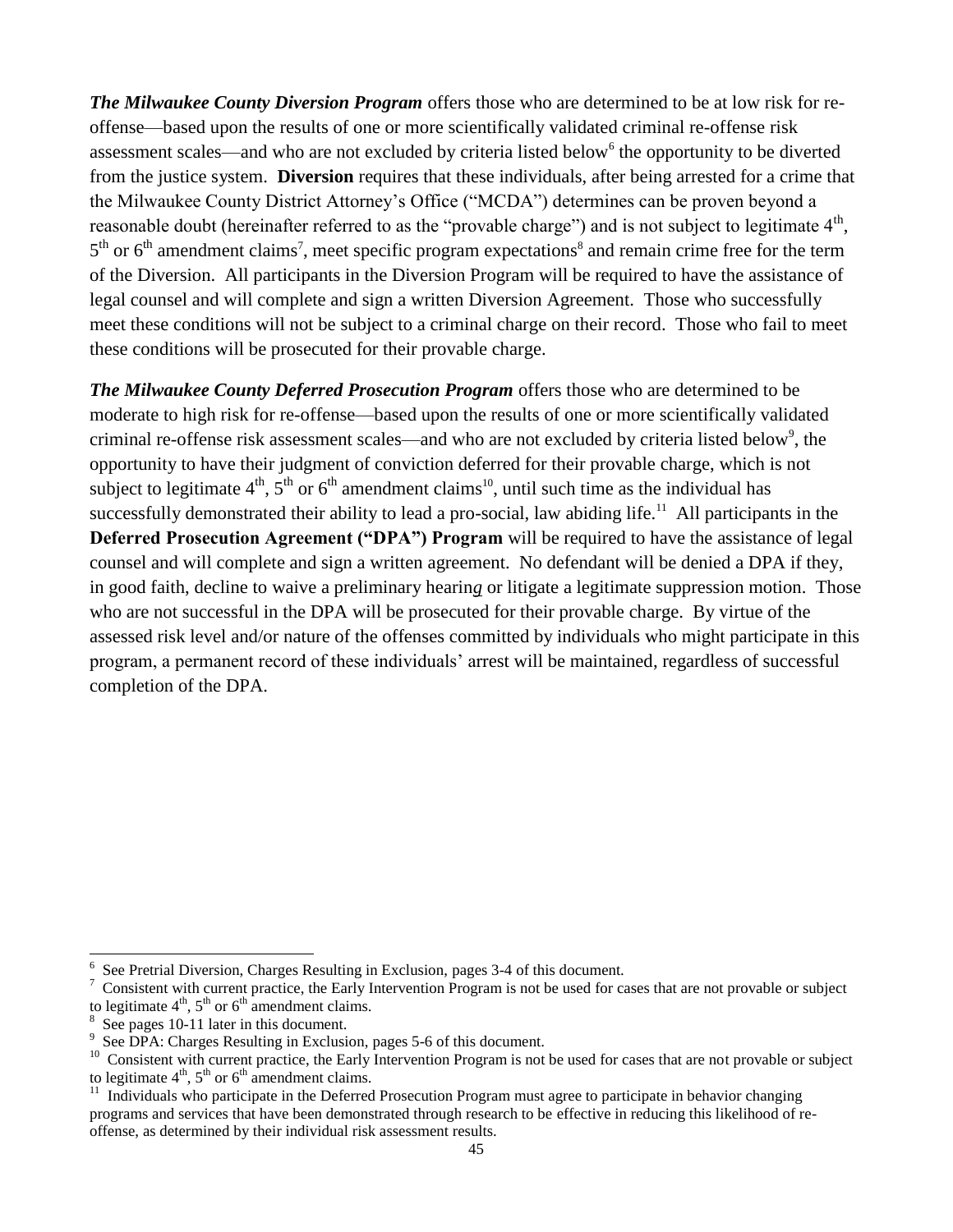*The Milwaukee County Diversion Program* offers those who are determined to be at low risk for reoffense—based upon the results of one or more scientifically validated criminal re-offense risk assessment scales—and who are not excluded by criteria listed below<sup>6</sup> the opportunity to be diverted from the justice system. **Diversion** requires that these individuals, after being arrested for a crime that the Milwaukee County District Attorney's Office ("MCDA") determines can be proven beyond a reasonable doubt (hereinafter referred to as the "provable charge") and is not subject to legitimate  $4<sup>th</sup>$ ,  $5<sup>th</sup>$  or  $6<sup>th</sup>$  amendment claims<sup>7</sup>, meet specific program expectations<sup>8</sup> and remain crime free for the term of the Diversion. All participants in the Diversion Program will be required to have the assistance of legal counsel and will complete and sign a written Diversion Agreement. Those who successfully meet these conditions will not be subject to a criminal charge on their record. Those who fail to meet these conditions will be prosecuted for their provable charge.

*The Milwaukee County Deferred Prosecution Program* offers those who are determined to be moderate to high risk for re-offense—based upon the results of one or more scientifically validated criminal re-offense risk assessment scales—and who are not excluded by criteria listed below<sup>9</sup>, the opportunity to have their judgment of conviction deferred for their provable charge, which is not subject to legitimate  $4^{\text{th}}$ ,  $5^{\text{th}}$  or  $6^{\text{th}}$  amendment claims<sup>10</sup>, until such time as the individual has successfully demonstrated their ability to lead a pro-social, law abiding life.<sup>11</sup> All participants in the **Deferred Prosecution Agreement ("DPA") Program** will be required to have the assistance of legal counsel and will complete and sign a written agreement. No defendant will be denied a DPA if they, in good faith, decline to waive a preliminary hearin*g* or litigate a legitimate suppression motion. Those who are not successful in the DPA will be prosecuted for their provable charge. By virtue of the assessed risk level and/or nature of the offenses committed by individuals who might participate in this program, a permanent record of these individuals' arrest will be maintained, regardless of successful completion of the DPA.

l

<sup>6</sup> See Pretrial Diversion, Charges Resulting in Exclusion, pages 3-4 of this document.

<sup>7</sup> Consistent with current practice, the Early Intervention Program is not be used for cases that are not provable or subject to legitimate  $4<sup>th</sup>$ ,  $5<sup>th</sup>$  or  $6<sup>th</sup>$  amendment claims.

<sup>&</sup>lt;sup>8</sup> See pages 10-11 later in this document.

<sup>&</sup>lt;sup>9</sup> See DPA: Charges Resulting in Exclusion, pages 5-6 of this document.

<sup>&</sup>lt;sup>10</sup> Consistent with current practice, the Early Intervention Program is not be used for cases that are not provable or subject to legitimate  $4^{\text{th}}$ ,  $5^{\text{th}}$  or  $6^{\text{th}}$  amendment claims.<br><sup>11</sup> Individuals who participate in the Deferred Prosecution Program must agree to participate in behavior changing

programs and services that have been demonstrated through research to be effective in reducing this likelihood of reoffense, as determined by their individual risk assessment results.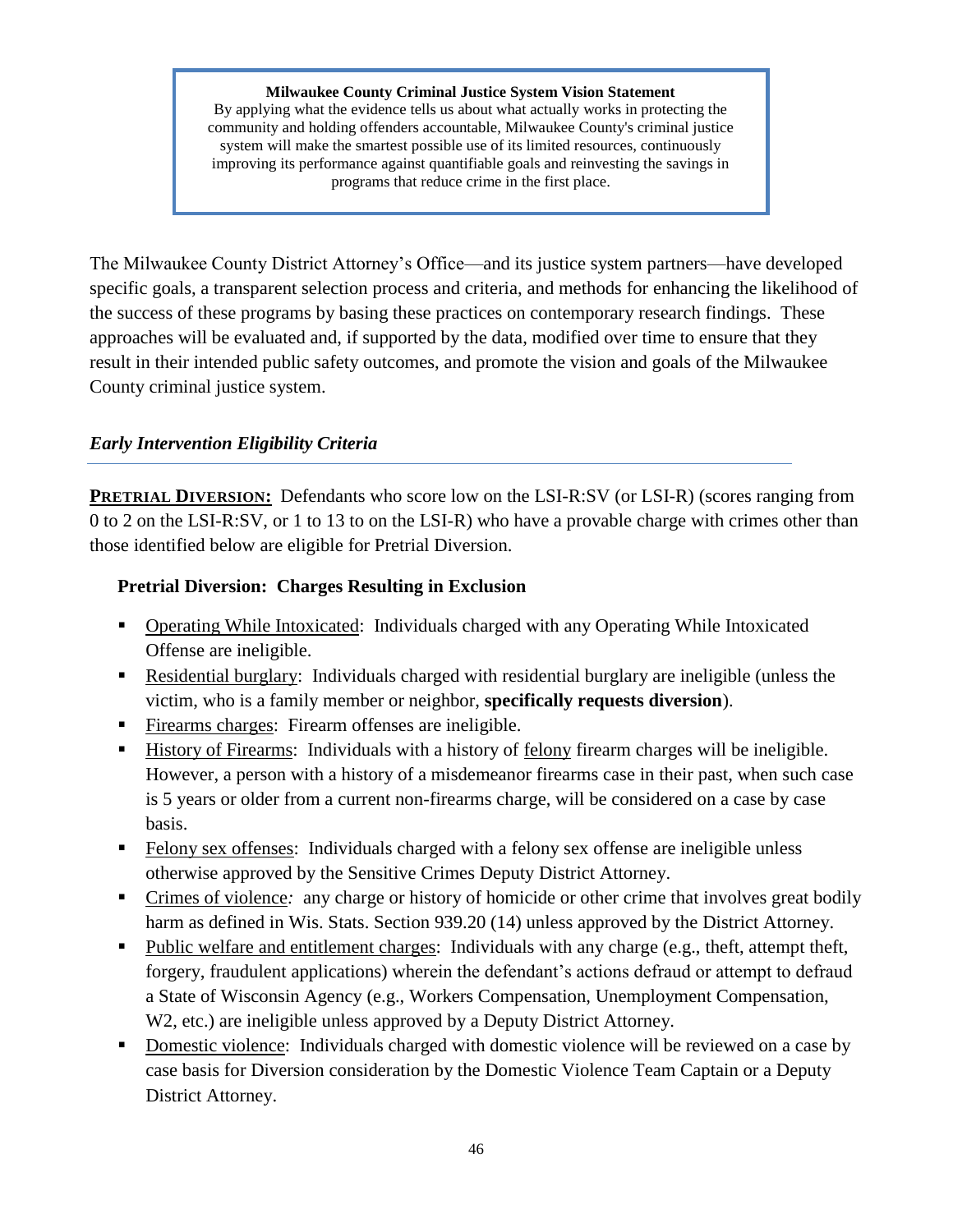#### **Milwaukee County Criminal Justice System Vision Statement**

By applying what the evidence tells us about what actually works in protecting the community and holding offenders accountable, Milwaukee County's criminal justice system will make the smartest possible use of its limited resources, continuously improving its performance against quantifiable goals and reinvesting the savings in programs that reduce crime in the first place.

The Milwaukee County District Attorney's Office—and its justice system partners—have developed specific goals, a transparent selection process and criteria, and methods for enhancing the likelihood of the success of these programs by basing these practices on contemporary research findings. These approaches will be evaluated and, if supported by the data, modified over time to ensure that they result in their intended public safety outcomes, and promote the vision and goals of the Milwaukee County criminal justice system.

# *Early Intervention Eligibility Criteria*

**PRETRIAL DIVERSION:** Defendants who score low on the LSI-R:SV (or LSI-R) (scores ranging from 0 to 2 on the LSI-R:SV, or 1 to 13 to on the LSI-R) who have a provable charge with crimes other than those identified below are eligible for Pretrial Diversion.

# **Pretrial Diversion: Charges Resulting in Exclusion**

- Operating While Intoxicated: Individuals charged with any Operating While Intoxicated Offense are ineligible.
- Residential burglary: Individuals charged with residential burglary are ineligible (unless the victim, who is a family member or neighbor, **specifically requests diversion**).
- Firearms charges: Firearm offenses are ineligible.
- History of Firearms: Individuals with a history of felony firearm charges will be ineligible. However, a person with a history of a misdemeanor firearms case in their past, when such case is 5 years or older from a current non-firearms charge, will be considered on a case by case basis.
- Felony sex offenses: Individuals charged with a felony sex offense are ineligible unless otherwise approved by the Sensitive Crimes Deputy District Attorney.
- Crimes of violence: any charge or history of homicide or other crime that involves great bodily harm as defined in Wis. Stats. Section 939.20 (14) unless approved by the District Attorney.
- Public welfare and entitlement charges: Individuals with any charge (e.g., theft, attempt theft, forgery, fraudulent applications) wherein the defendant's actions defraud or attempt to defraud a State of Wisconsin Agency (e.g., Workers Compensation, Unemployment Compensation, W2, etc.) are ineligible unless approved by a Deputy District Attorney.
- Domestic violence: Individuals charged with domestic violence will be reviewed on a case by case basis for Diversion consideration by the Domestic Violence Team Captain or a Deputy District Attorney.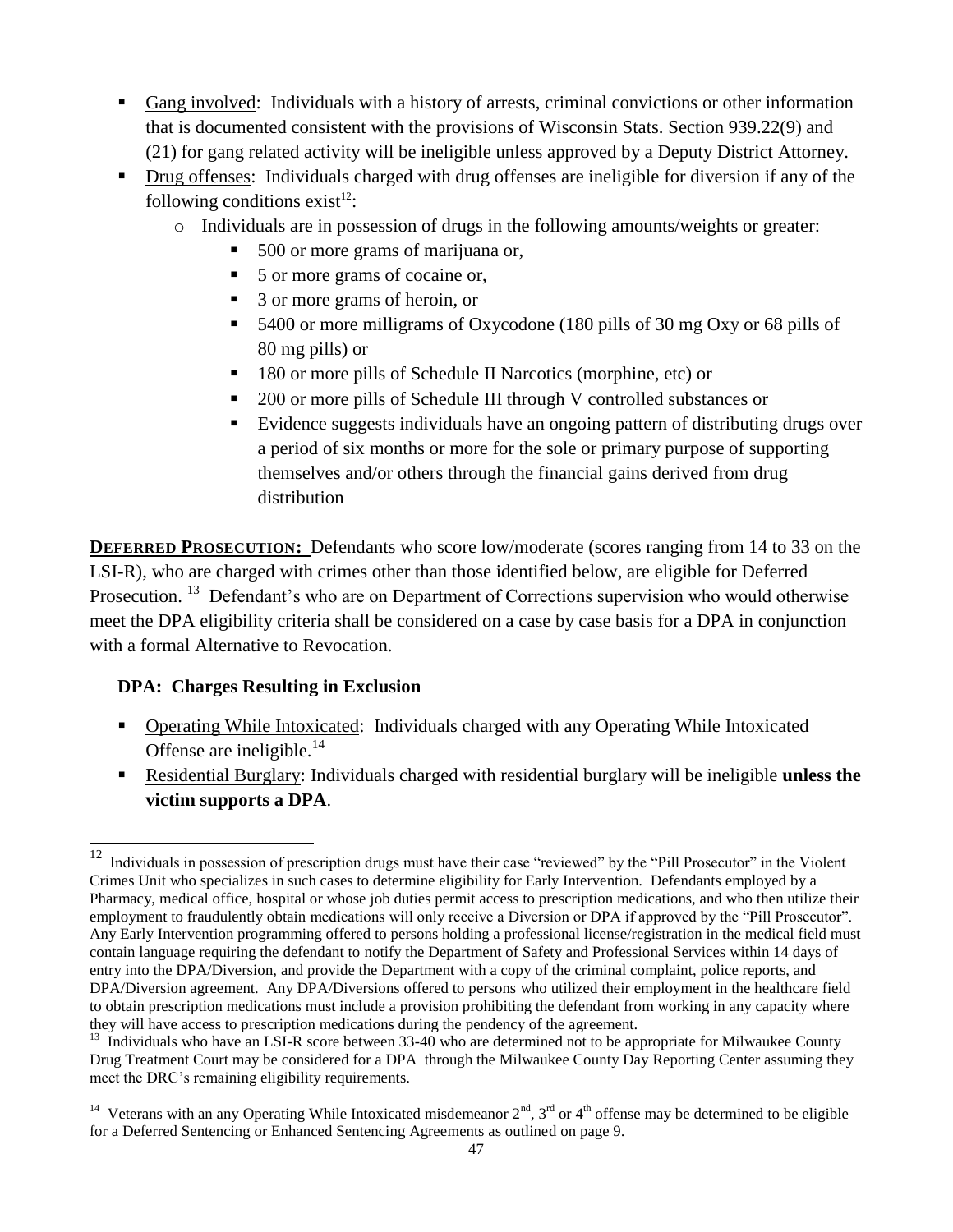- Gang involved: Individuals with a history of arrests, criminal convictions or other information that is documented consistent with the provisions of Wisconsin Stats. Section 939.22(9) and (21) for gang related activity will be ineligible unless approved by a Deputy District Attorney.
- Drug offenses: Individuals charged with drug offenses are ineligible for diversion if any of the following conditions exist<sup>12</sup>:
	- o Individuals are in possession of drugs in the following amounts/weights or greater:
		- 500 or more grams of marijuana or,
		- 5 or more grams of cocaine or,
		- 3 or more grams of heroin, or
		- 5400 or more milligrams of Oxycodone (180 pills of 30 mg Oxy or 68 pills of 80 mg pills) or
		- 180 or more pills of Schedule II Narcotics (morphine, etc) or
		- <sup>200</sup> or more pills of Schedule III through V controlled substances or
		- Evidence suggests individuals have an ongoing pattern of distributing drugs over a period of six months or more for the sole or primary purpose of supporting themselves and/or others through the financial gains derived from drug distribution

**DEFERRED PROSECUTION:** Defendants who score low/moderate (scores ranging from 14 to 33 on the LSI-R), who are charged with crimes other than those identified below, are eligible for Deferred Prosecution.<sup>13</sup> Defendant's who are on Department of Corrections supervision who would otherwise meet the DPA eligibility criteria shall be considered on a case by case basis for a DPA in conjunction with a formal Alternative to Revocation.

# **DPA: Charges Resulting in Exclusion**

- Operating While Intoxicated: Individuals charged with any Operating While Intoxicated Offense are ineligible. $14$
- Residential Burglary: Individuals charged with residential burglary will be ineligible **unless the victim supports a DPA**.

 $12\,$ <sup>12</sup> Individuals in possession of prescription drugs must have their case "reviewed" by the "Pill Prosecutor" in the Violent Crimes Unit who specializes in such cases to determine eligibility for Early Intervention. Defendants employed by a Pharmacy, medical office, hospital or whose job duties permit access to prescription medications, and who then utilize their employment to fraudulently obtain medications will only receive a Diversion or DPA if approved by the "Pill Prosecutor". Any Early Intervention programming offered to persons holding a professional license/registration in the medical field must contain language requiring the defendant to notify the Department of Safety and Professional Services within 14 days of entry into the DPA/Diversion, and provide the Department with a copy of the criminal complaint, police reports, and DPA/Diversion agreement. Any DPA/Diversions offered to persons who utilized their employment in the healthcare field to obtain prescription medications must include a provision prohibiting the defendant from working in any capacity where they will have access to prescription medications during the pendency of the agreement.

<sup>&</sup>lt;sup>13</sup> Individuals who have an LSI-R score between 33-40 who are determined not to be appropriate for Milwaukee County Drug Treatment Court may be considered for a DPA through the Milwaukee County Day Reporting Center assuming they meet the DRC's remaining eligibility requirements.

<sup>&</sup>lt;sup>14</sup> Veterans with an any Operating While Intoxicated misdemeanor  $2<sup>nd</sup>$ ,  $3<sup>rd</sup>$  or  $4<sup>th</sup>$  offense may be determined to be eligible for a Deferred Sentencing or Enhanced Sentencing Agreements as outlined on page 9.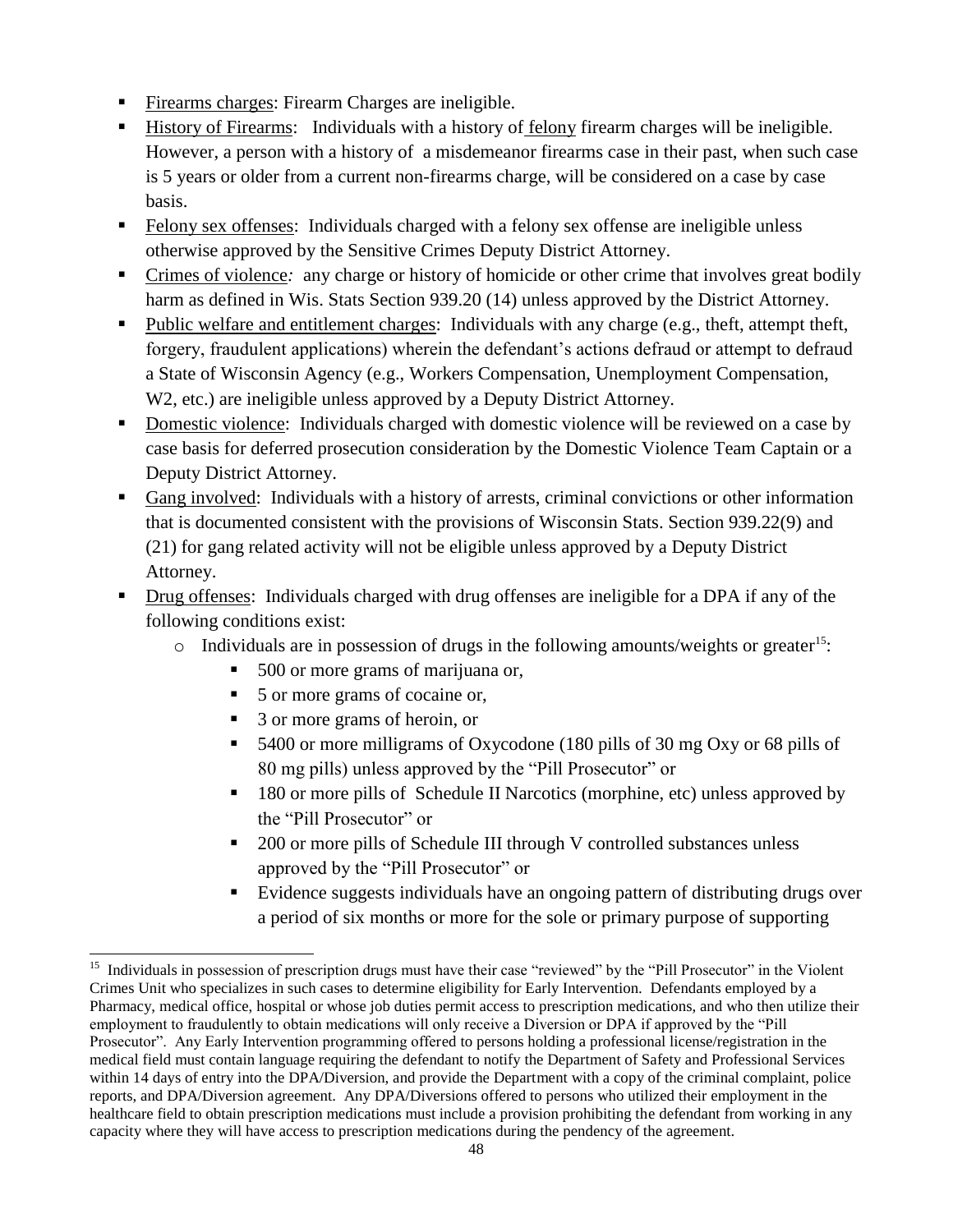- Firearms charges: Firearm Charges are ineligible.
- History of Firearms: Individuals with a history of felony firearm charges will be ineligible. However, a person with a history of a misdemeanor firearms case in their past, when such case is 5 years or older from a current non-firearms charge, will be considered on a case by case basis.
- Felony sex offenses: Individuals charged with a felony sex offense are ineligible unless otherwise approved by the Sensitive Crimes Deputy District Attorney.
- Crimes of violence*:* any charge or history of homicide or other crime that involves great bodily harm as defined in Wis. Stats Section 939.20 (14) unless approved by the District Attorney.
- Public welfare and entitlement charges: Individuals with any charge (e.g., theft, attempt theft, forgery, fraudulent applications) wherein the defendant's actions defraud or attempt to defraud a State of Wisconsin Agency (e.g., Workers Compensation, Unemployment Compensation, W2, etc.) are ineligible unless approved by a Deputy District Attorney.
- Domestic violence: Individuals charged with domestic violence will be reviewed on a case by case basis for deferred prosecution consideration by the Domestic Violence Team Captain or a Deputy District Attorney.
- Gang involved: Individuals with a history of arrests, criminal convictions or other information that is documented consistent with the provisions of Wisconsin Stats. Section 939.22(9) and (21) for gang related activity will not be eligible unless approved by a Deputy District Attorney.
- Drug offenses: Individuals charged with drug offenses are ineligible for a DPA if any of the following conditions exist:
	- $\circ$  Individuals are in possession of drugs in the following amounts/weights or greater<sup>15</sup>:
		- 500 or more grams of marijuana or,
		- 5 or more grams of cocaine or,
		- 3 or more grams of heroin, or

l

- 5400 or more milligrams of Oxycodone (180 pills of 30 mg Oxy or 68 pills of 80 mg pills) unless approved by the "Pill Prosecutor" or
- **180 or more pills of Schedule II Narcotics (morphine, etc) unless approved by** the "Pill Prosecutor" or
- 200 or more pills of Schedule III through V controlled substances unless approved by the "Pill Prosecutor" or
- Evidence suggests individuals have an ongoing pattern of distributing drugs over a period of six months or more for the sole or primary purpose of supporting

<sup>&</sup>lt;sup>15</sup> Individuals in possession of prescription drugs must have their case "reviewed" by the "Pill Prosecutor" in the Violent Crimes Unit who specializes in such cases to determine eligibility for Early Intervention. Defendants employed by a Pharmacy, medical office, hospital or whose job duties permit access to prescription medications, and who then utilize their employment to fraudulently to obtain medications will only receive a Diversion or DPA if approved by the "Pill Prosecutor". Any Early Intervention programming offered to persons holding a professional license/registration in the medical field must contain language requiring the defendant to notify the Department of Safety and Professional Services within 14 days of entry into the DPA/Diversion, and provide the Department with a copy of the criminal complaint, police reports, and DPA/Diversion agreement. Any DPA/Diversions offered to persons who utilized their employment in the healthcare field to obtain prescription medications must include a provision prohibiting the defendant from working in any capacity where they will have access to prescription medications during the pendency of the agreement.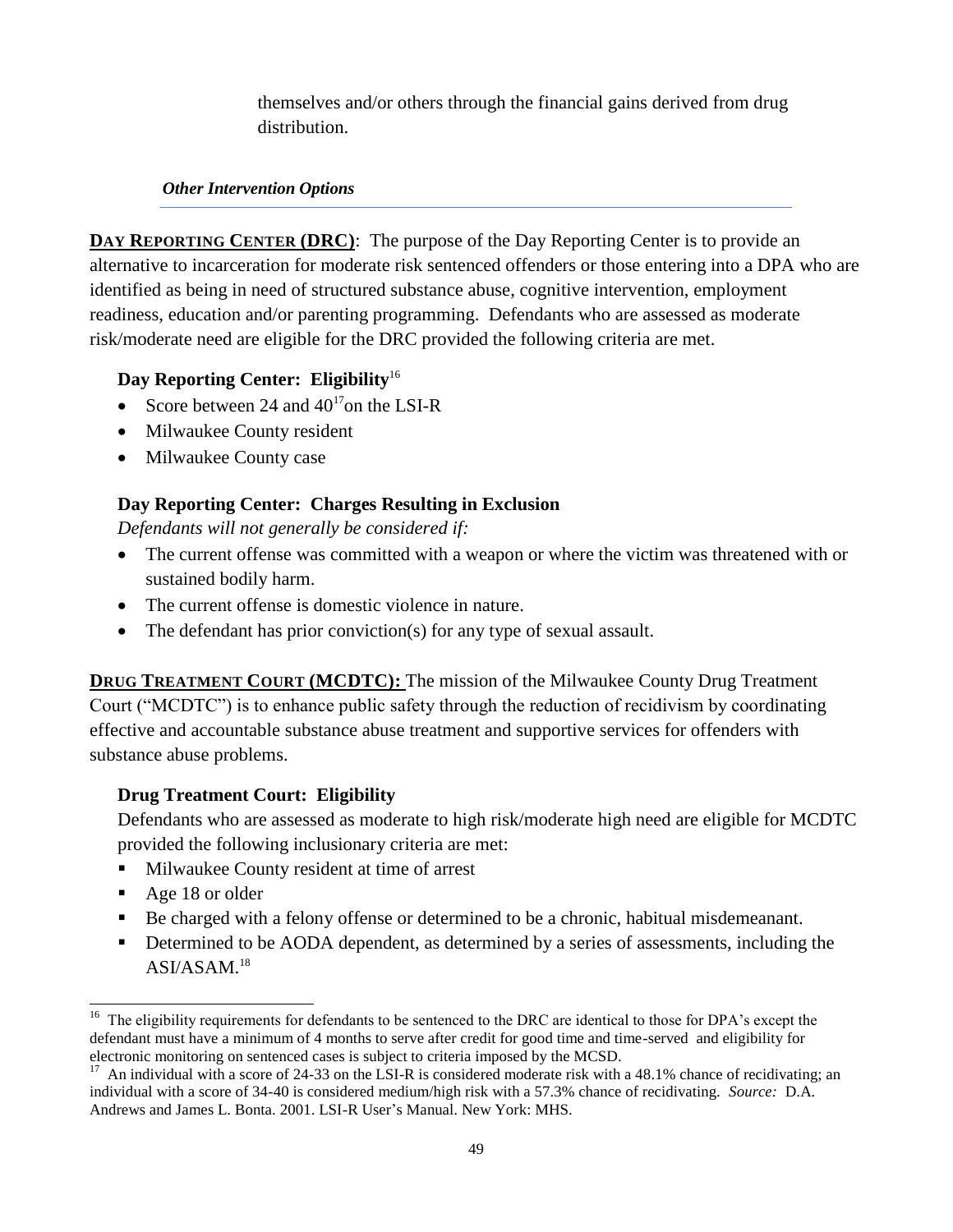themselves and/or others through the financial gains derived from drug distribution.

### *Other Intervention Options*

**DAY REPORTING CENTER (DRC):** The purpose of the Day Reporting Center is to provide an alternative to incarceration for moderate risk sentenced offenders or those entering into a DPA who are identified as being in need of structured substance abuse, cognitive intervention, employment readiness, education and/or parenting programming. Defendants who are assessed as moderate risk/moderate need are eligible for the DRC provided the following criteria are met.

# **Day Reporting Center: Eligibility**<sup>16</sup>

- Score between 24 and  $40^{17}$ on the LSI-R
- Milwaukee County resident
- Milwaukee County case

# **Day Reporting Center: Charges Resulting in Exclusion**

*Defendants will not generally be considered if:*

- The current offense was committed with a weapon or where the victim was threatened with or sustained bodily harm.
- The current offense is domestic violence in nature.
- The defendant has prior conviction(s) for any type of sexual assault.

**DRUG TREATMENT COURT (MCDTC):** The mission of the Milwaukee County Drug Treatment Court ("MCDTC") is to enhance public safety through the reduction of recidivism by coordinating effective and accountable substance abuse treatment and supportive services for offenders with substance abuse problems.

# **Drug Treatment Court: Eligibility**

Defendants who are assessed as moderate to high risk/moderate high need are eligible for MCDTC provided the following inclusionary criteria are met:

- **Milwaukee County resident at time of arrest**
- Age 18 or older
- Be charged with a felony offense or determined to be a chronic, habitual misdemeanant.
- Determined to be AODA dependent, as determined by a series of assessments, including the ASI/ASAM.<sup>18</sup>

l <sup>16</sup> The eligibility requirements for defendants to be sentenced to the DRC are identical to those for DPA's except the defendant must have a minimum of 4 months to serve after credit for good time and time-served and eligibility for electronic monitoring on sentenced cases is subject to criteria imposed by the MCSD.

<sup>17</sup> An individual with a score of 24-33 on the LSI-R is considered moderate risk with a 48.1% chance of recidivating; an individual with a score of 34-40 is considered medium/high risk with a 57.3% chance of recidivating. *Source:* D.A. Andrews and James L. Bonta. 2001. LSI-R User's Manual. New York: MHS.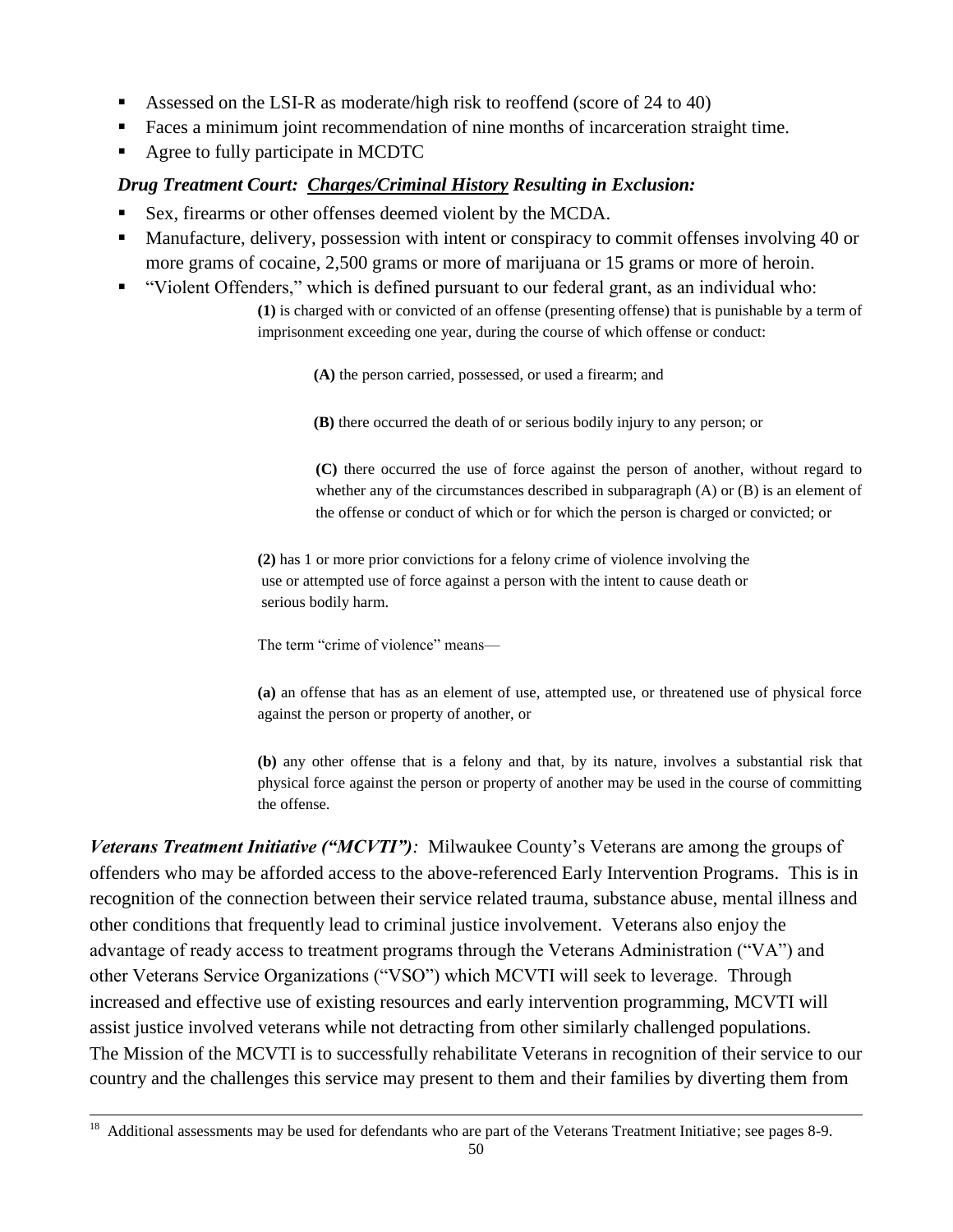- Assessed on the LSI-R as moderate/high risk to reoffend (score of 24 to 40)
- Faces a minimum joint recommendation of nine months of incarceration straight time.
- Agree to fully participate in MCDTC

### *Drug Treatment Court: Charges/Criminal History Resulting in Exclusion:*

- Sex, firearms or other offenses deemed violent by the MCDA.
- **Manufacture, delivery, possession with intent or conspiracy to commit offenses involving 40 or** more grams of cocaine, 2,500 grams or more of marijuana or 15 grams or more of heroin.
- "Violent Offenders," which is defined pursuant to our federal grant, as an individual who:

**(1)** is charged with or convicted of an offense (presenting offense) that is punishable by a term of imprisonment exceeding one year, during the course of which offense or conduct:

**(A)** the person carried, possessed, or used a firearm; and

**(B)** there occurred the death of or serious bodily injury to any person; or

**(C)** there occurred the use of force against the person of another, without regard to whether any of the circumstances described in subparagraph  $(A)$  or  $(B)$  is an element of the offense or conduct of which or for which the person is charged or convicted; or

**(2)** has 1 or more prior convictions for a felony crime of violence involving the use or attempted use of force against a person with the intent to cause death or serious bodily harm.

The term "crime of violence" means—

**(a)** an offense that has as an element of use, attempted use, or threatened use of physical force against the person or property of another, or

**(b)** any other offense that is a felony and that, by its nature, involves a substantial risk that physical force against the person or property of another may be used in the course of committing the offense.

*Veterans Treatment Initiative ("MCVTI"):* Milwaukee County's Veterans are among the groups of offenders who may be afforded access to the above-referenced Early Intervention Programs. This is in recognition of the connection between their service related trauma, substance abuse, mental illness and other conditions that frequently lead to criminal justice involvement. Veterans also enjoy the advantage of ready access to treatment programs through the Veterans Administration ("VA") and other Veterans Service Organizations ("VSO") which MCVTI will seek to leverage. Through increased and effective use of existing resources and early intervention programming, MCVTI will assist justice involved veterans while not detracting from other similarly challenged populations. The Mission of the MCVTI is to successfully rehabilitate Veterans in recognition of their service to our country and the challenges this service may present to them and their families by diverting them from

 $18\,$ <sup>18</sup> Additional assessments may be used for defendants who are part of the Veterans Treatment Initiative; see pages 8-9.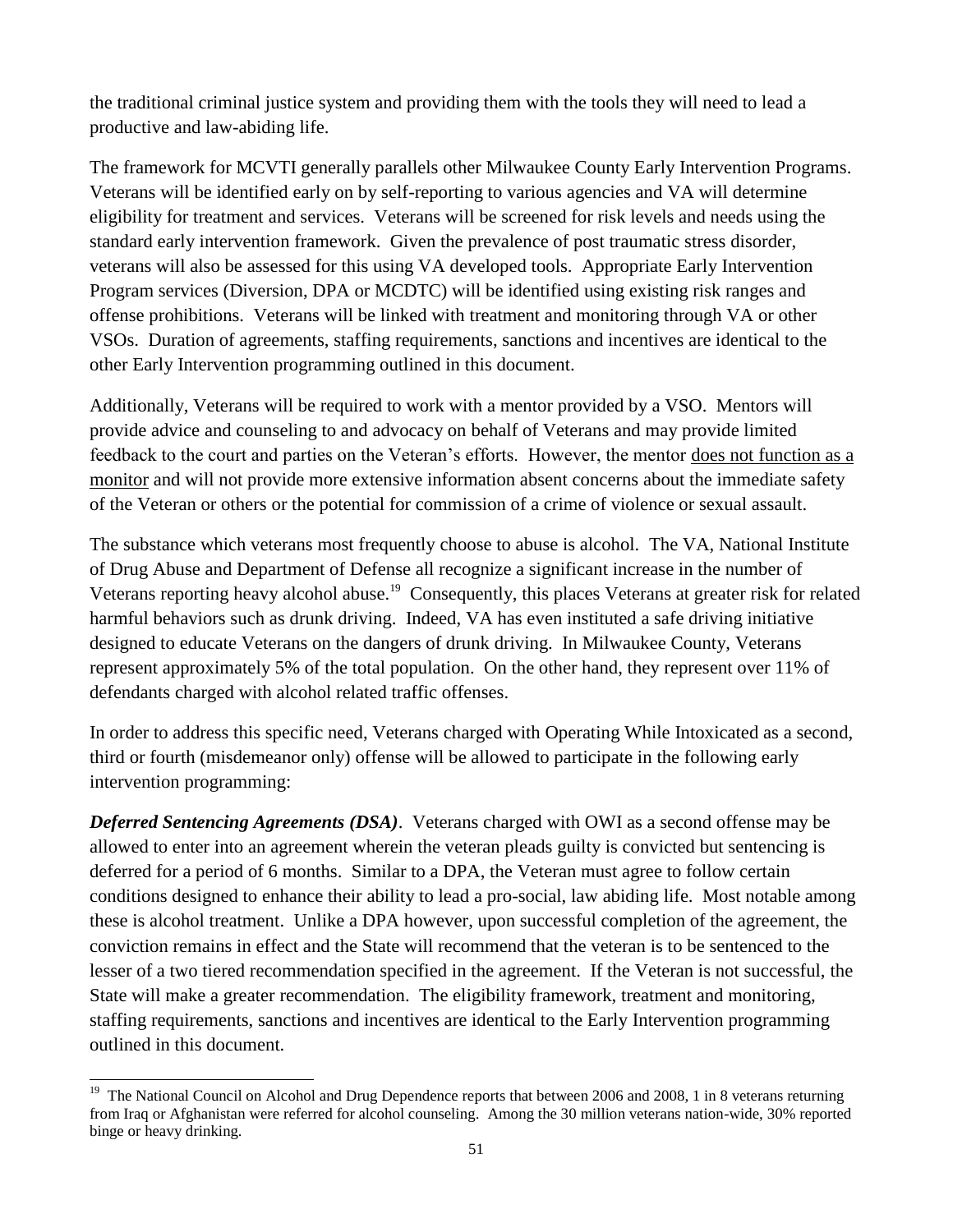the traditional criminal justice system and providing them with the tools they will need to lead a productive and law-abiding life.

The framework for MCVTI generally parallels other Milwaukee County Early Intervention Programs. Veterans will be identified early on by self-reporting to various agencies and VA will determine eligibility for treatment and services. Veterans will be screened for risk levels and needs using the standard early intervention framework. Given the prevalence of post traumatic stress disorder, veterans will also be assessed for this using VA developed tools. Appropriate Early Intervention Program services (Diversion, DPA or MCDTC) will be identified using existing risk ranges and offense prohibitions. Veterans will be linked with treatment and monitoring through VA or other VSOs. Duration of agreements, staffing requirements, sanctions and incentives are identical to the other Early Intervention programming outlined in this document.

Additionally, Veterans will be required to work with a mentor provided by a VSO. Mentors will provide advice and counseling to and advocacy on behalf of Veterans and may provide limited feedback to the court and parties on the Veteran's efforts. However, the mentor does not function as a monitor and will not provide more extensive information absent concerns about the immediate safety of the Veteran or others or the potential for commission of a crime of violence or sexual assault.

The substance which veterans most frequently choose to abuse is alcohol. The VA, National Institute of Drug Abuse and Department of Defense all recognize a significant increase in the number of Veterans reporting heavy alcohol abuse.<sup>19</sup> Consequently, this places Veterans at greater risk for related harmful behaviors such as drunk driving. Indeed, VA has even instituted a safe driving initiative designed to educate Veterans on the dangers of drunk driving. In Milwaukee County, Veterans represent approximately 5% of the total population. On the other hand, they represent over 11% of defendants charged with alcohol related traffic offenses.

In order to address this specific need, Veterans charged with Operating While Intoxicated as a second, third or fourth (misdemeanor only) offense will be allowed to participate in the following early intervention programming:

*Deferred Sentencing Agreements (DSA)*. Veterans charged with OWI as a second offense may be allowed to enter into an agreement wherein the veteran pleads guilty is convicted but sentencing is deferred for a period of 6 months. Similar to a DPA, the Veteran must agree to follow certain conditions designed to enhance their ability to lead a pro-social, law abiding life. Most notable among these is alcohol treatment. Unlike a DPA however, upon successful completion of the agreement, the conviction remains in effect and the State will recommend that the veteran is to be sentenced to the lesser of a two tiered recommendation specified in the agreement. If the Veteran is not successful, the State will make a greater recommendation. The eligibility framework, treatment and monitoring, staffing requirements, sanctions and incentives are identical to the Early Intervention programming outlined in this document.

l

<sup>&</sup>lt;sup>19</sup> The National Council on Alcohol and Drug Dependence reports that between 2006 and 2008, 1 in 8 veterans returning from Iraq or Afghanistan were referred for alcohol counseling. Among the 30 million veterans nation-wide, 30% reported binge or heavy drinking.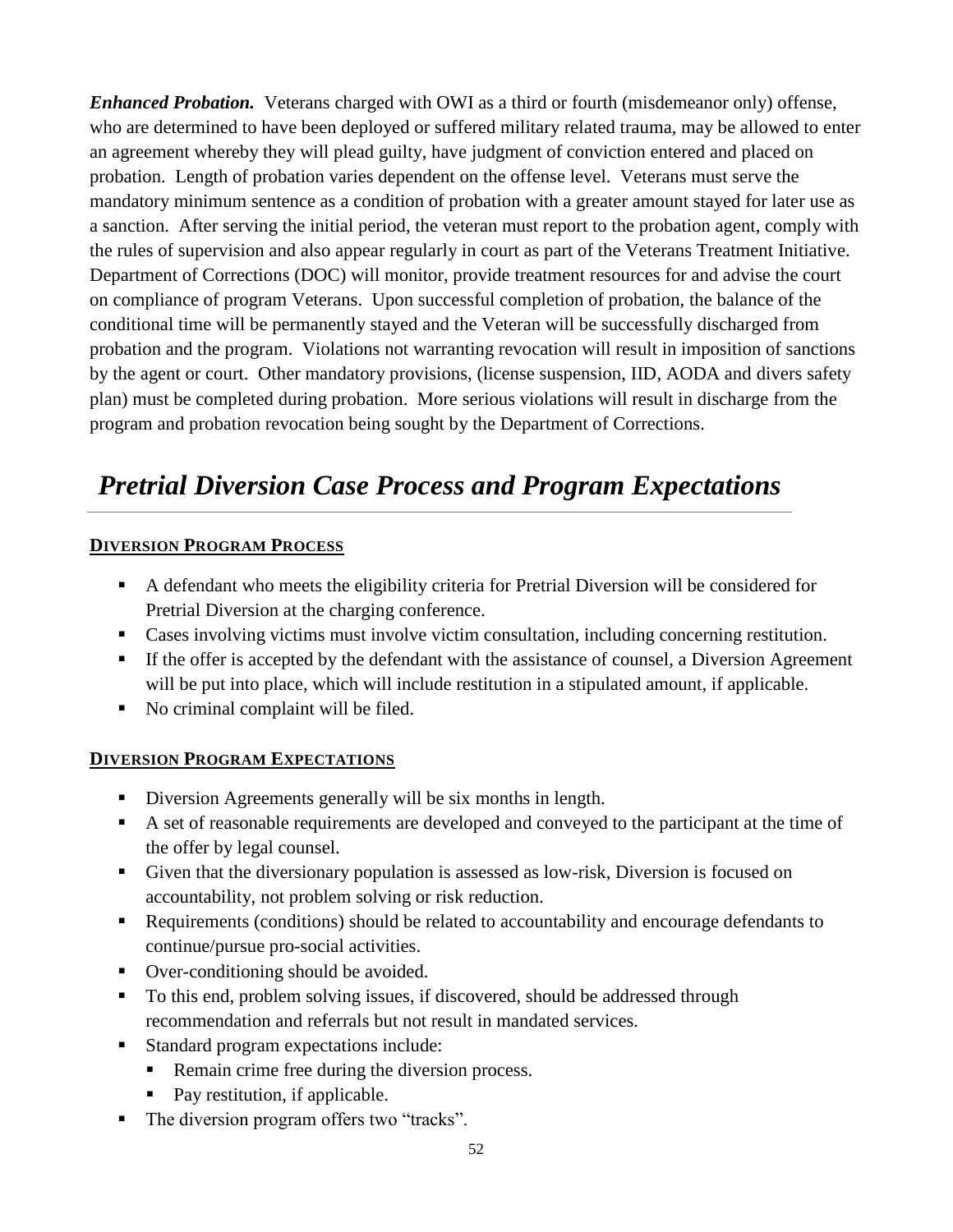*Enhanced Probation.* Veterans charged with OWI as a third or fourth (misdemeanor only) offense, who are determined to have been deployed or suffered military related trauma, may be allowed to enter an agreement whereby they will plead guilty, have judgment of conviction entered and placed on probation. Length of probation varies dependent on the offense level. Veterans must serve the mandatory minimum sentence as a condition of probation with a greater amount stayed for later use as a sanction. After serving the initial period, the veteran must report to the probation agent, comply with the rules of supervision and also appear regularly in court as part of the Veterans Treatment Initiative. Department of Corrections (DOC) will monitor, provide treatment resources for and advise the court on compliance of program Veterans. Upon successful completion of probation, the balance of the conditional time will be permanently stayed and the Veteran will be successfully discharged from probation and the program. Violations not warranting revocation will result in imposition of sanctions by the agent or court. Other mandatory provisions, (license suspension, IID, AODA and divers safety plan) must be completed during probation. More serious violations will result in discharge from the program and probation revocation being sought by the Department of Corrections.

# *Pretrial Diversion Case Process and Program Expectations*

# **DIVERSION PROGRAM PROCESS**

- A defendant who meets the eligibility criteria for Pretrial Diversion will be considered for Pretrial Diversion at the charging conference.
- Cases involving victims must involve victim consultation, including concerning restitution.
- If the offer is accepted by the defendant with the assistance of counsel, a Diversion Agreement will be put into place, which will include restitution in a stipulated amount, if applicable.
- No criminal complaint will be filed.

# **DIVERSION PROGRAM EXPECTATIONS**

- Diversion Agreements generally will be six months in length.
- A set of reasonable requirements are developed and conveyed to the participant at the time of the offer by legal counsel.
- Given that the diversionary population is assessed as low-risk, Diversion is focused on accountability, not problem solving or risk reduction.
- Requirements (conditions) should be related to accountability and encourage defendants to continue/pursue pro-social activities.
- Over-conditioning should be avoided.
- To this end, problem solving issues, if discovered, should be addressed through recommendation and referrals but not result in mandated services.
- Standard program expectations include:
	- Remain crime free during the diversion process.
	- Pay restitution, if applicable.
- The diversion program offers two "tracks".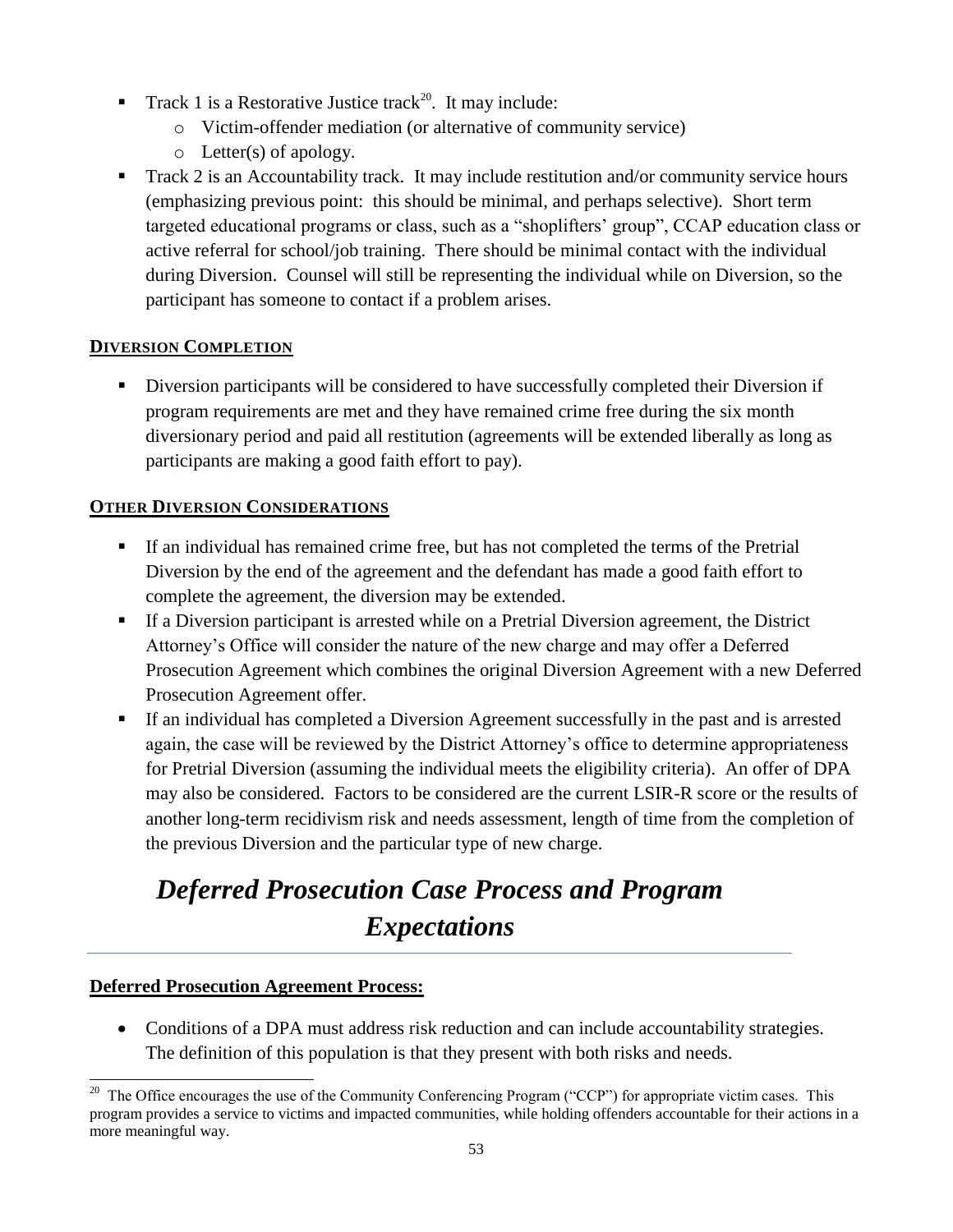- **Track 1 is a Restorative Justice track**<sup>20</sup>. It may include:
	- o Victim-offender mediation (or alternative of community service)
	- o Letter(s) of apology.
- Track 2 is an Accountability track. It may include restitution and/or community service hours (emphasizing previous point: this should be minimal, and perhaps selective). Short term targeted educational programs or class, such as a "shoplifters' group", CCAP education class or active referral for school/job training. There should be minimal contact with the individual during Diversion. Counsel will still be representing the individual while on Diversion, so the participant has someone to contact if a problem arises.

# **DIVERSION COMPLETION**

 Diversion participants will be considered to have successfully completed their Diversion if program requirements are met and they have remained crime free during the six month diversionary period and paid all restitution (agreements will be extended liberally as long as participants are making a good faith effort to pay).

# **OTHER DIVERSION CONSIDERATIONS**

- If an individual has remained crime free, but has not completed the terms of the Pretrial Diversion by the end of the agreement and the defendant has made a good faith effort to complete the agreement, the diversion may be extended.
- If a Diversion participant is arrested while on a Pretrial Diversion agreement, the District Attorney's Office will consider the nature of the new charge and may offer a Deferred Prosecution Agreement which combines the original Diversion Agreement with a new Deferred Prosecution Agreement offer.
- If an individual has completed a Diversion Agreement successfully in the past and is arrested again, the case will be reviewed by the District Attorney's office to determine appropriateness for Pretrial Diversion (assuming the individual meets the eligibility criteria). An offer of DPA may also be considered. Factors to be considered are the current LSIR-R score or the results of another long-term recidivism risk and needs assessment, length of time from the completion of the previous Diversion and the particular type of new charge.

# *Deferred Prosecution Case Process and Program Expectations*

# **Deferred Prosecution Agreement Process:**

 Conditions of a DPA must address risk reduction and can include accountability strategies. The definition of this population is that they present with both risks and needs.

l  $20$  The Office encourages the use of the Community Conferencing Program ("CCP") for appropriate victim cases. This program provides a service to victims and impacted communities, while holding offenders accountable for their actions in a more meaningful way.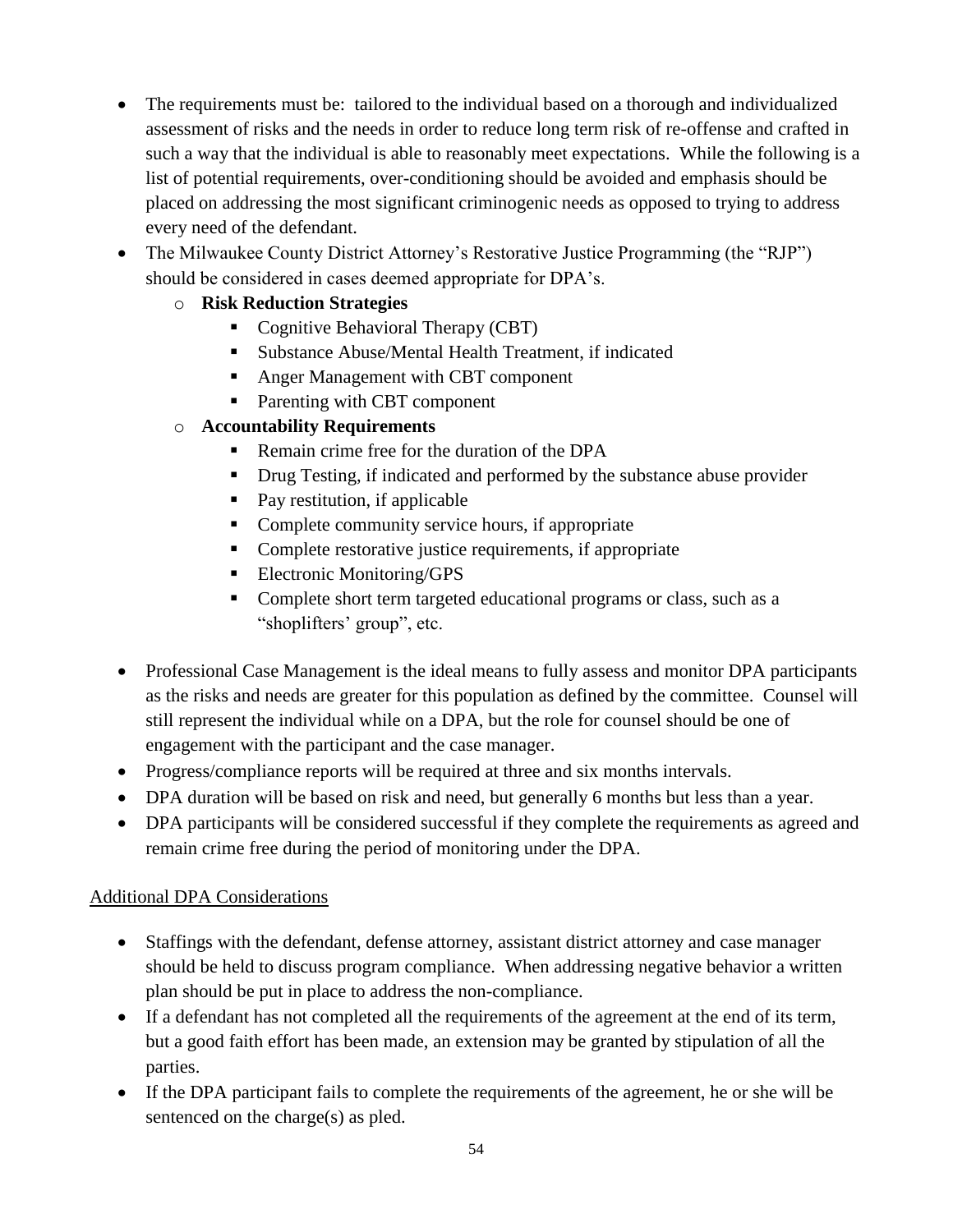- The requirements must be: tailored to the individual based on a thorough and individualized assessment of risks and the needs in order to reduce long term risk of re-offense and crafted in such a way that the individual is able to reasonably meet expectations. While the following is a list of potential requirements, over-conditioning should be avoided and emphasis should be placed on addressing the most significant criminogenic needs as opposed to trying to address every need of the defendant.
- The Milwaukee County District Attorney's Restorative Justice Programming (the "RJP") should be considered in cases deemed appropriate for DPA's.
	- o **Risk Reduction Strategies**
		- Cognitive Behavioral Therapy (CBT)
		- Substance Abuse/Mental Health Treatment, if indicated
		- Anger Management with CBT component
		- Parenting with CBT component
	- o **Accountability Requirements**
		- Remain crime free for the duration of the DPA
		- Drug Testing, if indicated and performed by the substance abuse provider
		- Pay restitution, if applicable
		- Complete community service hours, if appropriate
		- Complete restorative justice requirements, if appropriate
		- **Electronic Monitoring/GPS**
		- Complete short term targeted educational programs or class, such as a "shoplifters' group", etc.
- Professional Case Management is the ideal means to fully assess and monitor DPA participants as the risks and needs are greater for this population as defined by the committee. Counsel will still represent the individual while on a DPA, but the role for counsel should be one of engagement with the participant and the case manager.
- Progress/compliance reports will be required at three and six months intervals.
- DPA duration will be based on risk and need, but generally 6 months but less than a year.
- DPA participants will be considered successful if they complete the requirements as agreed and remain crime free during the period of monitoring under the DPA.

# Additional DPA Considerations

- Staffings with the defendant, defense attorney, assistant district attorney and case manager should be held to discuss program compliance. When addressing negative behavior a written plan should be put in place to address the non-compliance.
- If a defendant has not completed all the requirements of the agreement at the end of its term, but a good faith effort has been made, an extension may be granted by stipulation of all the parties.
- If the DPA participant fails to complete the requirements of the agreement, he or she will be sentenced on the charge(s) as pled.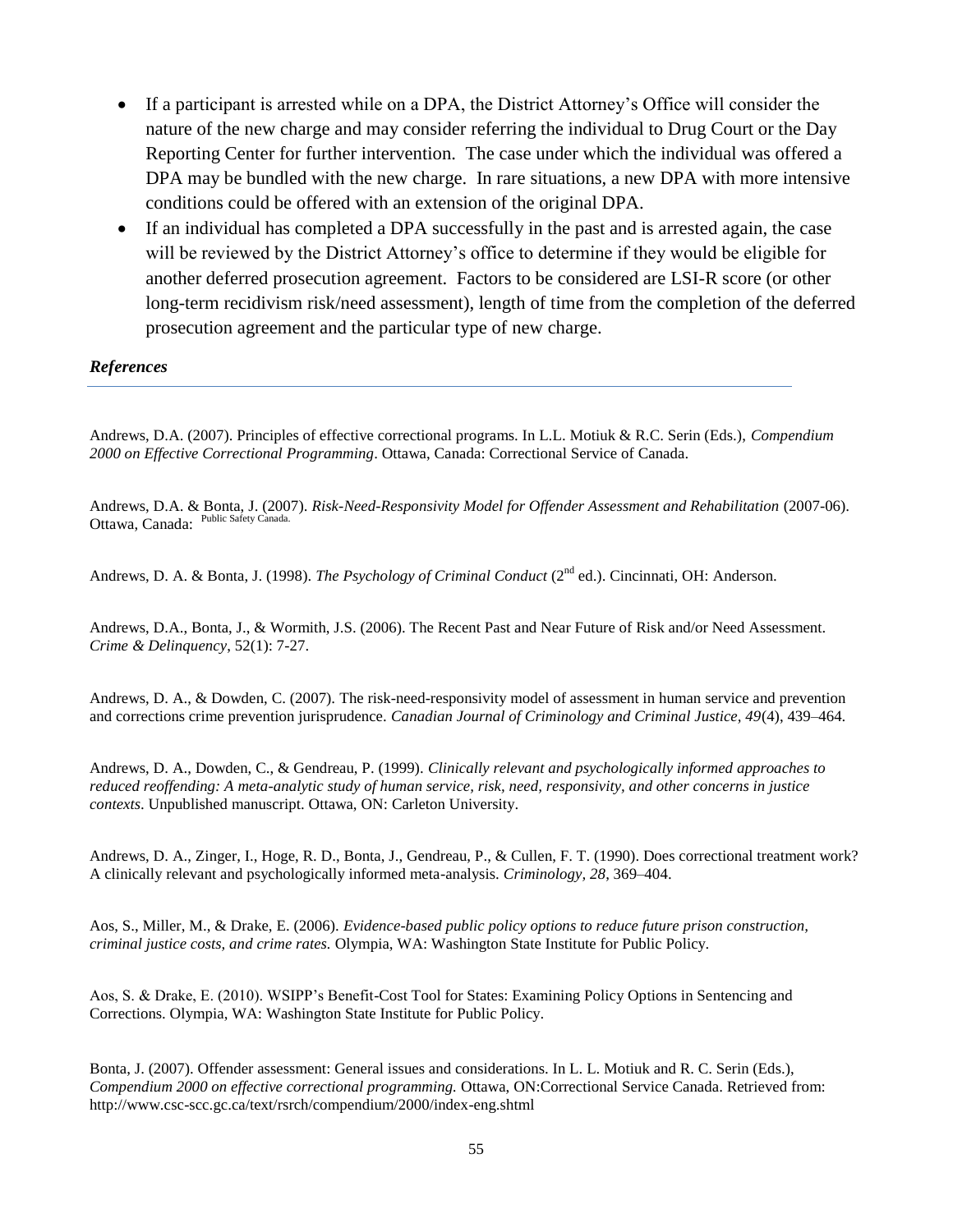- If a participant is arrested while on a DPA, the District Attorney's Office will consider the nature of the new charge and may consider referring the individual to Drug Court or the Day Reporting Center for further intervention. The case under which the individual was offered a DPA may be bundled with the new charge. In rare situations, a new DPA with more intensive conditions could be offered with an extension of the original DPA.
- If an individual has completed a DPA successfully in the past and is arrested again, the case will be reviewed by the District Attorney's office to determine if they would be eligible for another deferred prosecution agreement. Factors to be considered are LSI-R score (or other long-term recidivism risk/need assessment), length of time from the completion of the deferred prosecution agreement and the particular type of new charge.

*References*

Andrews, D.A. (2007). Principles of effective correctional programs. In L.L. Motiuk & R.C. Serin (Eds.), *Compendium 2000 on Effective Correctional Programming*. Ottawa, Canada: Correctional Service of Canada.

Andrews, D.A. & Bonta, J. (2007). *Risk-Need-Responsivity Model for Offender Assessment and Rehabilitation* (2007-06). Ottawa, Canada: Public Safety Canada.

Andrews, D. A. & Bonta, J. (1998). *The Psychology of Criminal Conduct* (2<sup>nd</sup> ed.). Cincinnati, OH: Anderson.

Andrews, D.A., Bonta, J., & Wormith, J.S. (2006). The Recent Past and Near Future of Risk and/or Need Assessment. *Crime & Delinquency*, 52(1): 7-27.

Andrews, D. A., & Dowden, C. (2007). The risk-need-responsivity model of assessment in human service and prevention and corrections crime prevention jurisprudence. *Canadian Journal of Criminology and Criminal Justice, 49*(4), 439–464.

Andrews, D. A., Dowden, C., & Gendreau, P. (1999). *Clinically relevant and psychologically informed approaches to reduced reoffending: A meta-analytic study of human service, risk, need, responsivity, and other concerns in justice contexts*. Unpublished manuscript. Ottawa, ON: Carleton University.

Andrews, D. A., Zinger, I., Hoge, R. D., Bonta, J., Gendreau, P., & Cullen, F. T. (1990). Does correctional treatment work? A clinically relevant and psychologically informed meta-analysis. *Criminology, 28*, 369–404.

Aos, S., Miller, M., & Drake, E. (2006). *Evidence-based public policy options to reduce future prison construction, criminal justice costs, and crime rates.* Olympia, WA: Washington State Institute for Public Policy.

Aos, S. & Drake, E. (2010). WSIPP's Benefit-Cost Tool for States: Examining Policy Options in Sentencing and Corrections. Olympia, WA: Washington State Institute for Public Policy.

Bonta, J. (2007). Offender assessment: General issues and considerations. In L. L. Motiuk and R. C. Serin (Eds.), *Compendium 2000 on effective correctional programming.* Ottawa, ON:Correctional Service Canada. Retrieved from: http://www.csc-scc.gc.ca/text/rsrch/compendium/2000/index-eng.shtml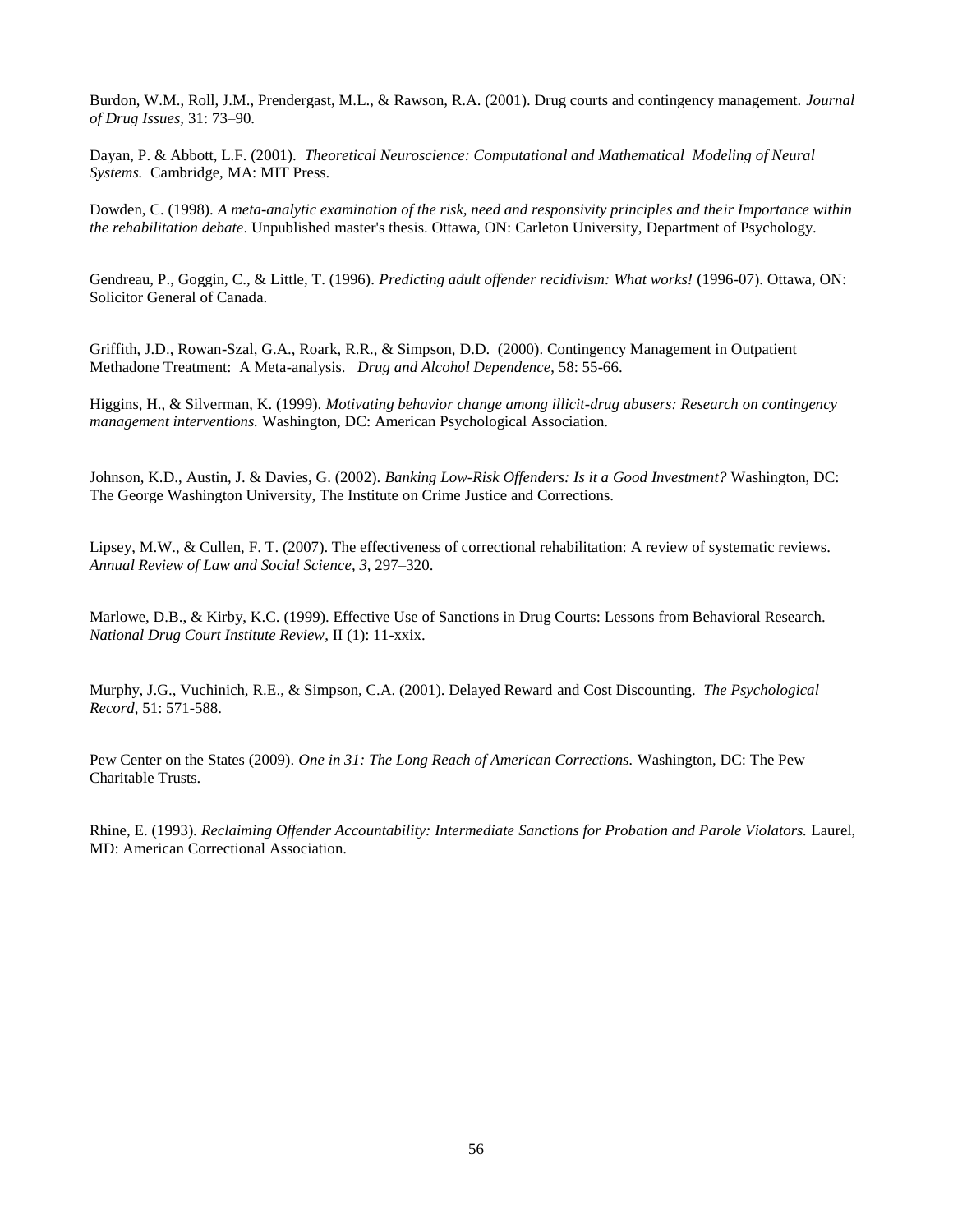Burdon, W.M., Roll, J.M., Prendergast, M.L., & Rawson, R.A. (2001). Drug courts and contingency management. *Journal of Drug Issues,* 31: 73–90.

Dayan, P. & Abbott, L.F. (2001). *Theoretical Neuroscience: Computational and Mathematical Modeling of Neural Systems.* Cambridge, MA: MIT Press.

Dowden, C. (1998). *A meta-analytic examination of the risk, need and responsivity principles and their Importance within the rehabilitation debate*. Unpublished master's thesis. Ottawa, ON: Carleton University, Department of Psychology.

Gendreau, P., Goggin, C., & Little, T. (1996). *Predicting adult offender recidivism: What works!* (1996-07). Ottawa, ON: Solicitor General of Canada.

Griffith, J.D., Rowan-Szal, G.A., Roark, R.R., & Simpson, D.D. (2000). Contingency Management in Outpatient Methadone Treatment: A Meta-analysis. *Drug and Alcohol Dependence*, 58: 55-66.

Higgins, H., & Silverman, K. (1999). *Motivating behavior change among illicit-drug abusers: Research on contingency management interventions.* Washington, DC: American Psychological Association.

Johnson, K.D., Austin, J. & Davies, G. (2002). *Banking Low-Risk Offenders: Is it a Good Investment?* Washington, DC: The George Washington University, The Institute on Crime Justice and Corrections.

Lipsey, M.W., & Cullen, F. T. (2007). The effectiveness of correctional rehabilitation: A review of systematic reviews. *Annual Review of Law and Social Science, 3,* 297–320.

Marlowe, D.B., & Kirby, K.C. (1999). Effective Use of Sanctions in Drug Courts: Lessons from Behavioral Research. *National Drug Court Institute Review*, II (1): 11-xxix.

Murphy, J.G., Vuchinich, R.E., & Simpson, C.A. (2001). Delayed Reward and Cost Discounting. *The Psychological Record*, 51: 571-588.

Pew Center on the States (2009). *One in 31: The Long Reach of American Corrections.* Washington, DC: The Pew Charitable Trusts.

Rhine, E. (1993). *Reclaiming Offender Accountability: Intermediate Sanctions for Probation and Parole Violators.* Laurel, MD: American Correctional Association.